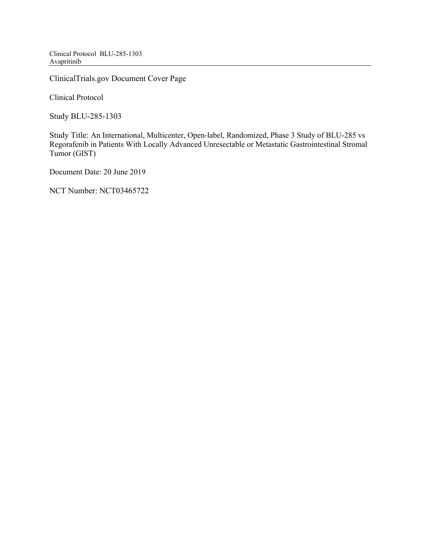ClinicalTrials.gov Document Cover Page

Clinical Protocol

Study BLU-285-1303

Study Title: An International, Multicenter, Open-label, Randomized, Phase 3 Study of BLU-285 vs Regorafenib in Patients With Locally Advanced Unresectable or Metastatic Gastrointestinal Stromal Tumor (GIST)

Document Date: 20 June 2019

NCT Number: NCT03465722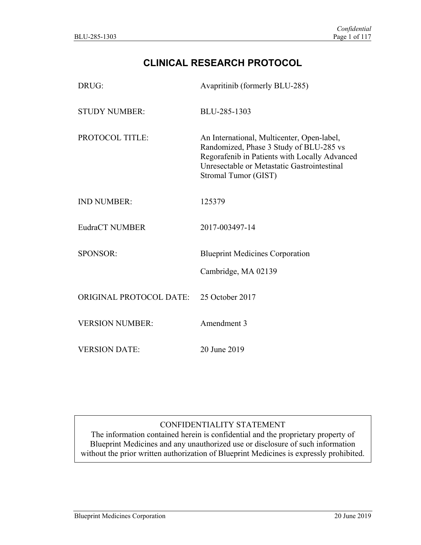# **CLINICAL RESEARCH PROTOCOL**

<span id="page-1-0"></span>

| DRUG:                          | Avapritinib (formerly BLU-285)                                                                                                                                                                                |
|--------------------------------|---------------------------------------------------------------------------------------------------------------------------------------------------------------------------------------------------------------|
| <b>STUDY NUMBER:</b>           | BLU-285-1303                                                                                                                                                                                                  |
| PROTOCOL TITLE:                | An International, Multicenter, Open-label,<br>Randomized, Phase 3 Study of BLU-285 vs<br>Regorafenib in Patients with Locally Advanced<br>Unresectable or Metastatic Gastrointestinal<br>Stromal Tumor (GIST) |
| <b>IND NUMBER:</b>             | 125379                                                                                                                                                                                                        |
| <b>EudraCT NUMBER</b>          | 2017-003497-14                                                                                                                                                                                                |
| <b>SPONSOR:</b>                | <b>Blueprint Medicines Corporation</b>                                                                                                                                                                        |
|                                | Cambridge, MA 02139                                                                                                                                                                                           |
| <b>ORIGINAL PROTOCOL DATE:</b> | 25 October 2017                                                                                                                                                                                               |
| <b>VERSION NUMBER:</b>         | Amendment 3                                                                                                                                                                                                   |
| <b>VERSION DATE:</b>           | 20 June 2019                                                                                                                                                                                                  |

#### CONFIDENTIALITY STATEMENT

The information contained herein is confidential and the proprietary property of Blueprint Medicines and any unauthorized use or disclosure of such information without the prior written authorization of Blueprint Medicines is expressly prohibited.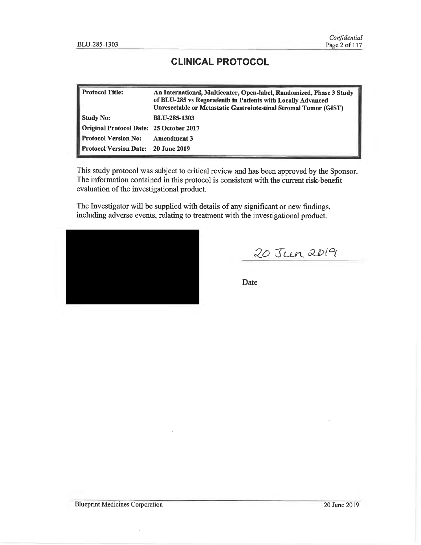# **CLINICAL PROTOCOL**

| <b>Protocol Title:</b>                     | An International, Multicenter, Open-label, Randomized, Phase 3 Study<br>of BLU-285 vs Regorafenib in Patients with Locally Advanced<br><b>Unresectable or Metastatic Gastrointestinal Stromal Tumor (GIST)</b> |
|--------------------------------------------|----------------------------------------------------------------------------------------------------------------------------------------------------------------------------------------------------------------|
| <b>Study No:</b>                           | <b>BLU-285-1303</b>                                                                                                                                                                                            |
| Original Protocol Date: 25 October 2017    |                                                                                                                                                                                                                |
| <b>Protocol Version No:</b>                | <b>Amendment 3</b>                                                                                                                                                                                             |
| <b>Protocol Version Date: 20 June 2019</b> |                                                                                                                                                                                                                |

This study protocol was subject to critical review and has been approved by the Sponsor. The information contained in this protocol is consistent with the current risk-benefit evaluation of the investigational product.

The Investigator will be supplied with details of any significant or new findings, including adverse events, relating to treatment with the investigational product.



20 Jun 2019

Date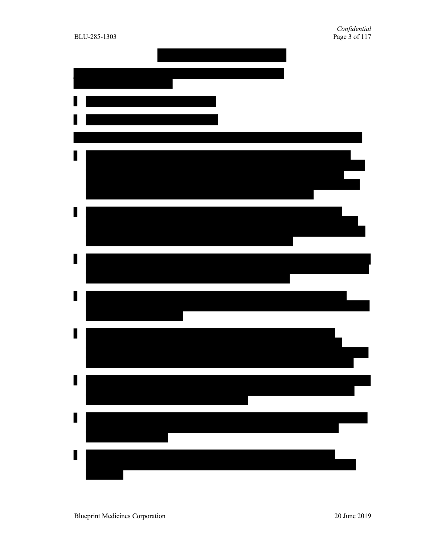<span id="page-3-0"></span>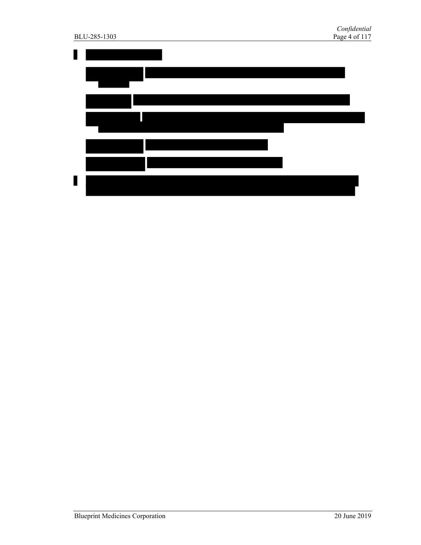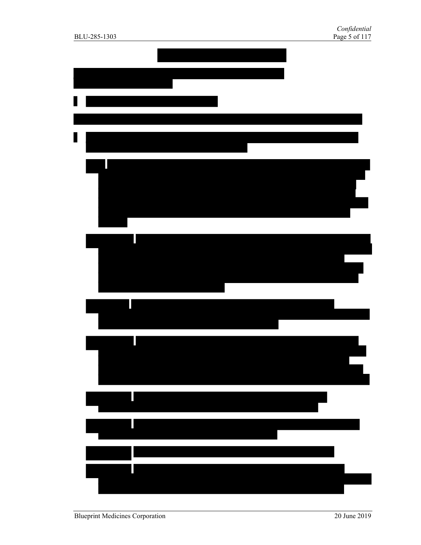<span id="page-5-0"></span>

| $\mathbf{L}$ |  |  |
|--------------|--|--|
|              |  |  |
|              |  |  |
|              |  |  |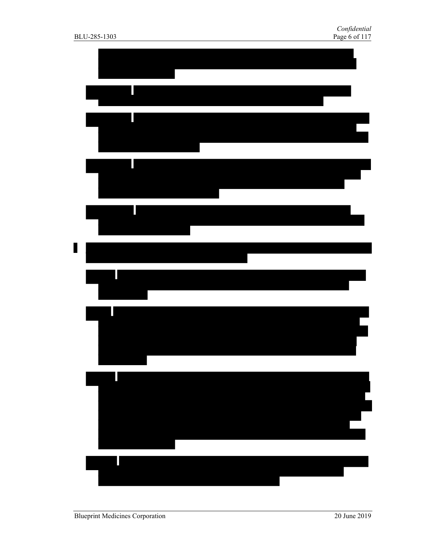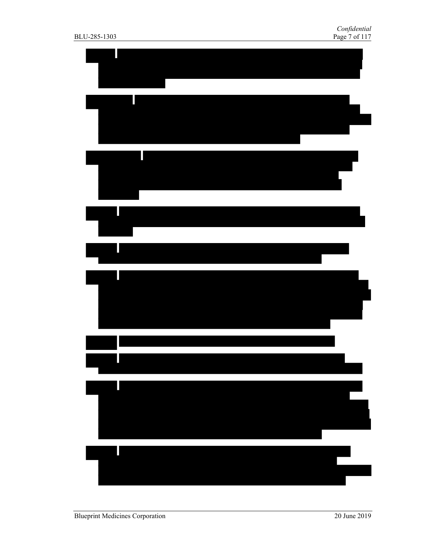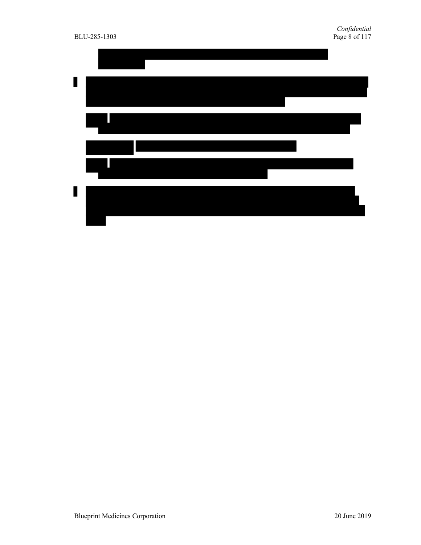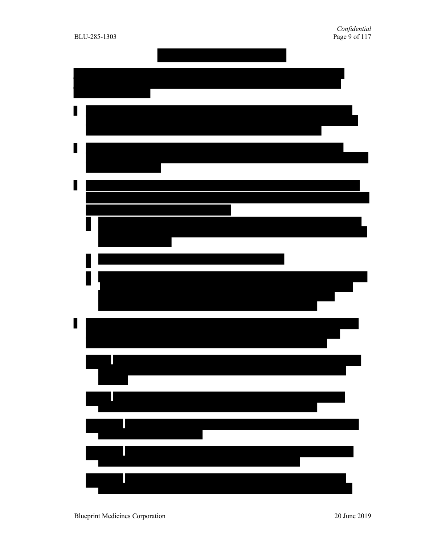<span id="page-9-0"></span>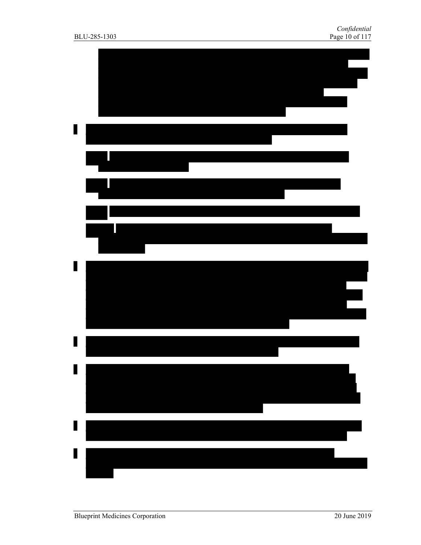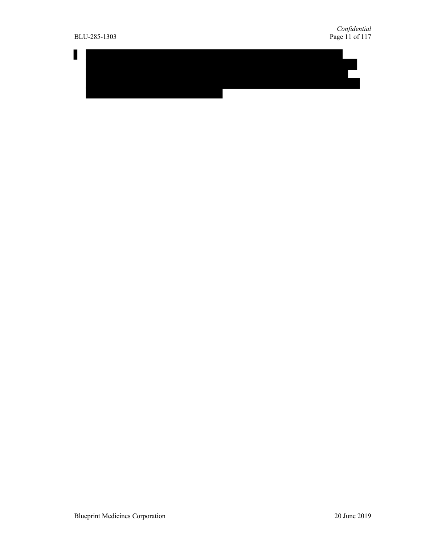

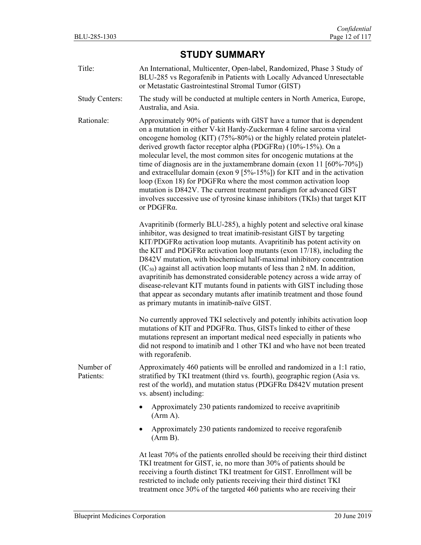# **STUDY SUMMARY**

<span id="page-12-0"></span>

| Title:                 | An International, Multicenter, Open-label, Randomized, Phase 3 Study of<br>BLU-285 vs Regorafenib in Patients with Locally Advanced Unresectable<br>or Metastatic Gastrointestinal Stromal Tumor (GIST)                                                                                                                                                                                                                                                                                                                                                                                                                                                                                                                                                                                                      |
|------------------------|--------------------------------------------------------------------------------------------------------------------------------------------------------------------------------------------------------------------------------------------------------------------------------------------------------------------------------------------------------------------------------------------------------------------------------------------------------------------------------------------------------------------------------------------------------------------------------------------------------------------------------------------------------------------------------------------------------------------------------------------------------------------------------------------------------------|
| <b>Study Centers:</b>  | The study will be conducted at multiple centers in North America, Europe,<br>Australia, and Asia.                                                                                                                                                                                                                                                                                                                                                                                                                                                                                                                                                                                                                                                                                                            |
| Rationale:             | Approximately 90% of patients with GIST have a tumor that is dependent<br>on a mutation in either V-kit Hardy-Zuckerman 4 feline sarcoma viral<br>oncogene homolog (KIT) (75%-80%) or the highly related protein platelet-<br>derived growth factor receptor alpha (PDGFR $\alpha$ ) (10%-15%). On a<br>molecular level, the most common sites for oncogenic mutations at the<br>time of diagnosis are in the juxtamembrane domain (exon $11 [60\% - 70\%]$ )<br>and extracellular domain (exon $9 \left[5\% - 15\% \right]$ ) for KIT and in the activation<br>loop (Exon 18) for PDGFR $\alpha$ where the most common activation loop<br>mutation is D842V. The current treatment paradigm for advanced GIST<br>involves successive use of tyrosine kinase inhibitors (TKIs) that target KIT<br>or PDGFRα. |
|                        | Avapritinib (formerly BLU-285), a highly potent and selective oral kinase<br>inhibitor, was designed to treat imatinib-resistant GIST by targeting<br>KIT/PDGFRα activation loop mutants. Avapritinib has potent activity on<br>the KIT and PDGFR $\alpha$ activation loop mutants (exon 17/18), including the<br>D842V mutation, with biochemical half-maximal inhibitory concentration<br>$(IC_{50})$ against all activation loop mutants of less than 2 nM. In addition,<br>avapritinib has demonstrated considerable potency across a wide array of<br>disease-relevant KIT mutants found in patients with GIST including those<br>that appear as secondary mutants after imatinib treatment and those found<br>as primary mutants in imatinib-naïve GIST.                                               |
|                        | No currently approved TKI selectively and potently inhibits activation loop<br>mutations of KIT and PDGFRa. Thus, GISTs linked to either of these<br>mutations represent an important medical need especially in patients who<br>did not respond to imatinib and 1 other TKI and who have not been treated<br>with regorafenib.                                                                                                                                                                                                                                                                                                                                                                                                                                                                              |
| Number of<br>Patients: | Approximately 460 patients will be enrolled and randomized in a 1:1 ratio,<br>stratified by TKI treatment (third vs. fourth), geographic region (Asia vs.<br>rest of the world), and mutation status (PDGFRα D842V mutation present<br>vs. absent) including:                                                                                                                                                                                                                                                                                                                                                                                                                                                                                                                                                |
|                        | Approximately 230 patients randomized to receive avapritinib<br>(Arm A).                                                                                                                                                                                                                                                                                                                                                                                                                                                                                                                                                                                                                                                                                                                                     |
|                        | Approximately 230 patients randomized to receive regorafenib<br>$(Arm B)$ .                                                                                                                                                                                                                                                                                                                                                                                                                                                                                                                                                                                                                                                                                                                                  |
|                        | At least 70% of the patients enrolled should be receiving their third distinct<br>TKI treatment for GIST, ie, no more than 30% of patients should be<br>receiving a fourth distinct TKI treatment for GIST. Enrollment will be<br>restricted to include only patients receiving their third distinct TKI                                                                                                                                                                                                                                                                                                                                                                                                                                                                                                     |

treatment once 30% of the targeted 460 patients who are receiving their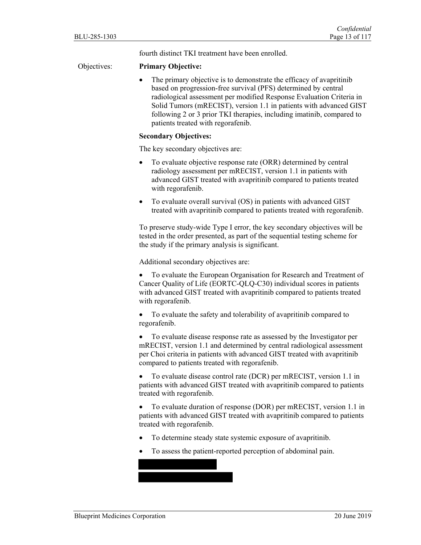fourth distinct TKI treatment have been enrolled.

#### Objectives: **Primary Objective:**

The primary objective is to demonstrate the efficacy of avapritinib based on progression-free survival (PFS) determined by central radiological assessment per modified Response Evaluation Criteria in Solid Tumors (mRECIST), version 1.1 in patients with advanced GIST following 2 or 3 prior TKI therapies, including imatinib, compared to patients treated with regorafenib.

#### **Secondary Objectives:**

The key secondary objectives are:

- To evaluate objective response rate (ORR) determined by central radiology assessment per mRECIST, version 1.1 in patients with advanced GIST treated with avapritinib compared to patients treated with regorafenib.
- To evaluate overall survival (OS) in patients with advanced GIST treated with avapritinib compared to patients treated with regorafenib.

To preserve study-wide Type I error, the key secondary objectives will be tested in the order presented, as part of the sequential testing scheme for the study if the primary analysis is significant.

Additional secondary objectives are:

• To evaluate the European Organisation for Research and Treatment of Cancer Quality of Life (EORTC-QLQ-C30) individual scores in patients with advanced GIST treated with avapritinib compared to patients treated with regorafenib.

• To evaluate the safety and tolerability of avapritinib compared to regorafenib.

• To evaluate disease response rate as assessed by the Investigator per mRECIST, version 1.1 and determined by central radiological assessment per Choi criteria in patients with advanced GIST treated with avapritinib compared to patients treated with regorafenib.

• To evaluate disease control rate (DCR) per mRECIST, version 1.1 in patients with advanced GIST treated with avapritinib compared to patients treated with regorafenib.

• To evaluate duration of response (DOR) per mRECIST, version 1.1 in patients with advanced GIST treated with avapritinib compared to patients treated with regorafenib.

- To determine steady state systemic exposure of avapritinib.
- To assess the patient-reported perception of abdominal pain.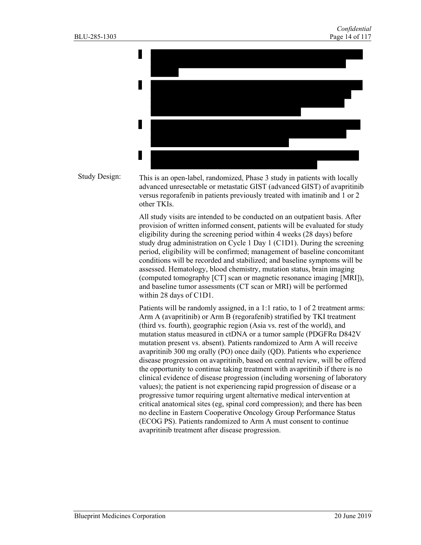

Study Design: This is an open-label, randomized, Phase 3 study in patients with locally advanced unresectable or metastatic GIST (advanced GIST) of avapritinib versus regorafenib in patients previously treated with imatinib and 1 or 2 other TKIs.

> All study visits are intended to be conducted on an outpatient basis. After provision of written informed consent, patients will be evaluated for study eligibility during the screening period within 4 weeks (28 days) before study drug administration on Cycle 1 Day 1 (C1D1). During the screening period, eligibility will be confirmed; management of baseline concomitant conditions will be recorded and stabilized; and baseline symptoms will be assessed. Hematology, blood chemistry, mutation status, brain imaging (computed tomography [CT] scan or magnetic resonance imaging [MRI]), and baseline tumor assessments (CT scan or MRI) will be performed within 28 days of C1D1.

Patients will be randomly assigned, in a 1:1 ratio, to 1 of 2 treatment arms: Arm A (avapritinib) or Arm B (regorafenib) stratified by TKI treatment (third vs. fourth), geographic region (Asia vs. rest of the world), and mutation status measured in ctDNA or a tumor sample (PDGFRα D842V mutation present vs. absent). Patients randomized to Arm A will receive avapritinib 300 mg orally (PO) once daily (QD). Patients who experience disease progression on avapritinib, based on central review, will be offered the opportunity to continue taking treatment with avapritinib if there is no clinical evidence of disease progression (including worsening of laboratory values); the patient is not experiencing rapid progression of disease or a progressive tumor requiring urgent alternative medical intervention at critical anatomical sites (eg, spinal cord compression); and there has been no decline in Eastern Cooperative Oncology Group Performance Status (ECOG PS). Patients randomized to Arm A must consent to continue avapritinib treatment after disease progression.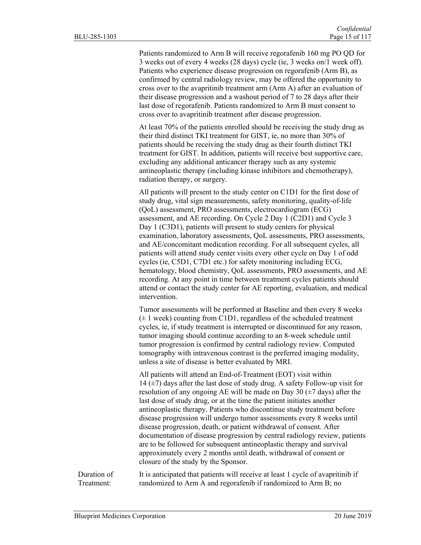Patients randomized to Arm B will receive regorafenib 160 mg PO QD for 3 weeks out of every 4 weeks (28 days) cycle (ie, 3 weeks on/1 week off). Patients who experience disease progression on regorafenib (Arm B), as confirmed by central radiology review, may be offered the opportunity to cross over to the avapritinib treatment arm (Arm A) after an evaluation of their disease progression and a washout period of 7 to 28 days after their last dose of regorafenib. Patients randomized to Arm B must consent to cross over to avapritinib treatment after disease progression.

At least 70% of the patients enrolled should be receiving the study drug as their third distinct TKI treatment for GIST, ie, no more than 30% of patients should be receiving the study drug as their fourth distinct TKI treatment for GIST. In addition, patients will receive best supportive care, excluding any additional anticancer therapy such as any systemic antineoplastic therapy (including kinase inhibitors and chemotherapy), radiation therapy, or surgery.

All patients will present to the study center on C1D1 for the first dose of study drug, vital sign measurements, safety monitoring, quality-of-life (QoL) assessment, PRO assessments, electrocardiogram (ECG) assessment, and AE recording. On Cycle 2 Day 1 (C2D1) and Cycle 3 Day 1 (C3D1), patients will present to study centers for physical examination, laboratory assessments, QoL assessments, PRO assessments, and AE/concomitant medication recording. For all subsequent cycles, all patients will attend study center visits every other cycle on Day 1 of odd cycles (ie, C5D1, C7D1 etc.) for safety monitoring including ECG, hematology, blood chemistry, QoL assessments, PRO assessments, and AE recording. At any point in time between treatment cycles patients should attend or contact the study center for AE reporting, evaluation, and medical intervention.

Tumor assessments will be performed at Baseline and then every 8 weeks  $(\pm 1$  week) counting from C1D1, regardless of the scheduled treatment cycles, ie, if study treatment is interrupted or discontinued for any reason, tumor imaging should continue according to an 8-week schedule until tumor progression is confirmed by central radiology review. Computed tomography with intravenous contrast is the preferred imaging modality, unless a site of disease is better evaluated by MRI.

All patients will attend an End-of-Treatment (EOT) visit within 14 ( $\pm$ 7) days after the last dose of study drug. A safety Follow-up visit for resolution of any ongoing AE will be made on Day 30  $(\pm 7$  days) after the last dose of study drug, or at the time the patient initiates another antineoplastic therapy. Patients who discontinue study treatment before disease progression will undergo tumor assessments every 8 weeks until disease progression, death, or patient withdrawal of consent. After documentation of disease progression by central radiology review, patients are to be followed for subsequent antineoplastic therapy and survival approximately every 2 months until death, withdrawal of consent or closure of the study by the Sponsor.

Duration of Treatment: It is anticipated that patients will receive at least 1 cycle of avapritinib if randomized to Arm A and regorafenib if randomized to Arm B; no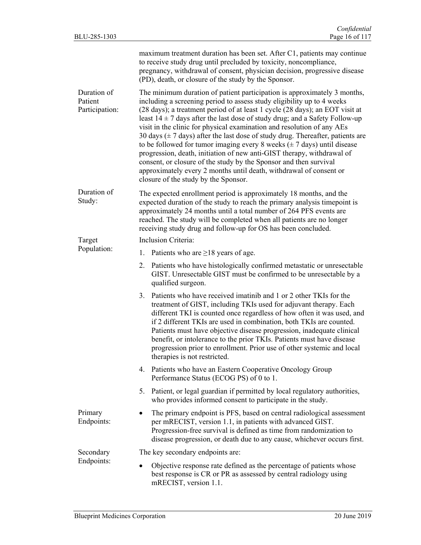|                                          | maximum treatment duration has been set. After C1, patients may continue<br>to receive study drug until precluded by toxicity, noncompliance,<br>pregnancy, withdrawal of consent, physician decision, progressive disease<br>(PD), death, or closure of the study by the Sponsor.                                                                                                                                                                                                                                                                                                                                                                                                                                                                                                                                                         |  |
|------------------------------------------|--------------------------------------------------------------------------------------------------------------------------------------------------------------------------------------------------------------------------------------------------------------------------------------------------------------------------------------------------------------------------------------------------------------------------------------------------------------------------------------------------------------------------------------------------------------------------------------------------------------------------------------------------------------------------------------------------------------------------------------------------------------------------------------------------------------------------------------------|--|
| Duration of<br>Patient<br>Participation: | The minimum duration of patient participation is approximately 3 months,<br>including a screening period to assess study eligibility up to 4 weeks<br>(28 days); a treatment period of at least 1 cycle (28 days); an EOT visit at<br>least $14 \pm 7$ days after the last dose of study drug; and a Safety Follow-up<br>visit in the clinic for physical examination and resolution of any AEs<br>30 days ( $\pm$ 7 days) after the last dose of study drug. Thereafter, patients are<br>to be followed for tumor imaging every 8 weeks $(\pm 7 \text{ days})$ until disease<br>progression, death, initiation of new anti-GIST therapy, withdrawal of<br>consent, or closure of the study by the Sponsor and then survival<br>approximately every 2 months until death, withdrawal of consent or<br>closure of the study by the Sponsor. |  |
| Duration of<br>Study:                    | The expected enrollment period is approximately 18 months, and the<br>expected duration of the study to reach the primary analysis timepoint is<br>approximately 24 months until a total number of 264 PFS events are<br>reached. The study will be completed when all patients are no longer<br>receiving study drug and follow-up for OS has been concluded.                                                                                                                                                                                                                                                                                                                                                                                                                                                                             |  |
| Target                                   | Inclusion Criteria:                                                                                                                                                                                                                                                                                                                                                                                                                                                                                                                                                                                                                                                                                                                                                                                                                        |  |
| Population:                              | 1. Patients who are $\geq$ 18 years of age.                                                                                                                                                                                                                                                                                                                                                                                                                                                                                                                                                                                                                                                                                                                                                                                                |  |
|                                          | Patients who have histologically confirmed metastatic or unresectable<br>2.<br>GIST. Unresectable GIST must be confirmed to be unresectable by a<br>qualified surgeon.                                                                                                                                                                                                                                                                                                                                                                                                                                                                                                                                                                                                                                                                     |  |
|                                          | 3. Patients who have received imatinib and 1 or 2 other TKIs for the<br>treatment of GIST, including TKIs used for adjuvant therapy. Each<br>different TKI is counted once regardless of how often it was used, and<br>if 2 different TKIs are used in combination, both TKIs are counted.<br>Patients must have objective disease progression, inadequate clinical<br>benefit, or intolerance to the prior TKIs. Patients must have disease<br>progression prior to enrollment. Prior use of other systemic and local<br>therapies is not restricted.                                                                                                                                                                                                                                                                                     |  |
|                                          | 4. Patients who have an Eastern Cooperative Oncology Group<br>Performance Status (ECOG PS) of 0 to 1.                                                                                                                                                                                                                                                                                                                                                                                                                                                                                                                                                                                                                                                                                                                                      |  |
|                                          | Patient, or legal guardian if permitted by local regulatory authorities,<br>5.<br>who provides informed consent to participate in the study.                                                                                                                                                                                                                                                                                                                                                                                                                                                                                                                                                                                                                                                                                               |  |
| Primary<br>Endpoints:                    | The primary endpoint is PFS, based on central radiological assessment<br>٠<br>per mRECIST, version 1.1, in patients with advanced GIST.<br>Progression-free survival is defined as time from randomization to<br>disease progression, or death due to any cause, whichever occurs first.                                                                                                                                                                                                                                                                                                                                                                                                                                                                                                                                                   |  |
| Secondary                                | The key secondary endpoints are:                                                                                                                                                                                                                                                                                                                                                                                                                                                                                                                                                                                                                                                                                                                                                                                                           |  |
| Endpoints:                               | Objective response rate defined as the percentage of patients whose<br>$\bullet$<br>best response is CR or PR as assessed by central radiology using<br>mRECIST, version 1.1.                                                                                                                                                                                                                                                                                                                                                                                                                                                                                                                                                                                                                                                              |  |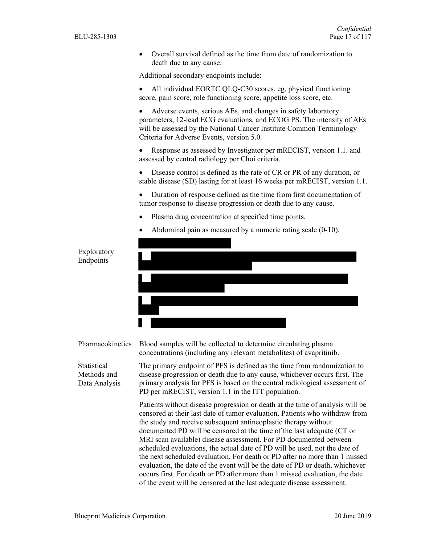• Overall survival defined as the time from date of randomization to death due to any cause.

Additional secondary endpoints include:

All individual EORTC QLQ-C30 scores, eg, physical functioning score, pain score, role functioning score, appetite loss score, etc.

• Adverse events, serious AEs, and changes in safety laboratory parameters, 12-lead ECG evaluations, and ECOG PS. The intensity of AEs will be assessed by the National Cancer Institute Common Terminology Criteria for Adverse Events, version 5.0.

• Response as assessed by Investigator per mRECIST, version 1.1. and assessed by central radiology per Choi criteria.

• Disease control is defined as the rate of CR or PR of any duration, or stable disease (SD) lasting for at least 16 weeks per mRECIST, version 1.1.

- Duration of response defined as the time from first documentation of tumor response to disease progression or death due to any cause.
- Plasma drug concentration at specified time points.
- Abdominal pain as measured by a numeric rating scale (0-10).

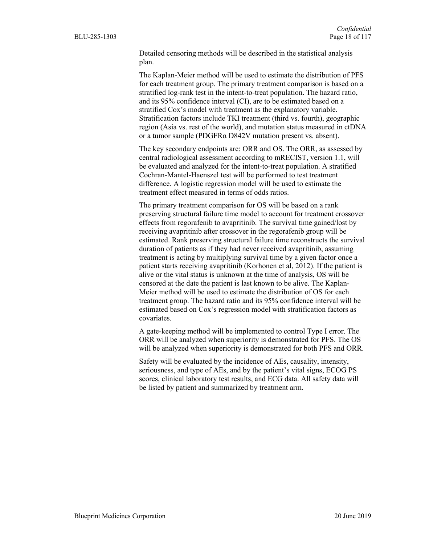Detailed censoring methods will be described in the statistical analysis plan.

The Kaplan-Meier method will be used to estimate the distribution of PFS for each treatment group. The primary treatment comparison is based on a stratified log-rank test in the intent-to-treat population. The hazard ratio, and its 95% confidence interval (CI), are to be estimated based on a stratified Cox's model with treatment as the explanatory variable. Stratification factors include TKI treatment (third vs. fourth), geographic region (Asia vs. rest of the world), and mutation status measured in ctDNA or a tumor sample (PDGFRα D842V mutation present vs. absent).

The key secondary endpoints are: ORR and OS. The ORR, as assessed by central radiological assessment according to mRECIST, version 1.1, will be evaluated and analyzed for the intent-to-treat population. A stratified Cochran-Mantel-Haenszel test will be performed to test treatment difference. A logistic regression model will be used to estimate the treatment effect measured in terms of odds ratios.

The primary treatment comparison for OS will be based on a rank preserving structural failure time model to account for treatment crossover effects from regorafenib to avapritinib. The survival time gained/lost by receiving avapritinib after crossover in the regorafenib group will be estimated. Rank preserving structural failure time reconstructs the survival duration of patients as if they had never received avapritinib, assuming treatment is acting by multiplying survival time by a given factor once a patient starts receiving avapritinib (Korhonen et al, 2012). If the patient is alive or the vital status is unknown at the time of analysis, OS will be censored at the date the patient is last known to be alive. The Kaplan-Meier method will be used to estimate the distribution of OS for each treatment group. The hazard ratio and its 95% confidence interval will be estimated based on Cox's regression model with stratification factors as covariates.

A gate-keeping method will be implemented to control Type I error. The ORR will be analyzed when superiority is demonstrated for PFS. The OS will be analyzed when superiority is demonstrated for both PFS and ORR.

Safety will be evaluated by the incidence of AEs, causality, intensity, seriousness, and type of AEs, and by the patient's vital signs, ECOG PS scores, clinical laboratory test results, and ECG data. All safety data will be listed by patient and summarized by treatment arm.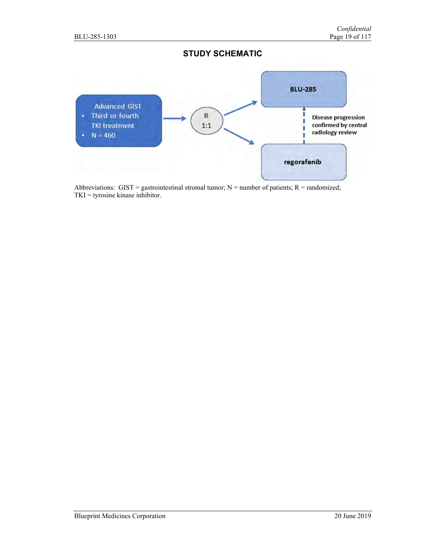## **STUDY SCHEMATIC**



Abbreviations: GIST = gastrointestinal stromal tumor;  $N =$  number of patients;  $R =$  randomized; TKI = tyrosine kinase inhibitor.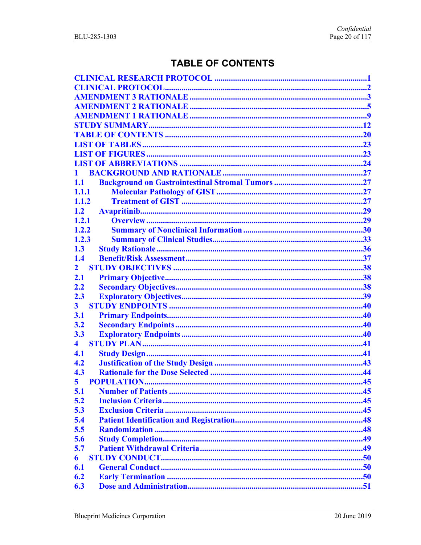# **TABLE OF CONTENTS**

<span id="page-20-0"></span>

| 1.                      |  |  |  |
|-------------------------|--|--|--|
| 1.1                     |  |  |  |
| 1.1.1                   |  |  |  |
| 1.1.2                   |  |  |  |
| 1.2                     |  |  |  |
| 1.2.1                   |  |  |  |
| 1.2.2                   |  |  |  |
| 1.2.3                   |  |  |  |
| 1.3                     |  |  |  |
| 1.4                     |  |  |  |
| $\mathbf{2}$            |  |  |  |
| 2.1                     |  |  |  |
| 2.2                     |  |  |  |
| 2.3                     |  |  |  |
| $\overline{\mathbf{3}}$ |  |  |  |
| 3.1                     |  |  |  |
| 3.2                     |  |  |  |
| 3.3                     |  |  |  |
| $\overline{\mathbf{4}}$ |  |  |  |
| 4.1                     |  |  |  |
| 4.2                     |  |  |  |
| 4.3                     |  |  |  |
|                         |  |  |  |
| 5.1                     |  |  |  |
| 5.2                     |  |  |  |
| 5.3                     |  |  |  |
| 5.4                     |  |  |  |
| 5.5                     |  |  |  |
| 5.6                     |  |  |  |
| 5.7                     |  |  |  |
| 6                       |  |  |  |
| 6.1                     |  |  |  |
|                         |  |  |  |
| 6.2                     |  |  |  |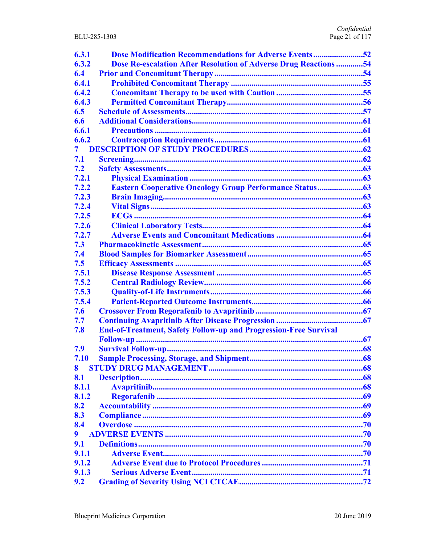| <b>Dose Re-escalation After Resolution of Adverse Drug Reactions 54</b><br>6.3.2<br>6.4<br>6.4.1<br>6.4.2<br>6.4.3<br>6.5<br>6.6<br>6.6.1<br>6.6.2<br>7<br>7.1<br>7.2<br>7.2.1<br>7.2.2<br>7.2.3<br>7.2.4<br>7.2.5<br>7.2.6<br>7.2.7<br>7.3<br>7.4<br>7.5<br>7.5.1<br>7.5.2<br>7.5.3<br>7.5.4<br>7.6<br>7.7<br><b>End-of-Treatment, Safety Follow-up and Progression-Free Survival</b><br>7.8<br>7.9<br>7.10<br>8<br>8.1<br>8.1.1<br>8.1.2<br>8.2<br>8.3<br>8.4<br>9<br>9.1<br>9.1.1<br>9.1.2<br>9.1.3<br>9.2 | 6.3.1 | <b>Dose Modification Recommendations for Adverse Events52</b> |  |
|---------------------------------------------------------------------------------------------------------------------------------------------------------------------------------------------------------------------------------------------------------------------------------------------------------------------------------------------------------------------------------------------------------------------------------------------------------------------------------------------------------------|-------|---------------------------------------------------------------|--|
|                                                                                                                                                                                                                                                                                                                                                                                                                                                                                                               |       |                                                               |  |
|                                                                                                                                                                                                                                                                                                                                                                                                                                                                                                               |       |                                                               |  |
|                                                                                                                                                                                                                                                                                                                                                                                                                                                                                                               |       |                                                               |  |
|                                                                                                                                                                                                                                                                                                                                                                                                                                                                                                               |       |                                                               |  |
|                                                                                                                                                                                                                                                                                                                                                                                                                                                                                                               |       |                                                               |  |
|                                                                                                                                                                                                                                                                                                                                                                                                                                                                                                               |       |                                                               |  |
|                                                                                                                                                                                                                                                                                                                                                                                                                                                                                                               |       |                                                               |  |
|                                                                                                                                                                                                                                                                                                                                                                                                                                                                                                               |       |                                                               |  |
|                                                                                                                                                                                                                                                                                                                                                                                                                                                                                                               |       |                                                               |  |
|                                                                                                                                                                                                                                                                                                                                                                                                                                                                                                               |       |                                                               |  |
|                                                                                                                                                                                                                                                                                                                                                                                                                                                                                                               |       |                                                               |  |
|                                                                                                                                                                                                                                                                                                                                                                                                                                                                                                               |       |                                                               |  |
|                                                                                                                                                                                                                                                                                                                                                                                                                                                                                                               |       |                                                               |  |
|                                                                                                                                                                                                                                                                                                                                                                                                                                                                                                               |       |                                                               |  |
|                                                                                                                                                                                                                                                                                                                                                                                                                                                                                                               |       |                                                               |  |
|                                                                                                                                                                                                                                                                                                                                                                                                                                                                                                               |       |                                                               |  |
|                                                                                                                                                                                                                                                                                                                                                                                                                                                                                                               |       |                                                               |  |
|                                                                                                                                                                                                                                                                                                                                                                                                                                                                                                               |       |                                                               |  |
|                                                                                                                                                                                                                                                                                                                                                                                                                                                                                                               |       |                                                               |  |
|                                                                                                                                                                                                                                                                                                                                                                                                                                                                                                               |       |                                                               |  |
|                                                                                                                                                                                                                                                                                                                                                                                                                                                                                                               |       |                                                               |  |
|                                                                                                                                                                                                                                                                                                                                                                                                                                                                                                               |       |                                                               |  |
|                                                                                                                                                                                                                                                                                                                                                                                                                                                                                                               |       |                                                               |  |
|                                                                                                                                                                                                                                                                                                                                                                                                                                                                                                               |       |                                                               |  |
|                                                                                                                                                                                                                                                                                                                                                                                                                                                                                                               |       |                                                               |  |
|                                                                                                                                                                                                                                                                                                                                                                                                                                                                                                               |       |                                                               |  |
|                                                                                                                                                                                                                                                                                                                                                                                                                                                                                                               |       |                                                               |  |
|                                                                                                                                                                                                                                                                                                                                                                                                                                                                                                               |       |                                                               |  |
|                                                                                                                                                                                                                                                                                                                                                                                                                                                                                                               |       |                                                               |  |
|                                                                                                                                                                                                                                                                                                                                                                                                                                                                                                               |       |                                                               |  |
|                                                                                                                                                                                                                                                                                                                                                                                                                                                                                                               |       |                                                               |  |
|                                                                                                                                                                                                                                                                                                                                                                                                                                                                                                               |       |                                                               |  |
|                                                                                                                                                                                                                                                                                                                                                                                                                                                                                                               |       |                                                               |  |
|                                                                                                                                                                                                                                                                                                                                                                                                                                                                                                               |       |                                                               |  |
|                                                                                                                                                                                                                                                                                                                                                                                                                                                                                                               |       |                                                               |  |
|                                                                                                                                                                                                                                                                                                                                                                                                                                                                                                               |       |                                                               |  |
|                                                                                                                                                                                                                                                                                                                                                                                                                                                                                                               |       |                                                               |  |
|                                                                                                                                                                                                                                                                                                                                                                                                                                                                                                               |       |                                                               |  |
|                                                                                                                                                                                                                                                                                                                                                                                                                                                                                                               |       |                                                               |  |
|                                                                                                                                                                                                                                                                                                                                                                                                                                                                                                               |       |                                                               |  |
|                                                                                                                                                                                                                                                                                                                                                                                                                                                                                                               |       |                                                               |  |
|                                                                                                                                                                                                                                                                                                                                                                                                                                                                                                               |       |                                                               |  |
|                                                                                                                                                                                                                                                                                                                                                                                                                                                                                                               |       |                                                               |  |
|                                                                                                                                                                                                                                                                                                                                                                                                                                                                                                               |       |                                                               |  |
|                                                                                                                                                                                                                                                                                                                                                                                                                                                                                                               |       |                                                               |  |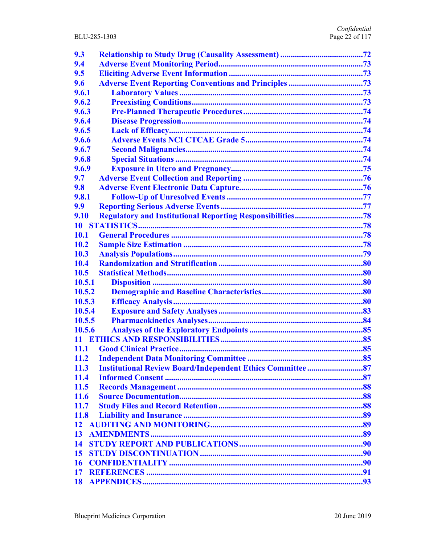| 9.3         |  |
|-------------|--|
| 9.4         |  |
| 9.5         |  |
| 9.6         |  |
| 9.6.1       |  |
| 9.6.2       |  |
| 9.6.3       |  |
| 9.6.4       |  |
| 9.6.5       |  |
| 9.6.6       |  |
| 9.6.7       |  |
| 9.6.8       |  |
| 9.6.9       |  |
| 9.7         |  |
| 9.8         |  |
| 9.8.1       |  |
| 9.9         |  |
| 9.10        |  |
| 10          |  |
| 10.1        |  |
| 10.2        |  |
| 10.3        |  |
| 10.4        |  |
| 10.5        |  |
| 10.5.1      |  |
| 10.5.2      |  |
| 10.5.3      |  |
| 10.5.4      |  |
| 10.5.5      |  |
| 10.5.6      |  |
|             |  |
| 11.1        |  |
|             |  |
| 11.3        |  |
| 11.4        |  |
|             |  |
| 11.5        |  |
| 11.6        |  |
| 11.7        |  |
| <b>11.8</b> |  |
| 12          |  |
| 13          |  |
| 14          |  |
| 15          |  |
| 16          |  |
| 17          |  |
| <b>18</b>   |  |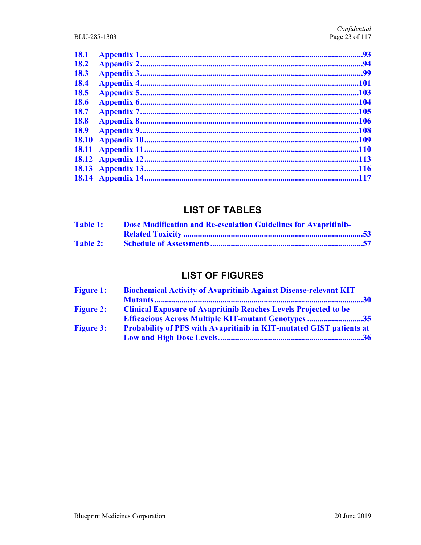| <b>18.1</b>  |     |
|--------------|-----|
| <b>18.2</b>  |     |
| <b>18.3</b>  |     |
| <b>18.4</b>  |     |
| <b>18.5</b>  |     |
| <b>18.6</b>  |     |
| <b>18.7</b>  |     |
| <b>18.8</b>  |     |
| <b>18.9</b>  |     |
| <b>18.10</b> |     |
| <b>18.11</b> |     |
| <b>18.12</b> |     |
| <b>18.13</b> |     |
| <b>18.14</b> | 117 |
|              |     |

# **LIST OF TABLES**

<span id="page-23-0"></span>

| <b>Table 1:</b> | <b>Dose Modification and Re-escalation Guidelines for Avapritinib-</b> |  |
|-----------------|------------------------------------------------------------------------|--|
|                 |                                                                        |  |
| Table 2:        |                                                                        |  |

# **LIST OF FIGURES**

<span id="page-23-1"></span>

| <b>Figure 1:</b> | <b>Biochemical Activity of Avapritinib Against Disease-relevant KIT</b>    |
|------------------|----------------------------------------------------------------------------|
|                  |                                                                            |
| <b>Figure 2:</b> | <b>Clinical Exposure of Avapritinib Reaches Levels Projected to be</b>     |
|                  | <b>Efficacious Across Multiple KIT-mutant Genotypes 35</b>                 |
| <b>Figure 3:</b> | <b>Probability of PFS with Avapritinib in KIT-mutated GIST patients at</b> |
|                  |                                                                            |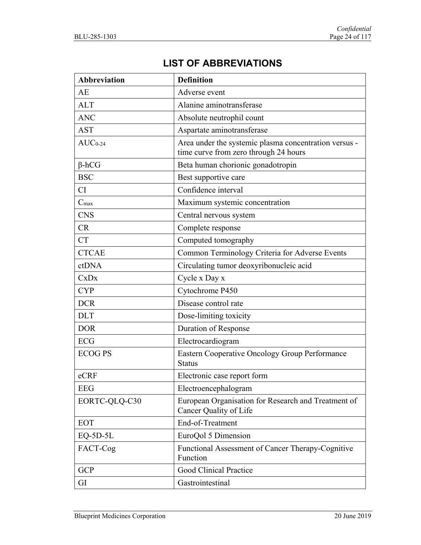<span id="page-24-0"></span>

| <b>Abbreviation</b> | <b>Definition</b>                                                                              |
|---------------------|------------------------------------------------------------------------------------------------|
| AE                  | Adverse event                                                                                  |
| <b>ALT</b>          | Alanine aminotransferase                                                                       |
| <b>ANC</b>          | Absolute neutrophil count                                                                      |
| <b>AST</b>          | Aspartate aminotransferase                                                                     |
| $AUC_{0-24}$        | Area under the systemic plasma concentration versus -<br>time curve from zero through 24 hours |
| $\beta$ -hCG        | Beta human chorionic gonadotropin                                                              |
| <b>BSC</b>          | Best supportive care                                                                           |
| <b>CI</b>           | Confidence interval                                                                            |
| C <sub>max</sub>    | Maximum systemic concentration                                                                 |
| <b>CNS</b>          | Central nervous system                                                                         |
| <b>CR</b>           | Complete response                                                                              |
| <b>CT</b>           | Computed tomography                                                                            |
| <b>CTCAE</b>        | Common Terminology Criteria for Adverse Events                                                 |
| ctDNA               | Circulating tumor deoxyribonucleic acid                                                        |
| CxDx                | Cycle x Day x                                                                                  |
| <b>CYP</b>          | Cytochrome P450                                                                                |
| <b>DCR</b>          | Disease control rate                                                                           |
| <b>DLT</b>          | Dose-limiting toxicity                                                                         |
| <b>DOR</b>          | Duration of Response                                                                           |
| ECG                 | Electrocardiogram                                                                              |
| <b>ECOG PS</b>      | Eastern Cooperative Oncology Group Performance<br><b>Status</b>                                |
| eCRF                | Electronic case report form                                                                    |
| <b>EEG</b>          | Electroencephalogram                                                                           |
| EORTC-QLQ-C30       | European Organisation for Research and Treatment of<br>Cancer Quality of Life                  |
| <b>EOT</b>          | End-of-Treatment                                                                               |
| $EQ-5D-5L$          | EuroQol 5 Dimension                                                                            |
| FACT-Cog            | Functional Assessment of Cancer Therapy-Cognitive<br>Function                                  |
| <b>GCP</b>          | <b>Good Clinical Practice</b>                                                                  |
| GI                  | Gastrointestinal                                                                               |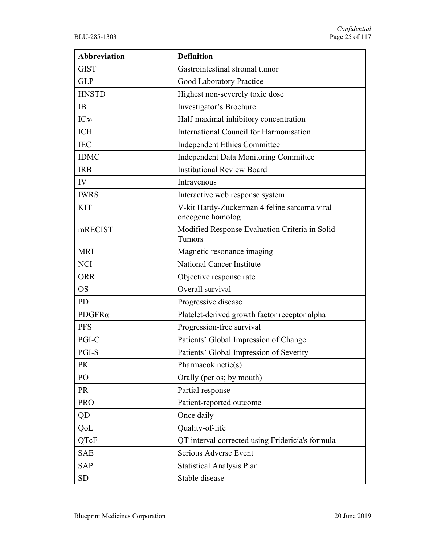| <b>Abbreviation</b> | <b>Definition</b>                                                |
|---------------------|------------------------------------------------------------------|
| <b>GIST</b>         | Gastrointestinal stromal tumor                                   |
| <b>GLP</b>          | <b>Good Laboratory Practice</b>                                  |
| <b>HNSTD</b>        | Highest non-severely toxic dose                                  |
| IB                  | Investigator's Brochure                                          |
| $IC_{50}$           | Half-maximal inhibitory concentration                            |
| <b>ICH</b>          | International Council for Harmonisation                          |
| <b>IEC</b>          | <b>Independent Ethics Committee</b>                              |
| <b>IDMC</b>         | <b>Independent Data Monitoring Committee</b>                     |
| <b>IRB</b>          | <b>Institutional Review Board</b>                                |
| IV                  | Intravenous                                                      |
| <b>IWRS</b>         | Interactive web response system                                  |
| <b>KIT</b>          | V-kit Hardy-Zuckerman 4 feline sarcoma viral<br>oncogene homolog |
| mRECIST             | Modified Response Evaluation Criteria in Solid<br>Tumors         |
| <b>MRI</b>          | Magnetic resonance imaging                                       |
| <b>NCI</b>          | <b>National Cancer Institute</b>                                 |
| <b>ORR</b>          | Objective response rate                                          |
| <b>OS</b>           | Overall survival                                                 |
| PD                  | Progressive disease                                              |
| $PDGFR\alpha$       | Platelet-derived growth factor receptor alpha                    |
| <b>PFS</b>          | Progression-free survival                                        |
| PGI-C               | Patients' Global Impression of Change                            |
| PGI-S               | Patients' Global Impression of Severity                          |
| <b>PK</b>           | Pharmacokinetic(s)                                               |
| PO                  | Orally (per os; by mouth)                                        |
| PR                  | Partial response                                                 |
| <b>PRO</b>          | Patient-reported outcome                                         |
| QD                  | Once daily                                                       |
| QoL                 | Quality-of-life                                                  |
| QTcF                | QT interval corrected using Fridericia's formula                 |
| <b>SAE</b>          | Serious Adverse Event                                            |
| <b>SAP</b>          | <b>Statistical Analysis Plan</b>                                 |
| <b>SD</b>           | Stable disease                                                   |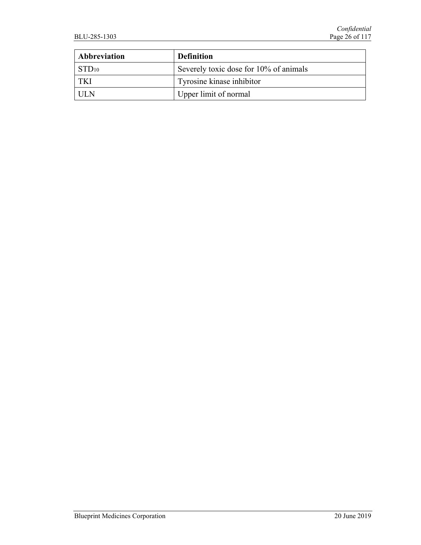| Abbreviation   | <b>Definition</b>                      |
|----------------|----------------------------------------|
| $\rm STD_{10}$ | Severely toxic dose for 10% of animals |
| TKI            | Tyrosine kinase inhibitor              |
| ULN            | Upper limit of normal                  |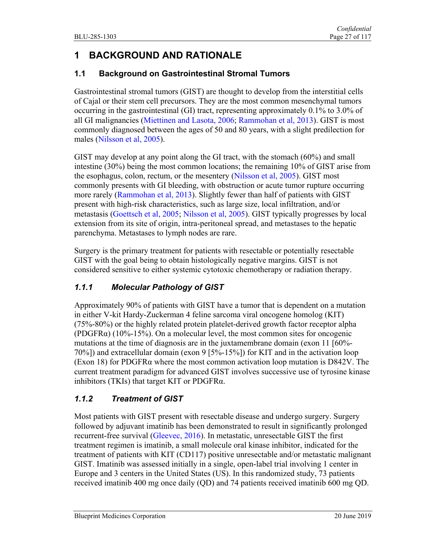# <span id="page-27-0"></span>**1 BACKGROUND AND RATIONALE**

### <span id="page-27-1"></span>**1.1 Background on Gastrointestinal Stromal Tumors**

Gastrointestinal stromal tumors (GIST) are thought to develop from the interstitial cells of Cajal or their stem cell precursors. They are the most common mesenchymal tumors occurring in the gastrointestinal (GI) tract, representing approximately 0.1% to 3.0% of all GI malignancies ([Miettinen and Lasota, 2006](#page-92-0); [Rammohan et al, 2013](#page-92-1)). GIST is most commonly diagnosed between the ages of 50 and 80 years, with a slight predilection for males ([Nilsson et al, 2005](#page-92-2)).

GIST may develop at any point along the GI tract, with the stomach (60%) and small intestine (30%) being the most common locations; the remaining 10% of GIST arise from the esophagus, colon, rectum, or the mesentery ([Nilsson et al, 2005](#page-92-2)). GIST most commonly presents with GI bleeding, with obstruction or acute tumor rupture occurring more rarely [\(Rammohan et al, 2013](#page-92-1)). Slightly fewer than half of patients with GIST present with high-risk characteristics, such as large size, local infiltration, and/or metastasis [\(Goettsch et al, 2005;](#page-91-1) [Nilsson et al, 2005\)](#page-92-2). GIST typically progresses by local extension from its site of origin, intra-peritoneal spread, and metastases to the hepatic parenchyma. Metastases to lymph nodes are rare.

Surgery is the primary treatment for patients with resectable or potentially resectable GIST with the goal being to obtain histologically negative margins. GIST is not considered sensitive to either systemic cytotoxic chemotherapy or radiation therapy.

## <span id="page-27-2"></span>*1.1.1 Molecular Pathology of GIST*

Approximately 90% of patients with GIST have a tumor that is dependent on a mutation in either V-kit Hardy-Zuckerman 4 feline sarcoma viral oncogene homolog (KIT) (75%-80%) or the highly related protein platelet-derived growth factor receptor alpha (PDGFR $\alpha$ ) (10%-15%). On a molecular level, the most common sites for oncogenic mutations at the time of diagnosis are in the juxtamembrane domain (exon 11 [60%- 70%]) and extracellular domain (exon 9 [5%-15%]) for KIT and in the activation loop (Exon 18) for PDGFRα where the most common activation loop mutation is D842V. The current treatment paradigm for advanced GIST involves successive use of tyrosine kinase inhibitors (TKIs) that target KIT or PDGFRα.

## <span id="page-27-3"></span>*1.1.2 Treatment of GIST*

Most patients with GIST present with resectable disease and undergo surgery. Surgery followed by adjuvant imatinib has been demonstrated to result in significantly prolonged recurrent-free survival ([Gleevec, 2016\)](#page-91-2). In metastatic, unresectable GIST the first treatment regimen is imatinib, a small molecule oral kinase inhibitor, indicated for the treatment of patients with KIT (CD117) positive unresectable and/or metastatic malignant GIST. Imatinib was assessed initially in a single, open-label trial involving 1 center in Europe and 3 centers in the United States (US). In this randomized study, 73 patients received imatinib 400 mg once daily (QD) and 74 patients received imatinib 600 mg QD.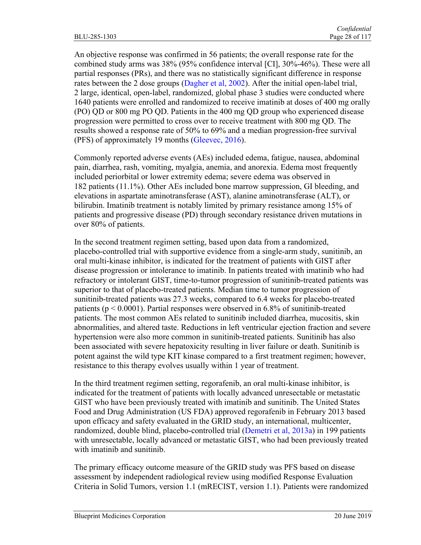An objective response was confirmed in 56 patients; the overall response rate for the combined study arms was 38% (95% confidence interval [CI], 30%-46%). These were all partial responses (PRs), and there was no statistically significant difference in response rates between the 2 dose groups ([Dagher et al, 2002](#page-91-3)). After the initial open-label trial, 2 large, identical, open-label, randomized, global phase 3 studies were conducted where 1640 patients were enrolled and randomized to receive imatinib at doses of 400 mg orally (PO) QD or 800 mg PO QD. Patients in the 400 mg QD group who experienced disease progression were permitted to cross over to receive treatment with 800 mg QD. The results showed a response rate of 50% to 69% and a median progression-free survival (PFS) of approximately 19 months ([Gleevec, 2016\)](#page-91-2).

Commonly reported adverse events (AEs) included edema, fatigue, nausea, abdominal pain, diarrhea, rash, vomiting, myalgia, anemia, and anorexia. Edema most frequently included periorbital or lower extremity edema; severe edema was observed in 182 patients (11.1%). Other AEs included bone marrow suppression, GI bleeding, and elevations in aspartate aminotransferase (AST), alanine aminotransferase (ALT), or bilirubin. Imatinib treatment is notably limited by primary resistance among 15% of patients and progressive disease (PD) through secondary resistance driven mutations in over 80% of patients.

In the second treatment regimen setting, based upon data from a randomized, placebo-controlled trial with supportive evidence from a single-arm study, sunitinib, an oral multi-kinase inhibitor, is indicated for the treatment of patients with GIST after disease progression or intolerance to imatinib. In patients treated with imatinib who had refractory or intolerant GIST, time-to-tumor progression of sunitinib-treated patients was superior to that of placebo-treated patients. Median time to tumor progression of sunitinib-treated patients was 27.3 weeks, compared to 6.4 weeks for placebo-treated patients ( $p < 0.0001$ ). Partial responses were observed in 6.8% of sunitinib-treated patients. The most common AEs related to sunitinib included diarrhea, mucositis, skin abnormalities, and altered taste. Reductions in left ventricular ejection fraction and severe hypertension were also more common in sunitinib-treated patients. Sunitinib has also been associated with severe hepatoxicity resulting in liver failure or death. Sunitinib is potent against the wild type KIT kinase compared to a first treatment regimen; however, resistance to this therapy evolves usually within 1 year of treatment.

In the third treatment regimen setting, regorafenib, an oral multi-kinase inhibitor, is indicated for the treatment of patients with locally advanced unresectable or metastatic GIST who have been previously treated with imatinib and sunitinib. The United States Food and Drug Administration (US FDA) approved regorafenib in February 2013 based upon efficacy and safety evaluated in the GRID study, an international, multicenter, randomized, double blind, placebo-controlled trial ([Demetri et al, 2013a\)](#page-91-4) in 199 patients with unresectable, locally advanced or metastatic GIST, who had been previously treated with imatinib and sunitinib.

The primary efficacy outcome measure of the GRID study was PFS based on disease assessment by independent radiological review using modified Response Evaluation Criteria in Solid Tumors, version 1.1 (mRECIST, version 1.1). Patients were randomized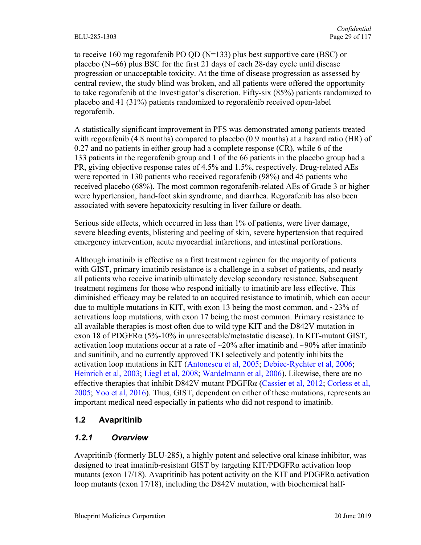to receive 160 mg regorafenib PO QD ( $N=133$ ) plus best supportive care (BSC) or placebo (N=66) plus BSC for the first 21 days of each 28-day cycle until disease progression or unacceptable toxicity. At the time of disease progression as assessed by central review, the study blind was broken, and all patients were offered the opportunity to take regorafenib at the Investigator's discretion. Fifty-six (85%) patients randomized to placebo and 41 (31%) patients randomized to regorafenib received open-label regorafenib.

A statistically significant improvement in PFS was demonstrated among patients treated with regorafenib (4.8 months) compared to placebo (0.9 months) at a hazard ratio (HR) of 0.27 and no patients in either group had a complete response (CR), while 6 of the 133 patients in the regorafenib group and 1 of the 66 patients in the placebo group had a PR, giving objective response rates of 4.5% and 1.5%, respectively. Drug-related AEs were reported in 130 patients who received regorafenib (98%) and 45 patients who received placebo (68%). The most common regorafenib-related AEs of Grade 3 or higher were hypertension, hand-foot skin syndrome, and diarrhea. Regorafenib has also been associated with severe hepatoxicity resulting in liver failure or death.

Serious side effects, which occurred in less than 1% of patients, were liver damage, severe bleeding events, blistering and peeling of skin, severe hypertension that required emergency intervention, acute myocardial infarctions, and intestinal perforations.

Although imatinib is effective as a first treatment regimen for the majority of patients with GIST, primary imatinib resistance is a challenge in a subset of patients, and nearly all patients who receive imatinib ultimately develop secondary resistance. Subsequent treatment regimens for those who respond initially to imatinib are less effective. This diminished efficacy may be related to an acquired resistance to imatinib, which can occur due to multiple mutations in KIT, with exon 13 being the most common, and  $\sim$ 23% of activations loop mutations, with exon 17 being the most common. Primary resistance to all available therapies is most often due to wild type KIT and the D842V mutation in exon 18 of PDGFRα (5%-10% in unresectable/metastatic disease). In KIT-mutant GIST, activation loop mutations occur at a rate of  $\sim$ 20% after imatinib and  $\sim$ 90% after imatinib and sunitinib, and no currently approved TKI selectively and potently inhibits the activation loop mutations in KIT ([Antonescu et al, 2005](#page-91-5); [Debiec-Rychter et al, 2006;](#page-91-6) [Heinrich et al, 2003](#page-91-7); [Liegl et al, 2008;](#page-92-3) [Wardelmann et al, 2006\)](#page-92-4). Likewise, there are no effective therapies that inhibit D842V mutant PDGFRα ([Cassier et al, 2012;](#page-91-8) [Corless et al,](#page-91-9)  [2005;](#page-91-9) [Yoo et al, 2016](#page-92-5)). Thus, GIST, dependent on either of these mutations, represents an important medical need especially in patients who did not respond to imatinib.

## <span id="page-29-0"></span>**1.2 Avapritinib**

## <span id="page-29-1"></span>*1.2.1 Overview*

Avapritinib (formerly BLU-285), a highly potent and selective oral kinase inhibitor, was designed to treat imatinib-resistant GIST by targeting KIT/PDGFRα activation loop mutants (exon 17/18). Avapritinib has potent activity on the KIT and PDGFRα activation loop mutants (exon 17/18), including the D842V mutation, with biochemical half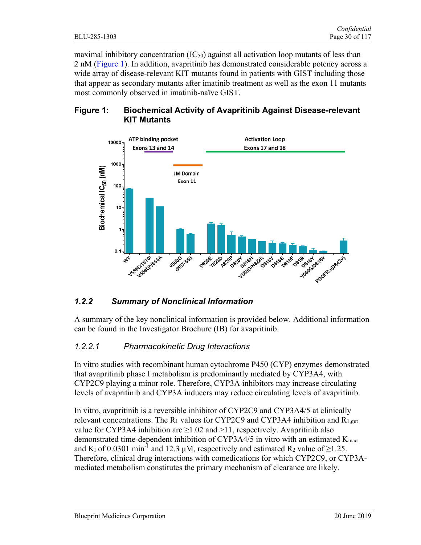maximal inhibitory concentration  $(IC_{50})$  against all activation loop mutants of less than 2 nM ([Figure 1](#page-30-1)). In addition, avapritinib has demonstrated considerable potency across a wide array of disease-relevant KIT mutants found in patients with GIST including those that appear as secondary mutants after imatinib treatment as well as the exon 11 mutants most commonly observed in imatinib-naïve GIST.

#### <span id="page-30-1"></span>**Figure 1: Biochemical Activity of Avapritinib Against Disease-relevant KIT Mutants**



## <span id="page-30-0"></span>*1.2.2 Summary of Nonclinical Information*

A summary of the key nonclinical information is provided below. Additional information can be found in the Investigator Brochure (IB) for avapritinib.

#### *1.2.2.1 Pharmacokinetic Drug Interactions*

In vitro studies with recombinant human cytochrome P450 (CYP) enzymes demonstrated that avapritinib phase I metabolism is predominantly mediated by CYP3A4, with CYP2C9 playing a minor role. Therefore, CYP3A inhibitors may increase circulating levels of avapritinib and CYP3A inducers may reduce circulating levels of avapritinib.

In vitro, avapritinib is a reversible inhibitor of CYP2C9 and CYP3A4/5 at clinically relevant concentrations. The  $R_1$  values for CYP2C9 and CYP3A4 inhibition and  $R_{1, \text{gut}}$ value for CYP3A4 inhibition are  $\geq$ 1.02 and  $>$ 11, respectively. Avapritinib also demonstrated time-dependent inhibition of CYP3A4/5 in vitro with an estimated K<sub>inact</sub> and K<sub>I</sub> of 0.0301 min<sup>-1</sup> and 12.3 µM, respectively and estimated R<sub>2</sub> value of  $\geq$ 1.25. Therefore, clinical drug interactions with comedications for which CYP2C9, or CYP3Amediated metabolism constitutes the primary mechanism of clearance are likely.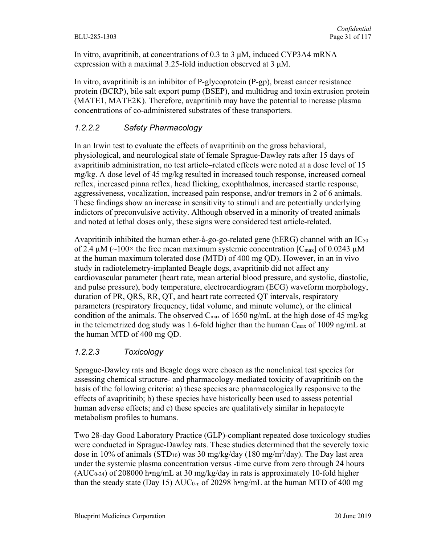In vitro, avapritinib, at concentrations of 0.3 to 3 μM, induced CYP3A4 mRNA expression with a maximal 3.25-fold induction observed at 3 μM.

In vitro, avapritinib is an inhibitor of P-glycoprotein (P-gp), breast cancer resistance protein (BCRP), bile salt export pump (BSEP), and multidrug and toxin extrusion protein (MATE1, MATE2K). Therefore, avapritinib may have the potential to increase plasma concentrations of co-administered substrates of these transporters.

### *1.2.2.2 Safety Pharmacology*

In an Irwin test to evaluate the effects of avapritinib on the gross behavioral, physiological, and neurological state of female Sprague-Dawley rats after 15 days of avapritinib administration, no test article–related effects were noted at a dose level of 15 mg/kg. A dose level of 45 mg/kg resulted in increased touch response, increased corneal reflex, increased pinna reflex, head flicking, exophthalmos, increased startle response, aggressiveness, vocalization, increased pain response, and/or tremors in 2 of 6 animals. These findings show an increase in sensitivity to stimuli and are potentially underlying indictors of preconvulsive activity. Although observed in a minority of treated animals and noted at lethal doses only, these signs were considered test article-related.

Avapritinib inhibited the human ether-à-go-go-related gene (hERG) channel with an  $IC_{50}$ of 2.4  $\mu$ M (~100× the free mean maximum systemic concentration [C<sub>max</sub>] of 0.0243  $\mu$ M at the human maximum tolerated dose (MTD) of 400 mg QD). However, in an in vivo study in radiotelemetry-implanted Beagle dogs, avapritinib did not affect any cardiovascular parameter (heart rate, mean arterial blood pressure, and systolic, diastolic, and pulse pressure), body temperature, electrocardiogram (ECG) waveform morphology, duration of PR, QRS, RR, QT, and heart rate corrected QT intervals, respiratory parameters (respiratory frequency, tidal volume, and minute volume), or the clinical condition of the animals. The observed  $C_{\text{max}}$  of 1650 ng/mL at the high dose of 45 mg/kg in the telemetrized dog study was 1.6-fold higher than the human  $C_{\text{max}}$  of 1009 ng/mL at the human MTD of 400 mg QD.

#### *1.2.2.3 Toxicology*

Sprague-Dawley rats and Beagle dogs were chosen as the nonclinical test species for assessing chemical structure- and pharmacology-mediated toxicity of avapritinib on the basis of the following criteria: a) these species are pharmacologically responsive to the effects of avapritinib; b) these species have historically been used to assess potential human adverse effects; and c) these species are qualitatively similar in hepatocyte metabolism profiles to humans.

Two 28-day Good Laboratory Practice (GLP)-compliant repeated dose toxicology studies were conducted in Sprague-Dawley rats. These studies determined that the severely toxic dose in 10% of animals (STD<sub>10</sub>) was 30 mg/kg/day (180 mg/m<sup>2</sup>/day). The Day last area under the systemic plasma concentration versus -time curve from zero through 24 hours (AUC0-24) of 208000 h•ng/mL at 30 mg/kg/day in rats is approximately 10-fold higher than the steady state (Day 15)  $AUC_{0}$ - $\tau$  of 20298 h•ng/mL at the human MTD of 400 mg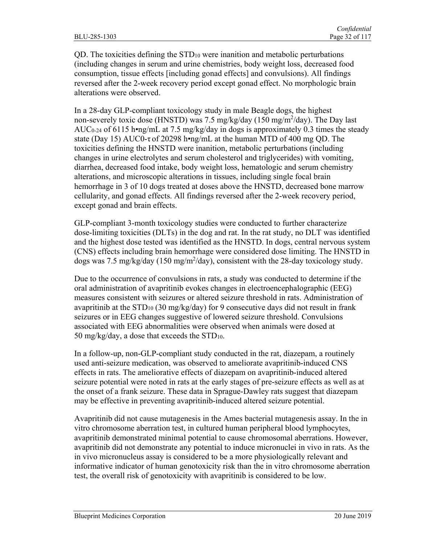QD. The toxicities defining the STD10 were inanition and metabolic perturbations (including changes in serum and urine chemistries, body weight loss, decreased food consumption, tissue effects [including gonad effects] and convulsions). All findings reversed after the 2-week recovery period except gonad effect. No morphologic brain alterations were observed.

In a 28-day GLP-compliant toxicology study in male Beagle dogs, the highest non-severely toxic dose (HNSTD) was 7.5 mg/kg/day (150 mg/m<sup>2</sup>/day). The Day last AUC<sub>0-24</sub> of 6115 h•ng/mL at 7.5 mg/kg/day in dogs is approximately 0.3 times the steady state (Day 15) AUC0-τ of 20298 h•ng/mL at the human MTD of 400 mg QD. The toxicities defining the HNSTD were inanition, metabolic perturbations (including changes in urine electrolytes and serum cholesterol and triglycerides) with vomiting, diarrhea, decreased food intake, body weight loss, hematologic and serum chemistry alterations, and microscopic alterations in tissues, including single focal brain hemorrhage in 3 of 10 dogs treated at doses above the HNSTD, decreased bone marrow cellularity, and gonad effects. All findings reversed after the 2-week recovery period, except gonad and brain effects.

GLP-compliant 3-month toxicology studies were conducted to further characterize dose-limiting toxicities (DLTs) in the dog and rat. In the rat study, no DLT was identified and the highest dose tested was identified as the HNSTD. In dogs, central nervous system (CNS) effects including brain hemorrhage were considered dose limiting. The HNSTD in dogs was 7.5 mg/kg/day (150 mg/m<sup>2</sup>/day), consistent with the 28-day toxicology study.

Due to the occurrence of convulsions in rats, a study was conducted to determine if the oral administration of avapritinib evokes changes in electroencephalographic (EEG) measures consistent with seizures or altered seizure threshold in rats. Administration of avapritinib at the STD10 (30 mg/kg/day) for 9 consecutive days did not result in frank seizures or in EEG changes suggestive of lowered seizure threshold. Convulsions associated with EEG abnormalities were observed when animals were dosed at 50 mg/kg/day, a dose that exceeds the  $STD_{10}$ .

In a follow-up, non-GLP-compliant study conducted in the rat, diazepam, a routinely used anti-seizure medication, was observed to ameliorate avapritinib-induced CNS effects in rats. The ameliorative effects of diazepam on avapritinib-induced altered seizure potential were noted in rats at the early stages of pre-seizure effects as well as at the onset of a frank seizure. These data in Sprague-Dawley rats suggest that diazepam may be effective in preventing avapritinib-induced altered seizure potential.

Avapritinib did not cause mutagenesis in the Ames bacterial mutagenesis assay. In the in vitro chromosome aberration test, in cultured human peripheral blood lymphocytes, avapritinib demonstrated minimal potential to cause chromosomal aberrations. However, avapritinib did not demonstrate any potential to induce micronuclei in vivo in rats. As the in vivo micronucleus assay is considered to be a more physiologically relevant and informative indicator of human genotoxicity risk than the in vitro chromosome aberration test, the overall risk of genotoxicity with avapritinib is considered to be low.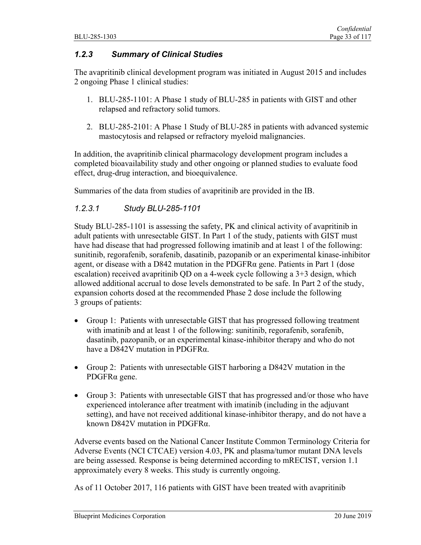#### <span id="page-33-0"></span>*1.2.3 Summary of Clinical Studies*

The avapritinib clinical development program was initiated in August 2015 and includes 2 ongoing Phase 1 clinical studies:

- 1. BLU-285-1101: A Phase 1 study of BLU-285 in patients with GIST and other relapsed and refractory solid tumors.
- 2. BLU-285-2101: A Phase 1 Study of BLU-285 in patients with advanced systemic mastocytosis and relapsed or refractory myeloid malignancies.

In addition, the avapritinib clinical pharmacology development program includes a completed bioavailability study and other ongoing or planned studies to evaluate food effect, drug-drug interaction, and bioequivalence.

Summaries of the data from studies of avapritinib are provided in the IB.

#### *1.2.3.1 Study BLU-285-1101*

Study BLU-285-1101 is assessing the safety, PK and clinical activity of avapritinib in adult patients with unresectable GIST. In Part 1 of the study, patients with GIST must have had disease that had progressed following imatinib and at least 1 of the following: sunitinib, regorafenib, sorafenib, dasatinib, pazopanib or an experimental kinase-inhibitor agent, or disease with a D842 mutation in the PDGFRα gene. Patients in Part 1 (dose escalation) received avapritinib QD on a 4-week cycle following a 3+3 design, which allowed additional accrual to dose levels demonstrated to be safe. In Part 2 of the study, expansion cohorts dosed at the recommended Phase 2 dose include the following 3 groups of patients:

- Group 1: Patients with unresectable GIST that has progressed following treatment with imatinib and at least 1 of the following: sunitinib, regorafenib, sorafenib, dasatinib, pazopanib, or an experimental kinase-inhibitor therapy and who do not have a D842V mutation in PDGFRα.
- Group 2: Patients with unresectable GIST harboring a D842V mutation in the PDGFRα gene.
- Group 3: Patients with unresectable GIST that has progressed and/or those who have experienced intolerance after treatment with imatinib (including in the adjuvant setting), and have not received additional kinase-inhibitor therapy, and do not have a known D842V mutation in PDGFRα.

Adverse events based on the National Cancer Institute Common Terminology Criteria for Adverse Events (NCI CTCAE) version 4.03, PK and plasma/tumor mutant DNA levels are being assessed. Response is being determined according to mRECIST, version 1.1 approximately every 8 weeks. This study is currently ongoing.

As of 11 October 2017, 116 patients with GIST have been treated with avapritinib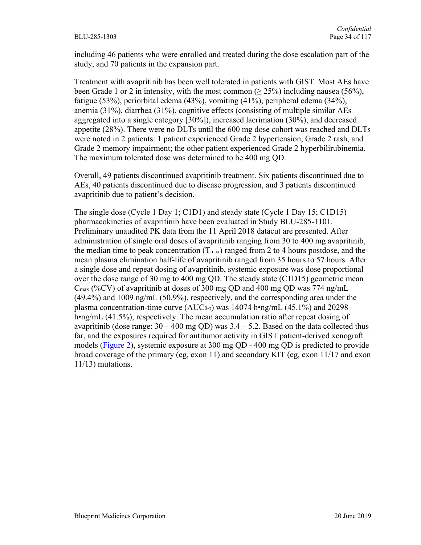including 46 patients who were enrolled and treated during the dose escalation part of the study, and 70 patients in the expansion part.

Treatment with avapritinib has been well tolerated in patients with GIST. Most AEs have been Grade 1 or 2 in intensity, with the most common ( $\geq$  25%) including nausea (56%), fatigue (53%), periorbital edema (43%), vomiting (41%), peripheral edema (34%), anemia (31%), diarrhea (31%), cognitive effects (consisting of multiple similar AEs aggregated into a single category [30%]), increased lacrimation (30%), and decreased appetite (28%). There were no DLTs until the 600 mg dose cohort was reached and DLTs were noted in 2 patients: 1 patient experienced Grade 2 hypertension, Grade 2 rash, and Grade 2 memory impairment; the other patient experienced Grade 2 hyperbilirubinemia. The maximum tolerated dose was determined to be 400 mg QD.

Overall, 49 patients discontinued avapritinib treatment. Six patients discontinued due to AEs, 40 patients discontinued due to disease progression, and 3 patients discontinued avapritinib due to patient's decision.

The single dose (Cycle 1 Day 1; C1D1) and steady state (Cycle 1 Day 15; C1D15) pharmacokinetics of avapritinib have been evaluated in Study BLU-285-1101. Preliminary unaudited PK data from the 11 April 2018 datacut are presented. After administration of single oral doses of avapritinib ranging from 30 to 400 mg avapritinib, the median time to peak concentration  $(T_{\text{max}})$  ranged from 2 to 4 hours postdose, and the mean plasma elimination half-life of avapritinib ranged from 35 hours to 57 hours. After a single dose and repeat dosing of avapritinib, systemic exposure was dose proportional over the dose range of 30 mg to 400 mg QD. The steady state (C1D15) geometric mean  $C_{\text{max}}$  (%CV) of avapritinib at doses of 300 mg OD and 400 mg OD was 774 ng/mL (49.4%) and 1009 ng/mL (50.9%), respectively, and the corresponding area under the plasma concentration-time curve  $(AUC_{0-\tau})$  was 14074 h•ng/mL (45.1%) and 20298 h•ng/mL (41.5%), respectively. The mean accumulation ratio after repeat dosing of avapritinib (dose range:  $30 - 400$  mg OD) was  $3.4 - 5.2$ . Based on the data collected thus far, and the exposures required for antitumor activity in GIST patient-derived xenograft models [\(Figure 2](#page-35-0)), systemic exposure at 300 mg QD - 400 mg QD is predicted to provide broad coverage of the primary (eg, exon 11) and secondary KIT (eg, exon 11/17 and exon 11/13) mutations.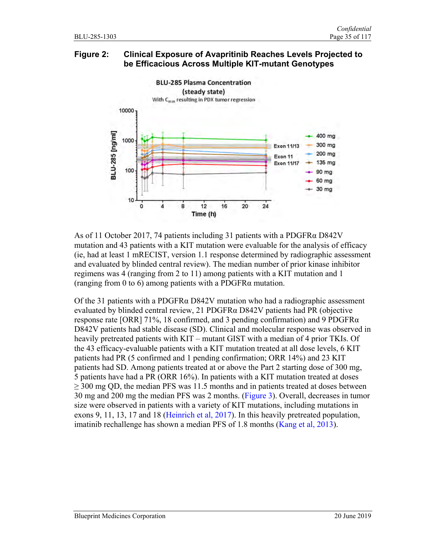#### <span id="page-35-0"></span>**Figure 2: Clinical Exposure of Avapritinib Reaches Levels Projected to be Efficacious Across Multiple KIT-mutant Genotypes**



As of 11 October 2017, 74 patients including 31 patients with a PDGFRα D842V mutation and 43 patients with a KIT mutation were evaluable for the analysis of efficacy (ie, had at least 1 mRECIST, version 1.1 response determined by radiographic assessment and evaluated by blinded central review). The median number of prior kinase inhibitor regimens was 4 (ranging from 2 to 11) among patients with a KIT mutation and 1 (ranging from 0 to 6) among patients with a PDGFRα mutation.

Of the 31 patients with a PDGFR $\alpha$  D842V mutation who had a radiographic assessment evaluated by blinded central review, 21 PDGFRα D842V patients had PR (objective response rate [ORR] 71%, 18 confirmed, and 3 pending confirmation) and 9 PDGFR $\alpha$ D842V patients had stable disease (SD). Clinical and molecular response was observed in heavily pretreated patients with KIT – mutant GIST with a median of 4 prior TKIs. Of the 43 efficacy-evaluable patients with a KIT mutation treated at all dose levels, 6 KIT patients had PR (5 confirmed and 1 pending confirmation; ORR 14%) and 23 KIT patients had SD. Among patients treated at or above the Part 2 starting dose of 300 mg, 5 patients have had a PR (ORR 16%). In patients with a KIT mutation treated at doses  $\geq$  300 mg QD, the median PFS was 11.5 months and in patients treated at doses between 30 mg and 200 mg the median PFS was 2 months. ([Figure 3](#page-36-1)). Overall, decreases in tumor size were observed in patients with a variety of KIT mutations, including mutations in exons 9, 11, 13, 17 and 18 [\(Heinrich et al, 2017](#page-91-10)). In this heavily pretreated population, imatinib rechallenge has shown a median PFS of 1.8 months [\(Kang et al, 2013\)](#page-91-11).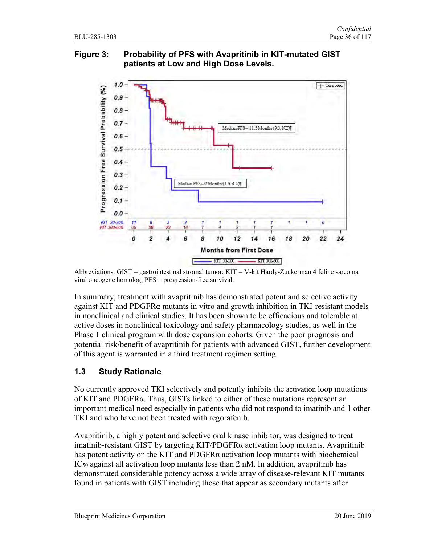### **Figure 3: Probability of PFS with Avapritinib in KIT-mutated GIST patients at Low and High Dose Levels.**



Abbreviations:  $GIST =$  gastrointestinal stromal tumor;  $KIT = V$ -kit Hardy-Zuckerman 4 feline sarcoma viral oncogene homolog; PFS = progression-free survival.

In summary, treatment with avapritinib has demonstrated potent and selective activity against KIT and PDGFRα mutants in vitro and growth inhibition in TKI-resistant models in nonclinical and clinical studies. It has been shown to be efficacious and tolerable at active doses in nonclinical toxicology and safety pharmacology studies, as well in the Phase 1 clinical program with dose expansion cohorts. Given the poor prognosis and potential risk/benefit of avapritinib for patients with advanced GIST, further development of this agent is warranted in a third treatment regimen setting.

### **1.3 Study Rationale**

No currently approved TKI selectively and potently inhibits the activation loop mutations of KIT and PDGFRα. Thus, GISTs linked to either of these mutations represent an important medical need especially in patients who did not respond to imatinib and 1 other TKI and who have not been treated with regorafenib.

Avapritinib, a highly potent and selective oral kinase inhibitor, was designed to treat imatinib-resistant GIST by targeting KIT/PDGFRα activation loop mutants. Avapritinib has potent activity on the KIT and PDGFRα activation loop mutants with biochemical IC50 against all activation loop mutants less than 2 nM. In addition, avapritinib has demonstrated considerable potency across a wide array of disease-relevant KIT mutants found in patients with GIST including those that appear as secondary mutants after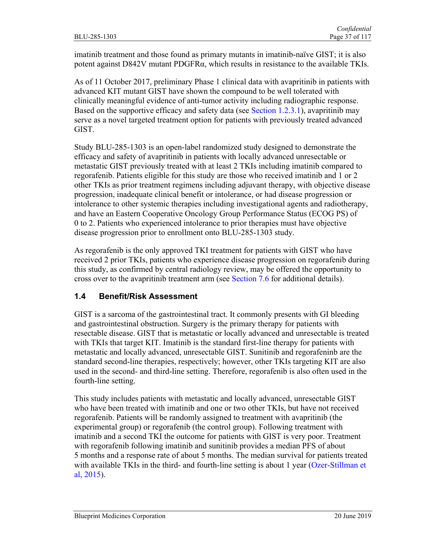imatinib treatment and those found as primary mutants in imatinib-naïve GIST; it is also potent against D842V mutant PDGFRα, which results in resistance to the available TKIs.

As of 11 October 2017, preliminary Phase 1 clinical data with avapritinib in patients with advanced KIT mutant GIST have shown the compound to be well tolerated with clinically meaningful evidence of anti-tumor activity including radiographic response. Based on the supportive efficacy and safety data (see [Section](#page-33-0) 1.2.3.1), avapritinib may serve as a novel targeted treatment option for patients with previously treated advanced GIST.

Study BLU-285-1303 is an open-label randomized study designed to demonstrate the efficacy and safety of avapritinib in patients with locally advanced unresectable or metastatic GIST previously treated with at least 2 TKIs including imatinib compared to regorafenib. Patients eligible for this study are those who received imatinib and 1 or 2 other TKIs as prior treatment regimens including adjuvant therapy, with objective disease progression, inadequate clinical benefit or intolerance, or had disease progression or intolerance to other systemic therapies including investigational agents and radiotherapy, and have an Eastern Cooperative Oncology Group Performance Status (ECOG PS) of 0 to 2. Patients who experienced intolerance to prior therapies must have objective disease progression prior to enrollment onto BLU-285-1303 study.

As regorafenib is the only approved TKI treatment for patients with GIST who have received 2 prior TKIs, patients who experience disease progression on regorafenib during this study, as confirmed by central radiology review, may be offered the opportunity to cross over to the avapritinib treatment arm (see [Section](#page-67-0) 7.6 for additional details).

# **1.4 Benefit/Risk Assessment**

GIST is a sarcoma of the gastrointestinal tract. It commonly presents with GI bleeding and gastrointestinal obstruction. Surgery is the primary therapy for patients with resectable disease. GIST that is metastatic or locally advanced and unresectable is treated with TKIs that target KIT. Imatinib is the standard first-line therapy for patients with metastatic and locally advanced, unresectable GIST. Sunitinib and regorafeninb are the standard second-line therapies, respectively; however, other TKIs targeting KIT are also used in the second- and third-line setting. Therefore, regorafenib is also often used in the fourth-line setting.

This study includes patients with metastatic and locally advanced, unresectable GIST who have been treated with imatinib and one or two other TKIs, but have not received regorafenib. Patients will be randomly assigned to treatment with avapritinib (the experimental group) or regorafenib (the control group). Following treatment with imatinib and a second TKI the outcome for patients with GIST is very poor. Treatment with regorafenib following imatinib and sunitinib provides a median PFS of about 5 months and a response rate of about 5 months. The median survival for patients treated with available TKIs in the third- and fourth-line setting is about 1 year (Ozer-Stillman et [al, 2015\)](#page-92-0).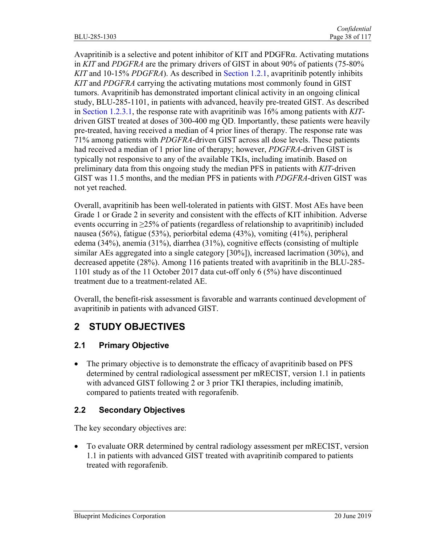Avapritinib is a selective and potent inhibitor of KIT and PDGFRα. Activating mutations in *KIT* and *PDGFRA* are the primary drivers of GIST in about 90% of patients (75-80% *KIT* and 10-15% *PDGFRA*). As described in [Section 1.2.1](#page-29-0), avapritinib potently inhibits *KIT* and *PDGFRA* carrying the activating mutations most commonly found in GIST tumors. Avapritinib has demonstrated important clinical activity in an ongoing clinical study, BLU-285-1101, in patients with advanced, heavily pre-treated GIST. As described in [Section](#page-33-0) 1.2.3.1, the response rate with avapritinib was 16% among patients with *KIT*driven GIST treated at doses of 300-400 mg QD. Importantly, these patients were heavily pre-treated, having received a median of 4 prior lines of therapy. The response rate was 71% among patients with *PDGFRA*-driven GIST across all dose levels. These patients had received a median of 1 prior line of therapy; however, *PDGFRA*-driven GIST is typically not responsive to any of the available TKIs, including imatinib. Based on preliminary data from this ongoing study the median PFS in patients with *KIT*-driven GIST was 11.5 months, and the median PFS in patients with *PDGFRA*-driven GIST was not yet reached.

Overall, avapritinib has been well-tolerated in patients with GIST. Most AEs have been Grade 1 or Grade 2 in severity and consistent with the effects of KIT inhibition. Adverse events occurring in ≥25% of patients (regardless of relationship to avapritinib) included nausea (56%), fatigue (53%), periorbital edema (43%), vomiting (41%), peripheral edema (34%), anemia (31%), diarrhea (31%), cognitive effects (consisting of multiple similar AEs aggregated into a single category [30%]), increased lacrimation (30%), and decreased appetite (28%). Among 116 patients treated with avapritinib in the BLU-285- 1101 study as of the 11 October 2017 data cut-off only 6 (5%) have discontinued treatment due to a treatment-related AE.

Overall, the benefit-risk assessment is favorable and warrants continued development of avapritinib in patients with advanced GIST.

# **2 STUDY OBJECTIVES**

# **2.1 Primary Objective**

• The primary objective is to demonstrate the efficacy of avapritinib based on PFS determined by central radiological assessment per mRECIST, version 1.1 in patients with advanced GIST following 2 or 3 prior TKI therapies, including imatinib, compared to patients treated with regorafenib.

# **2.2 Secondary Objectives**

The key secondary objectives are:

• To evaluate ORR determined by central radiology assessment per mRECIST, version 1.1 in patients with advanced GIST treated with avapritinib compared to patients treated with regorafenib.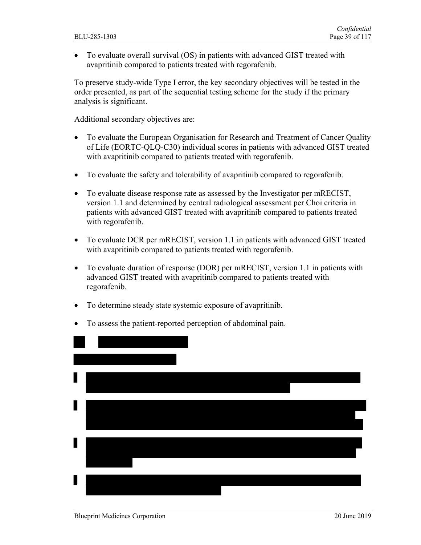• To evaluate overall survival (OS) in patients with advanced GIST treated with avapritinib compared to patients treated with regorafenib.

To preserve study-wide Type I error, the key secondary objectives will be tested in the order presented, as part of the sequential testing scheme for the study if the primary analysis is significant.

Additional secondary objectives are:

- To evaluate the European Organisation for Research and Treatment of Cancer Quality of Life (EORTC-QLQ-C30) individual scores in patients with advanced GIST treated with avapritinib compared to patients treated with regorafenib.
- To evaluate the safety and tolerability of avapritinib compared to regorafenib.
- To evaluate disease response rate as assessed by the Investigator per mRECIST, version 1.1 and determined by central radiological assessment per Choi criteria in patients with advanced GIST treated with avapritinib compared to patients treated with regorafenib.
- To evaluate DCR per mRECIST, version 1.1 in patients with advanced GIST treated with avapritinib compared to patients treated with regorafenib.
- To evaluate duration of response (DOR) per mRECIST, version 1.1 in patients with advanced GIST treated with avapritinib compared to patients treated with regorafenib.
- To determine steady state systemic exposure of avapritinib.
- To assess the patient-reported perception of abdominal pain.

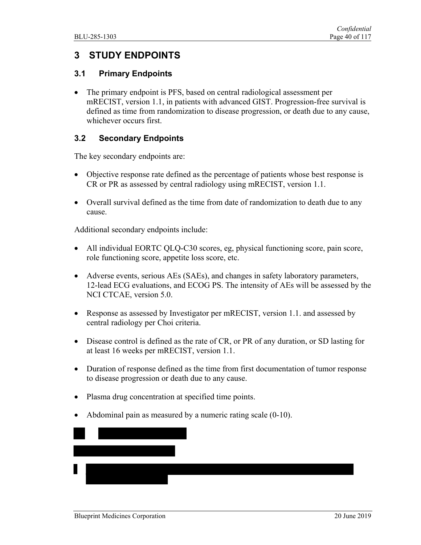# **3 STUDY ENDPOINTS**

### **3.1 Primary Endpoints**

• The primary endpoint is PFS, based on central radiological assessment per mRECIST, version 1.1, in patients with advanced GIST. Progression-free survival is defined as time from randomization to disease progression, or death due to any cause, whichever occurs first.

#### **3.2 Secondary Endpoints**

The key secondary endpoints are:

- Objective response rate defined as the percentage of patients whose best response is CR or PR as assessed by central radiology using mRECIST, version 1.1.
- Overall survival defined as the time from date of randomization to death due to any cause.

Additional secondary endpoints include:

- All individual EORTC QLQ-C30 scores, eg, physical functioning score, pain score, role functioning score, appetite loss score, etc.
- Adverse events, serious AEs (SAEs), and changes in safety laboratory parameters, 12-lead ECG evaluations, and ECOG PS. The intensity of AEs will be assessed by the NCI CTCAE, version 5.0.
- Response as assessed by Investigator per mRECIST, version 1.1. and assessed by central radiology per Choi criteria.
- Disease control is defined as the rate of CR, or PR of any duration, or SD lasting for at least 16 weeks per mRECIST, version 1.1.
- Duration of response defined as the time from first documentation of tumor response to disease progression or death due to any cause.
- Plasma drug concentration at specified time points.
- Abdominal pain as measured by a numeric rating scale (0-10).

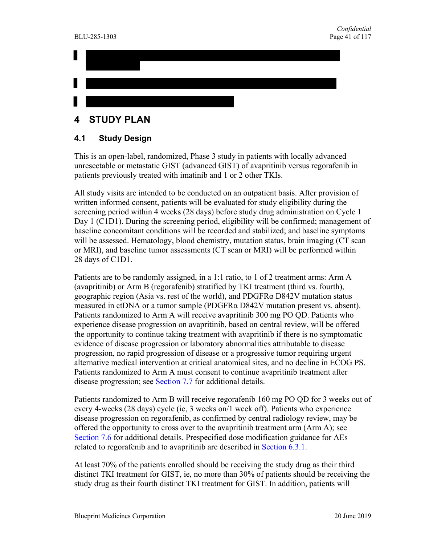

# **4 STUDY PLAN**

# **4.1 Study Design**

This is an open-label, randomized, Phase 3 study in patients with locally advanced unresectable or metastatic GIST (advanced GIST) of avapritinib versus regorafenib in patients previously treated with imatinib and 1 or 2 other TKIs.

All study visits are intended to be conducted on an outpatient basis. After provision of written informed consent, patients will be evaluated for study eligibility during the screening period within 4 weeks (28 days) before study drug administration on Cycle 1 Day 1 (C1D1). During the screening period, eligibility will be confirmed; management of baseline concomitant conditions will be recorded and stabilized; and baseline symptoms will be assessed. Hematology, blood chemistry, mutation status, brain imaging (CT scan or MRI), and baseline tumor assessments (CT scan or MRI) will be performed within 28 days of C1D1.

Patients are to be randomly assigned, in a 1:1 ratio, to 1 of 2 treatment arms: Arm A (avapritinib) or Arm B (regorafenib) stratified by TKI treatment (third vs. fourth), geographic region (Asia vs. rest of the world), and PDGFRα D842V mutation status measured in ctDNA or a tumor sample (PDGFRα D842V mutation present vs. absent). Patients randomized to Arm A will receive avapritinib 300 mg PO QD. Patients who experience disease progression on avapritinib, based on central review, will be offered the opportunity to continue taking treatment with avapritinib if there is no symptomatic evidence of disease progression or laboratory abnormalities attributable to disease progression, no rapid progression of disease or a progressive tumor requiring urgent alternative medical intervention at critical anatomical sites, and no decline in ECOG PS. Patients randomized to Arm A must consent to continue avapritinib treatment after disease progression; see [Section](#page-67-1) 7.7 for additional details.

Patients randomized to Arm B will receive regorafenib 160 mg PO QD for 3 weeks out of every 4-weeks (28 days) cycle (ie, 3 weeks on/1 week off). Patients who experience disease progression on regorafenib, as confirmed by central radiology review, may be offered the opportunity to cross over to the avapritinib treatment arm (Arm A); see [Section](#page-67-0) 7.6 for additional details. Prespecified dose modification guidance for AEs related to regorafenib and to avapritinib are described in [Section](#page-52-0) 6.3.1.

At least 70% of the patients enrolled should be receiving the study drug as their third distinct TKI treatment for GIST, ie, no more than 30% of patients should be receiving the study drug as their fourth distinct TKI treatment for GIST. In addition, patients will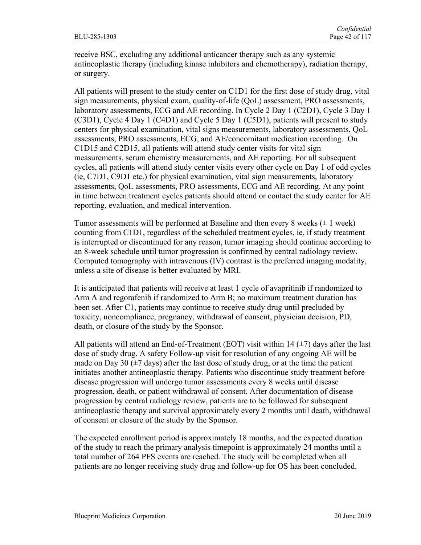receive BSC, excluding any additional anticancer therapy such as any systemic antineoplastic therapy (including kinase inhibitors and chemotherapy), radiation therapy, or surgery.

All patients will present to the study center on C1D1 for the first dose of study drug, vital sign measurements, physical exam, quality-of-life (QoL) assessment, PRO assessments, laboratory assessments, ECG and AE recording. In Cycle 2 Day 1 (C2D1), Cycle 3 Day 1 (C3D1), Cycle 4 Day 1 (C4D1) and Cycle 5 Day 1 (C5D1), patients will present to study centers for physical examination, vital signs measurements, laboratory assessments, QoL assessments, PRO assessments, ECG, and AE/concomitant medication recording. On C1D15 and C2D15, all patients will attend study center visits for vital sign measurements, serum chemistry measurements, and AE reporting. For all subsequent cycles, all patients will attend study center visits every other cycle on Day 1 of odd cycles (ie, C7D1, C9D1 etc.) for physical examination, vital sign measurements, laboratory assessments, QoL assessments, PRO assessments, ECG and AE recording. At any point in time between treatment cycles patients should attend or contact the study center for AE reporting, evaluation, and medical intervention.

Tumor assessments will be performed at Baseline and then every 8 weeks  $(\pm 1$  week) counting from C1D1, regardless of the scheduled treatment cycles, ie, if study treatment is interrupted or discontinued for any reason, tumor imaging should continue according to an 8-week schedule until tumor progression is confirmed by central radiology review. Computed tomography with intravenous (IV) contrast is the preferred imaging modality, unless a site of disease is better evaluated by MRI.

It is anticipated that patients will receive at least 1 cycle of avapritinib if randomized to Arm A and regorafenib if randomized to Arm B; no maximum treatment duration has been set. After C1, patients may continue to receive study drug until precluded by toxicity, noncompliance, pregnancy, withdrawal of consent, physician decision, PD, death, or closure of the study by the Sponsor.

All patients will attend an End-of-Treatment (EOT) visit within 14  $(\pm 7)$  days after the last dose of study drug. A safety Follow-up visit for resolution of any ongoing AE will be made on Day 30  $(\pm 7 \text{ days})$  after the last dose of study drug, or at the time the patient initiates another antineoplastic therapy. Patients who discontinue study treatment before disease progression will undergo tumor assessments every 8 weeks until disease progression, death, or patient withdrawal of consent. After documentation of disease progression by central radiology review, patients are to be followed for subsequent antineoplastic therapy and survival approximately every 2 months until death, withdrawal of consent or closure of the study by the Sponsor.

The expected enrollment period is approximately 18 months, and the expected duration of the study to reach the primary analysis timepoint is approximately 24 months until a total number of 264 PFS events are reached. The study will be completed when all patients are no longer receiving study drug and follow-up for OS has been concluded.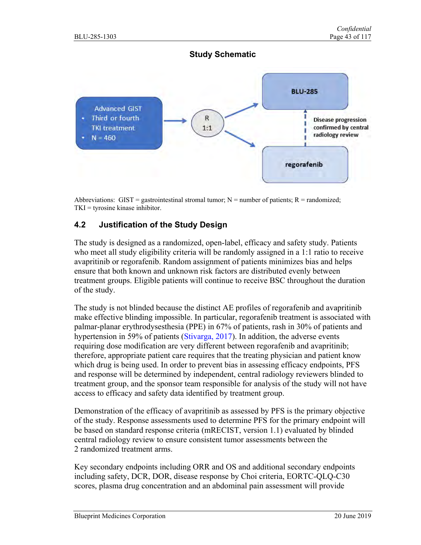#### **Study Schematic**



Abbreviations: GIST = gastrointestinal stromal tumor;  $N =$  number of patients;  $R =$  randomized;  $TKI = tyrosine kinase inhibitor.$ 

## **4.2 Justification of the Study Design**

The study is designed as a randomized, open-label, efficacy and safety study. Patients who meet all study eligibility criteria will be randomly assigned in a 1:1 ratio to receive avapritinib or regorafenib. Random assignment of patients minimizes bias and helps ensure that both known and unknown risk factors are distributed evenly between treatment groups. Eligible patients will continue to receive BSC throughout the duration of the study.

The study is not blinded because the distinct AE profiles of regorafenib and avapritinib make effective blinding impossible. In particular, regorafenib treatment is associated with palmar-planar erythrodysesthesia (PPE) in 67% of patients, rash in 30% of patients and hypertension in 59% of patients ([Stivarga, 2017\)](#page-92-1). In addition, the adverse events requiring dose modification are very different between regorafenib and avapritinib; therefore, appropriate patient care requires that the treating physician and patient know which drug is being used. In order to prevent bias in assessing efficacy endpoints, PFS and response will be determined by independent, central radiology reviewers blinded to treatment group, and the sponsor team responsible for analysis of the study will not have access to efficacy and safety data identified by treatment group.

Demonstration of the efficacy of avapritinib as assessed by PFS is the primary objective of the study. Response assessments used to determine PFS for the primary endpoint will be based on standard response criteria (mRECIST, version 1.1) evaluated by blinded central radiology review to ensure consistent tumor assessments between the 2 randomized treatment arms.

Key secondary endpoints including ORR and OS and additional secondary endpoints including safety, DCR, DOR, disease response by Choi criteria, EORTC-QLQ-C30 scores, plasma drug concentration and an abdominal pain assessment will provide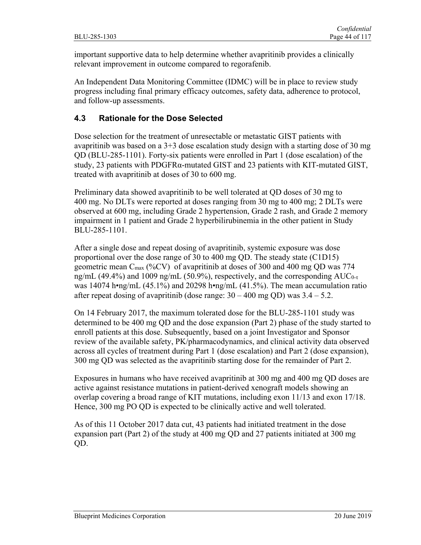important supportive data to help determine whether avapritinib provides a clinically relevant improvement in outcome compared to regorafenib.

An Independent Data Monitoring Committee (IDMC) will be in place to review study progress including final primary efficacy outcomes, safety data, adherence to protocol, and follow-up assessments.

## **4.3 Rationale for the Dose Selected**

Dose selection for the treatment of unresectable or metastatic GIST patients with avapritinib was based on a 3+3 dose escalation study design with a starting dose of 30 mg QD (BLU-285-1101). Forty-six patients were enrolled in Part 1 (dose escalation) of the study, 23 patients with PDGFRα-mutated GIST and 23 patients with KIT-mutated GIST, treated with avapritinib at doses of 30 to 600 mg.

Preliminary data showed avapritinib to be well tolerated at QD doses of 30 mg to 400 mg. No DLTs were reported at doses ranging from 30 mg to 400 mg; 2 DLTs were observed at 600 mg, including Grade 2 hypertension, Grade 2 rash, and Grade 2 memory impairment in 1 patient and Grade 2 hyperbilirubinemia in the other patient in Study BLU-285-1101.

After a single dose and repeat dosing of avapritinib, systemic exposure was dose proportional over the dose range of 30 to 400 mg QD. The steady state (C1D15) geometric mean  $C_{\text{max}}$  (%CV) of avapritinib at doses of 300 and 400 mg QD was 774 ng/mL (49.4%) and 1009 ng/mL (50.9%), respectively, and the corresponding AUC<sub>0-τ</sub> was 14074 h•ng/mL (45.1%) and 20298 h•ng/mL (41.5%). The mean accumulation ratio after repeat dosing of avapritinib (dose range:  $30 - 400$  mg QD) was  $3.4 - 5.2$ .

On 14 February 2017, the maximum tolerated dose for the BLU-285-1101 study was determined to be 400 mg QD and the dose expansion (Part 2) phase of the study started to enroll patients at this dose. Subsequently, based on a joint Investigator and Sponsor review of the available safety, PK/pharmacodynamics, and clinical activity data observed across all cycles of treatment during Part 1 (dose escalation) and Part 2 (dose expansion), 300 mg QD was selected as the avapritinib starting dose for the remainder of Part 2.

Exposures in humans who have received avapritinib at 300 mg and 400 mg QD doses are active against resistance mutations in patient-derived xenograft models showing an overlap covering a broad range of KIT mutations, including exon 11/13 and exon 17/18. Hence, 300 mg PO QD is expected to be clinically active and well tolerated.

As of this 11 October 2017 data cut, 43 patients had initiated treatment in the dose expansion part (Part 2) of the study at 400 mg QD and 27 patients initiated at 300 mg QD.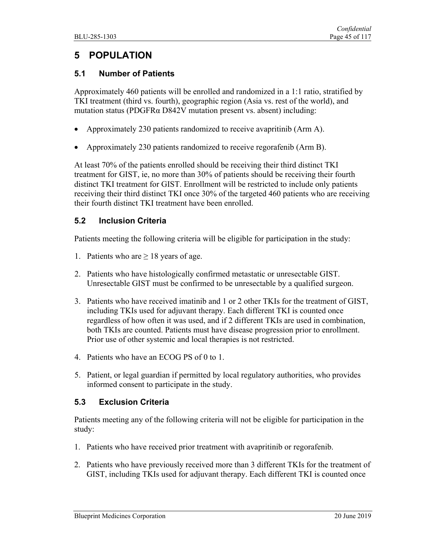# **5 POPULATION**

### **5.1 Number of Patients**

Approximately 460 patients will be enrolled and randomized in a 1:1 ratio, stratified by TKI treatment (third vs. fourth), geographic region (Asia vs. rest of the world), and mutation status (PDGFRα D842V mutation present vs. absent) including:

- Approximately 230 patients randomized to receive avapritinib (Arm A).
- Approximately 230 patients randomized to receive regorafenib (Arm B).

At least 70% of the patients enrolled should be receiving their third distinct TKI treatment for GIST, ie, no more than 30% of patients should be receiving their fourth distinct TKI treatment for GIST. Enrollment will be restricted to include only patients receiving their third distinct TKI once 30% of the targeted 460 patients who are receiving their fourth distinct TKI treatment have been enrolled.

### <span id="page-45-0"></span>**5.2 Inclusion Criteria**

Patients meeting the following criteria will be eligible for participation in the study:

- 1. Patients who are  $\geq 18$  years of age.
- 2. Patients who have histologically confirmed metastatic or unresectable GIST. Unresectable GIST must be confirmed to be unresectable by a qualified surgeon.
- 3. Patients who have received imatinib and 1 or 2 other TKIs for the treatment of GIST, including TKIs used for adjuvant therapy. Each different TKI is counted once regardless of how often it was used, and if 2 different TKIs are used in combination, both TKIs are counted. Patients must have disease progression prior to enrollment. Prior use of other systemic and local therapies is not restricted.
- 4. Patients who have an ECOG PS of 0 to 1.
- 5. Patient, or legal guardian if permitted by local regulatory authorities, who provides informed consent to participate in the study.

### <span id="page-45-1"></span>**5.3 Exclusion Criteria**

Patients meeting any of the following criteria will not be eligible for participation in the study:

- 1. Patients who have received prior treatment with avapritinib or regorafenib.
- 2. Patients who have previously received more than 3 different TKIs for the treatment of GIST, including TKIs used for adjuvant therapy. Each different TKI is counted once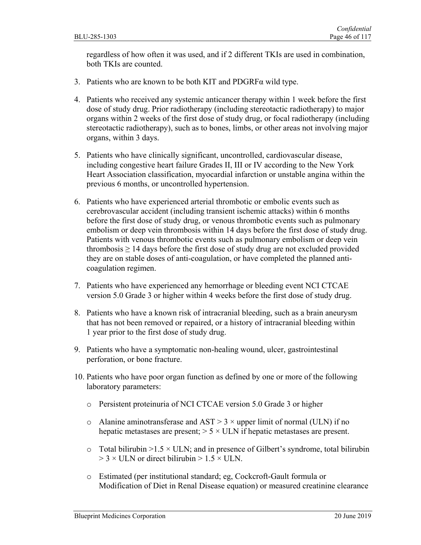regardless of how often it was used, and if 2 different TKIs are used in combination, both TKIs are counted.

- 3. Patients who are known to be both KIT and PDGRFα wild type.
- 4. Patients who received any systemic anticancer therapy within 1 week before the first dose of study drug. Prior radiotherapy (including stereotactic radiotherapy) to major organs within 2 weeks of the first dose of study drug, or focal radiotherapy (including stereotactic radiotherapy), such as to bones, limbs, or other areas not involving major organs, within 3 days.
- 5. Patients who have clinically significant, uncontrolled, cardiovascular disease, including congestive heart failure Grades II, III or IV according to the New York Heart Association classification, myocardial infarction or unstable angina within the previous 6 months, or uncontrolled hypertension.
- 6. Patients who have experienced arterial thrombotic or embolic events such as cerebrovascular accident (including transient ischemic attacks) within 6 months before the first dose of study drug, or venous thrombotic events such as pulmonary embolism or deep vein thrombosis within 14 days before the first dose of study drug. Patients with venous thrombotic events such as pulmonary embolism or deep vein thrombosis  $\geq 14$  days before the first dose of study drug are not excluded provided they are on stable doses of anti-coagulation, or have completed the planned anticoagulation regimen.
- 7. Patients who have experienced any hemorrhage or bleeding event NCI CTCAE version 5.0 Grade 3 or higher within 4 weeks before the first dose of study drug.
- 8. Patients who have a known risk of intracranial bleeding, such as a brain aneurysm that has not been removed or repaired, or a history of intracranial bleeding within 1 year prior to the first dose of study drug.
- 9. Patients who have a symptomatic non-healing wound, ulcer, gastrointestinal perforation, or bone fracture.
- 10. Patients who have poor organ function as defined by one or more of the following laboratory parameters:
	- o Persistent proteinuria of NCI CTCAE version 5.0 Grade 3 or higher
	- o Alanine aminotransferase and  $AST > 3 \times upper$  limit of normal (ULN) if no hepatic metastases are present;  $> 5 \times$  ULN if hepatic metastases are present.
	- $\circ$  Total bilirubin >1.5  $\times$  ULN; and in presence of Gilbert's syndrome, total bilirubin  $> 3 \times$  ULN or direct bilirubin  $> 1.5 \times$  ULN.
	- o Estimated (per institutional standard; eg, Cockcroft-Gault formula or Modification of Diet in Renal Disease equation) or measured creatinine clearance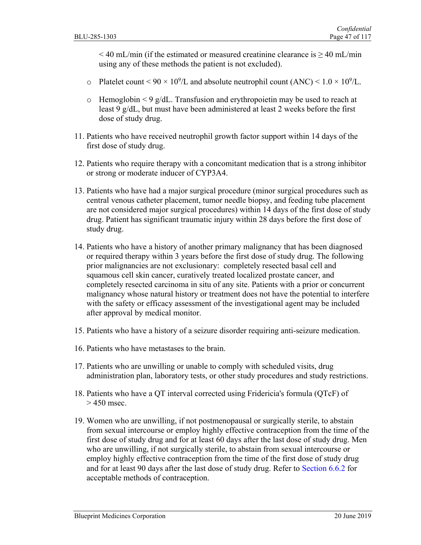$\leq$  40 mL/min (if the estimated or measured creatinine clearance is  $\geq$  40 mL/min using any of these methods the patient is not excluded).

- Platelet count < 90  $\times$  10<sup>9</sup>/L and absolute neutrophil count (ANC) < 1.0  $\times$  10<sup>9</sup>/L.
- o Hemoglobin < 9 g/dL. Transfusion and erythropoietin may be used to reach at least 9 g/dL, but must have been administered at least 2 weeks before the first dose of study drug.
- 11. Patients who have received neutrophil growth factor support within 14 days of the first dose of study drug.
- 12. Patients who require therapy with a concomitant medication that is a strong inhibitor or strong or moderate inducer of CYP3A4.
- 13. Patients who have had a major surgical procedure (minor surgical procedures such as central venous catheter placement, tumor needle biopsy, and feeding tube placement are not considered major surgical procedures) within 14 days of the first dose of study drug. Patient has significant traumatic injury within 28 days before the first dose of study drug.
- 14. Patients who have a history of another primary malignancy that has been diagnosed or required therapy within 3 years before the first dose of study drug. The following prior malignancies are not exclusionary: completely resected basal cell and squamous cell skin cancer, curatively treated localized prostate cancer, and completely resected carcinoma in situ of any site. Patients with a prior or concurrent malignancy whose natural history or treatment does not have the potential to interfere with the safety or efficacy assessment of the investigational agent may be included after approval by medical monitor.
- 15. Patients who have a history of a seizure disorder requiring anti-seizure medication.
- 16. Patients who have metastases to the brain.
- 17. Patients who are unwilling or unable to comply with scheduled visits, drug administration plan, laboratory tests, or other study procedures and study restrictions.
- 18. Patients who have a QT interval corrected using Fridericia's formula (QTcF) of  $> 450$  msec.
- 19. Women who are unwilling, if not postmenopausal or surgically sterile, to abstain from sexual intercourse or employ highly effective contraception from the time of the first dose of study drug and for at least 60 days after the last dose of study drug. Men who are unwilling, if not surgically sterile, to abstain from sexual intercourse or employ highly effective contraception from the time of the first dose of study drug and for at least 90 days after the last dose of study drug. Refer to [Section](#page-61-0) 6.6.2 for acceptable methods of contraception.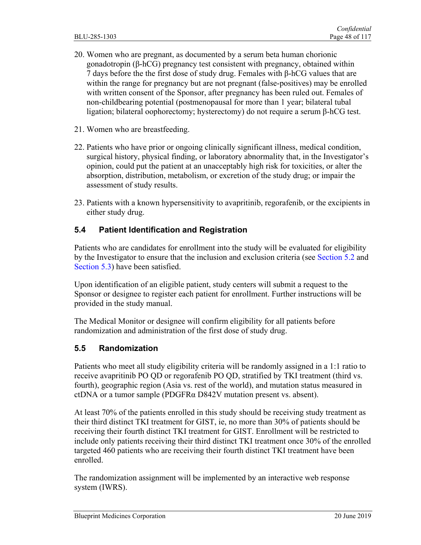- 20. Women who are pregnant, as documented by a serum beta human chorionic gonadotropin (β-hCG) pregnancy test consistent with pregnancy, obtained within 7 days before the the first dose of study drug. Females with β-hCG values that are within the range for pregnancy but are not pregnant (false-positives) may be enrolled with written consent of the Sponsor, after pregnancy has been ruled out. Females of non-childbearing potential (postmenopausal for more than 1 year; bilateral tubal ligation; bilateral oophorectomy; hysterectomy) do not require a serum β-hCG test.
- 21. Women who are breastfeeding.
- 22. Patients who have prior or ongoing clinically significant illness, medical condition, surgical history, physical finding, or laboratory abnormality that, in the Investigator's opinion, could put the patient at an unacceptably high risk for toxicities, or alter the absorption, distribution, metabolism, or excretion of the study drug; or impair the assessment of study results.
- 23. Patients with a known hypersensitivity to avapritinib, regorafenib, or the excipients in either study drug.

## **5.4 Patient Identification and Registration**

Patients who are candidates for enrollment into the study will be evaluated for eligibility by the Investigator to ensure that the inclusion and exclusion criteria (see [Section](#page-45-0) 5.2 and [Section](#page-45-1) 5.3) have been satisfied.

Upon identification of an eligible patient, study centers will submit a request to the Sponsor or designee to register each patient for enrollment. Further instructions will be provided in the study manual.

The Medical Monitor or designee will confirm eligibility for all patients before randomization and administration of the first dose of study drug.

### **5.5 Randomization**

Patients who meet all study eligibility criteria will be randomly assigned in a 1:1 ratio to receive avapritinib PO QD or regorafenib PO QD, stratified by TKI treatment (third vs. fourth), geographic region (Asia vs. rest of the world), and mutation status measured in ctDNA or a tumor sample (PDGFRα D842V mutation present vs. absent).

At least 70% of the patients enrolled in this study should be receiving study treatment as their third distinct TKI treatment for GIST, ie, no more than 30% of patients should be receiving their fourth distinct TKI treatment for GIST. Enrollment will be restricted to include only patients receiving their third distinct TKI treatment once 30% of the enrolled targeted 460 patients who are receiving their fourth distinct TKI treatment have been enrolled.

The randomization assignment will be implemented by an interactive web response system (IWRS).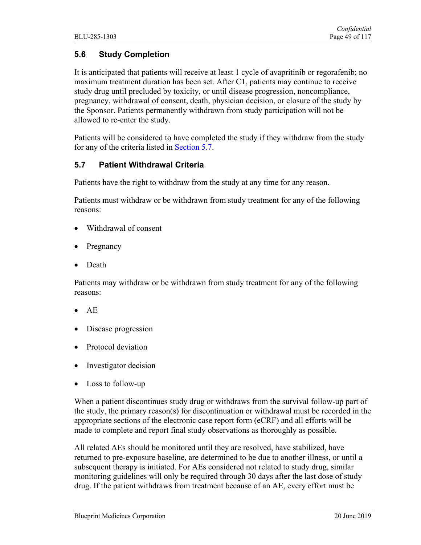## **5.6 Study Completion**

It is anticipated that patients will receive at least 1 cycle of avapritinib or regorafenib; no maximum treatment duration has been set. After C1, patients may continue to receive study drug until precluded by toxicity, or until disease progression, noncompliance, pregnancy, withdrawal of consent, death, physician decision, or closure of the study by the Sponsor. Patients permanently withdrawn from study participation will not be allowed to re-enter the study.

Patients will be considered to have completed the study if they withdraw from the study for any of the criteria listed in [Section](#page-49-0) 5.7.

### <span id="page-49-0"></span>**5.7 Patient Withdrawal Criteria**

Patients have the right to withdraw from the study at any time for any reason.

Patients must withdraw or be withdrawn from study treatment for any of the following reasons:

- Withdrawal of consent
- Pregnancy
- Death

Patients may withdraw or be withdrawn from study treatment for any of the following reasons:

- AE
- Disease progression
- Protocol deviation
- Investigator decision
- Loss to follow-up

When a patient discontinues study drug or withdraws from the survival follow-up part of the study, the primary reason(s) for discontinuation or withdrawal must be recorded in the appropriate sections of the electronic case report form (eCRF) and all efforts will be made to complete and report final study observations as thoroughly as possible.

All related AEs should be monitored until they are resolved, have stabilized, have returned to pre-exposure baseline, are determined to be due to another illness, or until a subsequent therapy is initiated. For AEs considered not related to study drug, similar monitoring guidelines will only be required through 30 days after the last dose of study drug. If the patient withdraws from treatment because of an AE, every effort must be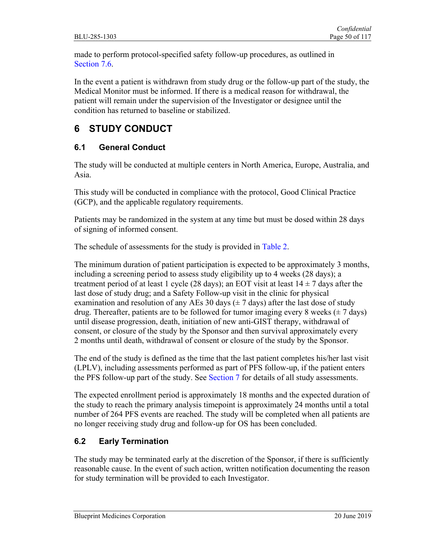made to perform protocol-specified safety follow-up procedures, as outlined in [Section](#page-67-0) 7.6.

In the event a patient is withdrawn from study drug or the follow-up part of the study, the Medical Monitor must be informed. If there is a medical reason for withdrawal, the patient will remain under the supervision of the Investigator or designee until the condition has returned to baseline or stabilized.

# **6 STUDY CONDUCT**

# **6.1 General Conduct**

The study will be conducted at multiple centers in North America, Europe, Australia, and Asia.

This study will be conducted in compliance with the protocol, Good Clinical Practice (GCP), and the applicable regulatory requirements.

Patients may be randomized in the system at any time but must be dosed within 28 days of signing of informed consent.

The schedule of assessments for the study is provided in [Table 2](#page-57-0).

The minimum duration of patient participation is expected to be approximately 3 months, including a screening period to assess study eligibility up to 4 weeks (28 days); a treatment period of at least 1 cycle (28 days); an EOT visit at least  $14 \pm 7$  days after the last dose of study drug; and a Safety Follow-up visit in the clinic for physical examination and resolution of any AEs 30 days ( $\pm$  7 days) after the last dose of study drug. Thereafter, patients are to be followed for tumor imaging every 8 weeks  $(\pm 7 \text{ days})$ until disease progression, death, initiation of new anti-GIST therapy, withdrawal of consent, or closure of the study by the Sponsor and then survival approximately every 2 months until death, withdrawal of consent or closure of the study by the Sponsor.

The end of the study is defined as the time that the last patient completes his/her last visit (LPLV), including assessments performed as part of PFS follow-up, if the patient enters the PFS follow-up part of the study. See [Section](#page-62-0) 7 for details of all study assessments.

The expected enrollment period is approximately 18 months and the expected duration of the study to reach the primary analysis timepoint is approximately 24 months until a total number of 264 PFS events are reached. The study will be completed when all patients are no longer receiving study drug and follow-up for OS has been concluded.

# **6.2 Early Termination**

The study may be terminated early at the discretion of the Sponsor, if there is sufficiently reasonable cause. In the event of such action, written notification documenting the reason for study termination will be provided to each Investigator.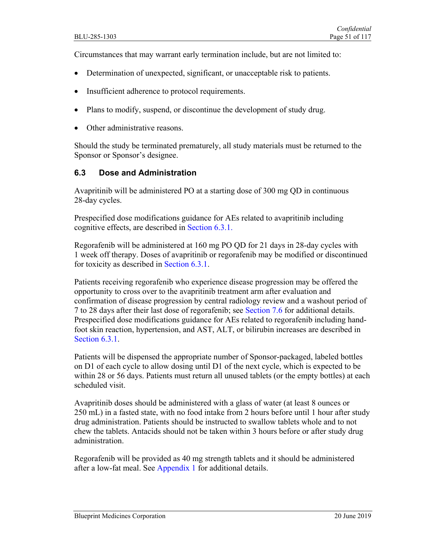Circumstances that may warrant early termination include, but are not limited to:

- Determination of unexpected, significant, or unacceptable risk to patients.
- Insufficient adherence to protocol requirements.
- Plans to modify, suspend, or discontinue the development of study drug.
- Other administrative reasons.

Should the study be terminated prematurely, all study materials must be returned to the Sponsor or Sponsor's designee.

#### **6.3 Dose and Administration**

Avapritinib will be administered PO at a starting dose of 300 mg QD in continuous 28-day cycles.

Prespecified dose modifications guidance for AEs related to avapritinib including cognitive effects, are described in [Section](#page-52-0) 6.3.1.

Regorafenib will be administered at 160 mg PO QD for 21 days in 28-day cycles with 1 week off therapy. Doses of avapritinib or regorafenib may be modified or discontinued for toxicity as described in [Section](#page-52-0) 6.3.1.

Patients receiving regorafenib who experience disease progression may be offered the opportunity to cross over to the avapritinib treatment arm after evaluation and confirmation of disease progression by central radiology review and a washout period of 7 to 28 days after their last dose of regorafenib; see [Section](#page-67-0) 7.6 for additional details. Prespecified dose modifications guidance for AEs related to regorafenib including handfoot skin reaction, hypertension, and AST, ALT, or bilirubin increases are described in [Section](#page-52-0) 6.3.1.

Patients will be dispensed the appropriate number of Sponsor-packaged, labeled bottles on D1 of each cycle to allow dosing until D1 of the next cycle, which is expected to be within 28 or 56 days. Patients must return all unused tablets (or the empty bottles) at each scheduled visit.

Avapritinib doses should be administered with a glass of water (at least 8 ounces or 250 mL) in a fasted state, with no food intake from 2 hours before until 1 hour after study drug administration. Patients should be instructed to swallow tablets whole and to not chew the tablets. Antacids should not be taken within 3 hours before or after study drug administration.

Regorafenib will be provided as 40 mg strength tablets and it should be administered after a low-fat meal. See [Appendix 1](#page-93-0) for additional details.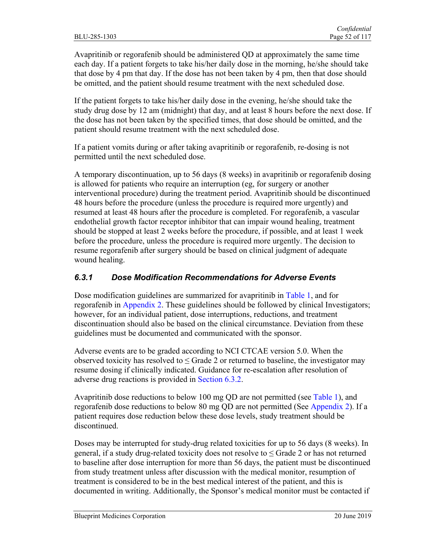Avapritinib or regorafenib should be administered QD at approximately the same time each day. If a patient forgets to take his/her daily dose in the morning, he/she should take that dose by 4 pm that day. If the dose has not been taken by 4 pm, then that dose should be omitted, and the patient should resume treatment with the next scheduled dose.

If the patient forgets to take his/her daily dose in the evening, he/she should take the study drug dose by 12 am (midnight) that day, and at least 8 hours before the next dose. If the dose has not been taken by the specified times, that dose should be omitted, and the patient should resume treatment with the next scheduled dose.

If a patient vomits during or after taking avapritinib or regorafenib, re-dosing is not permitted until the next scheduled dose.

A temporary discontinuation, up to 56 days (8 weeks) in avapritinib or regorafenib dosing is allowed for patients who require an interruption (eg, for surgery or another interventional procedure) during the treatment period. Avapritinib should be discontinued 48 hours before the procedure (unless the procedure is required more urgently) and resumed at least 48 hours after the procedure is completed. For regorafenib, a vascular endothelial growth factor receptor inhibitor that can impair wound healing, treatment should be stopped at least 2 weeks before the procedure, if possible, and at least 1 week before the procedure, unless the procedure is required more urgently. The decision to resume regorafenib after surgery should be based on clinical judgment of adequate wound healing.

# <span id="page-52-0"></span>*6.3.1 Dose Modification Recommendations for Adverse Events*

Dose modification guidelines are summarized for avapritinib in [Table 1](#page-53-0), and for regorafenib in [Appendix 2.](#page-94-0) These guidelines should be followed by clinical Investigators; however, for an individual patient, dose interruptions, reductions, and treatment discontinuation should also be based on the clinical circumstance. Deviation from these guidelines must be documented and communicated with the sponsor.

Adverse events are to be graded according to NCI CTCAE version 5.0. When the observed toxicity has resolved to  $\leq$  Grade 2 or returned to baseline, the investigator may resume dosing if clinically indicated. Guidance for re-escalation after resolution of adverse drug reactions is provided in [Section](#page-54-0) 6.3.2.

Avapritinib dose reductions to below 100 mg QD are not permitted (see [Table 1](#page-53-0)), and regorafenib dose reductions to below 80 mg QD are not permitted (See [Appendix 2](#page-94-0)). If a patient requires dose reduction below these dose levels, study treatment should be discontinued.

Doses may be interrupted for study-drug related toxicities for up to 56 days (8 weeks). In general, if a study drug-related toxicity does not resolve to  $\leq$  Grade 2 or has not returned to baseline after dose interruption for more than 56 days, the patient must be discontinued from study treatment unless after discussion with the medical monitor, resumption of treatment is considered to be in the best medical interest of the patient, and this is documented in writing. Additionally, the Sponsor's medical monitor must be contacted if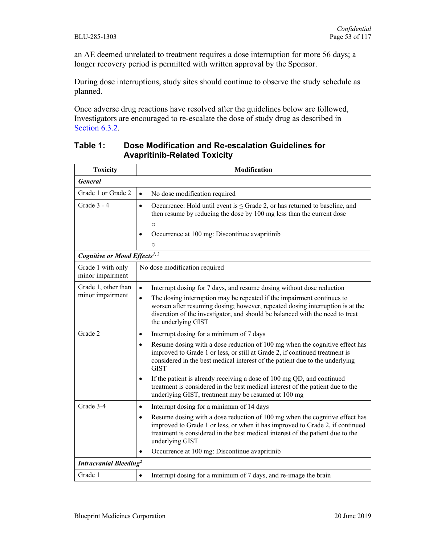an AE deemed unrelated to treatment requires a dose interruption for more 56 days; a longer recovery period is permitted with written approval by the Sponsor.

During dose interruptions, study sites should continue to observe the study schedule as planned.

Once adverse drug reactions have resolved after the guidelines below are followed, Investigators are encouraged to re-escalate the dose of study drug as described in [Section](#page-54-0) 6.3.2.

| <b>Toxicity</b>                           | Modification                                                                                                                                                                                                                                                                   |  |  |  |  |  |  |  |
|-------------------------------------------|--------------------------------------------------------------------------------------------------------------------------------------------------------------------------------------------------------------------------------------------------------------------------------|--|--|--|--|--|--|--|
| <b>General</b>                            |                                                                                                                                                                                                                                                                                |  |  |  |  |  |  |  |
| Grade 1 or Grade 2                        | No dose modification required<br>$\bullet$                                                                                                                                                                                                                                     |  |  |  |  |  |  |  |
| Grade $3 - 4$                             | Occurrence: Hold until event is $\leq$ Grade 2, or has returned to baseline, and<br>$\bullet$<br>then resume by reducing the dose by 100 mg less than the current dose                                                                                                         |  |  |  |  |  |  |  |
|                                           | $\circ$                                                                                                                                                                                                                                                                        |  |  |  |  |  |  |  |
|                                           | Occurrence at 100 mg: Discontinue avapritinib                                                                                                                                                                                                                                  |  |  |  |  |  |  |  |
|                                           | O                                                                                                                                                                                                                                                                              |  |  |  |  |  |  |  |
| Cognitive or Mood Effects <sup>1, 2</sup> |                                                                                                                                                                                                                                                                                |  |  |  |  |  |  |  |
| Grade 1 with only<br>minor impairment     | No dose modification required                                                                                                                                                                                                                                                  |  |  |  |  |  |  |  |
| Grade 1, other than                       | $\bullet$<br>Interrupt dosing for 7 days, and resume dosing without dose reduction                                                                                                                                                                                             |  |  |  |  |  |  |  |
| minor impairment                          | $\bullet$<br>The dosing interruption may be repeated if the impairment continues to<br>worsen after resuming dosing; however, repeated dosing interruption is at the<br>discretion of the investigator, and should be balanced with the need to treat<br>the underlying GIST   |  |  |  |  |  |  |  |
| Grade 2                                   | Interrupt dosing for a minimum of 7 days<br>$\bullet$                                                                                                                                                                                                                          |  |  |  |  |  |  |  |
|                                           | Resume dosing with a dose reduction of 100 mg when the cognitive effect has<br>$\bullet$<br>improved to Grade 1 or less, or still at Grade 2, if continued treatment is<br>considered in the best medical interest of the patient due to the underlying<br><b>GIST</b>         |  |  |  |  |  |  |  |
|                                           | If the patient is already receiving a dose of 100 mg QD, and continued<br>$\bullet$<br>treatment is considered in the best medical interest of the patient due to the<br>underlying GIST, treatment may be resumed at 100 mg                                                   |  |  |  |  |  |  |  |
| Grade 3-4                                 | Interrupt dosing for a minimum of 14 days<br>$\bullet$                                                                                                                                                                                                                         |  |  |  |  |  |  |  |
|                                           | Resume dosing with a dose reduction of 100 mg when the cognitive effect has<br>$\bullet$<br>improved to Grade 1 or less, or when it has improved to Grade 2, if continued<br>treatment is considered in the best medical interest of the patient due to the<br>underlying GIST |  |  |  |  |  |  |  |
|                                           | Occurrence at 100 mg: Discontinue avapritinib                                                                                                                                                                                                                                  |  |  |  |  |  |  |  |
| <b>Intracranial Bleeding<sup>2</sup></b>  |                                                                                                                                                                                                                                                                                |  |  |  |  |  |  |  |
| Grade 1                                   | Interrupt dosing for a minimum of 7 days, and re-image the brain<br>$\bullet$                                                                                                                                                                                                  |  |  |  |  |  |  |  |

### <span id="page-53-0"></span>**Table 1: Dose Modification and Re-escalation Guidelines for Avapritinib-Related Toxicity**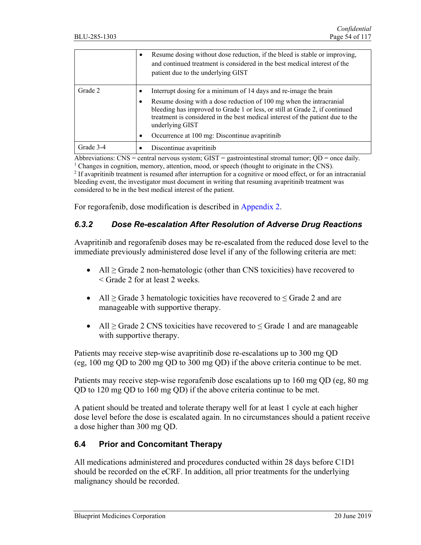|           | ٠ | Resume dosing without dose reduction, if the bleed is stable or improving,<br>and continued treatment is considered in the best medical interest of the<br>patient due to the underlying GIST                                                                                                                               |
|-----------|---|-----------------------------------------------------------------------------------------------------------------------------------------------------------------------------------------------------------------------------------------------------------------------------------------------------------------------------|
| Grade 2   |   | Interrupt dosing for a minimum of 14 days and re-image the brain<br>Resume dosing with a dose reduction of 100 mg when the intracranial<br>bleeding has improved to Grade 1 or less, or still at Grade 2, if continued<br>treatment is considered in the best medical interest of the patient due to the<br>underlying GIST |
|           |   | Occurrence at 100 mg: Discontinue avapritinib                                                                                                                                                                                                                                                                               |
| Grade 3-4 |   | Discontinue avapritinib                                                                                                                                                                                                                                                                                                     |

Abbreviations:  $CNS =$  central nervous system;  $GIST =$  gastrointestinal stromal tumor;  $OD =$  once daily. <sup>1</sup> Changes in cognition, memory, attention, mood, or speech (thought to originate in the CNS). <sup>2</sup> If avapritinib treatment is resumed after interruption for a cognitive or mood effect, or for an intracranial bleeding event, the investigator must document in writing that resuming avapritinib treatment was considered to be in the best medical interest of the patient.

<span id="page-54-0"></span>For regorafenib, dose modification is described in [Appendix 2.](#page-94-0)

### *6.3.2 Dose Re-escalation After Resolution of Adverse Drug Reactions*

Avapritinib and regorafenib doses may be re-escalated from the reduced dose level to the immediate previously administered dose level if any of the following criteria are met:

- All  $\geq$  Grade 2 non-hematologic (other than CNS toxicities) have recovered to < Grade 2 for at least 2 weeks.
- All  $\geq$  Grade 3 hematologic toxicities have recovered to  $\leq$  Grade 2 and are manageable with supportive therapy.
- All  $\geq$  Grade 2 CNS toxicities have recovered to  $\leq$  Grade 1 and are manageable with supportive therapy.

Patients may receive step-wise avapritinib dose re-escalations up to 300 mg QD (eg, 100 mg QD to 200 mg QD to 300 mg QD) if the above criteria continue to be met.

Patients may receive step-wise regorafenib dose escalations up to 160 mg QD (eg, 80 mg QD to 120 mg QD to 160 mg QD) if the above criteria continue to be met.

A patient should be treated and tolerate therapy well for at least 1 cycle at each higher dose level before the dose is escalated again. In no circumstances should a patient receive a dose higher than 300 mg QD.

#### **6.4 Prior and Concomitant Therapy**

All medications administered and procedures conducted within 28 days before C1D1 should be recorded on the eCRF. In addition, all prior treatments for the underlying malignancy should be recorded.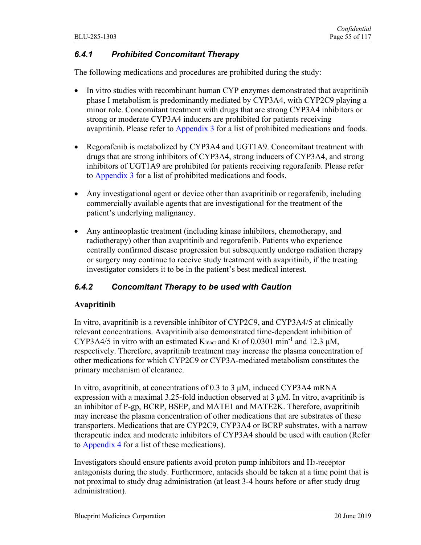# <span id="page-55-0"></span>*6.4.1 Prohibited Concomitant Therapy*

The following medications and procedures are prohibited during the study:

- In vitro studies with recombinant human CYP enzymes demonstrated that avapritinib phase I metabolism is predominantly mediated by CYP3A4, with CYP2C9 playing a minor role. Concomitant treatment with drugs that are strong CYP3A4 inhibitors or strong or moderate CYP3A4 inducers are prohibited for patients receiving avapritinib. Please refer to [Appendix 3](#page-99-0) for a list of prohibited medications and foods.
- Regorafenib is metabolized by CYP3A4 and UGT1A9. Concomitant treatment with drugs that are strong inhibitors of CYP3A4, strong inducers of CYP3A4, and strong inhibitors of UGT1A9 are prohibited for patients receiving regorafenib. Please refer to [Appendix 3](#page-99-0) for a list of prohibited medications and foods.
- Any investigational agent or device other than avapritinib or regorafenib, including commercially available agents that are investigational for the treatment of the patient's underlying malignancy.
- Any antineoplastic treatment (including kinase inhibitors, chemotherapy, and radiotherapy) other than avapritinib and regorafenib. Patients who experience centrally confirmed disease progression but subsequently undergo radiation therapy or surgery may continue to receive study treatment with avapritinib, if the treating investigator considers it to be in the patient's best medical interest.

# <span id="page-55-1"></span>*6.4.2 Concomitant Therapy to be used with Caution*

#### **Avapritinib**

In vitro, avapritinib is a reversible inhibitor of CYP2C9, and CYP3A4/5 at clinically relevant concentrations. Avapritinib also demonstrated time-dependent inhibition of CYP3A4/5 in vitro with an estimated  $K_{\text{inact}}$  and  $K_{\text{I}}$  of 0.0301 min<sup>-1</sup> and 12.3  $\mu$ M, respectively. Therefore, avapritinib treatment may increase the plasma concentration of other medications for which CYP2C9 or CYP3A-mediated metabolism constitutes the primary mechanism of clearance.

In vitro, avapritinib, at concentrations of 0.3 to 3 μM, induced CYP3A4 mRNA expression with a maximal 3.25-fold induction observed at 3 μM. In vitro, avapritinib is an inhibitor of P-gp, BCRP, BSEP, and MATE1 and MATE2K. Therefore, avapritinib may increase the plasma concentration of other medications that are substrates of these transporters. Medications that are CYP2C9, CYP3A4 or BCRP substrates, with a narrow therapeutic index and moderate inhibitors of CYP3A4 should be used with caution (Refer to [Appendix 4](#page-101-0) for a list of these medications).

Investigators should ensure patients avoid proton pump inhibitors and H2-receptor antagonists during the study. Furthermore, antacids should be taken at a time point that is not proximal to study drug administration (at least 3-4 hours before or after study drug administration).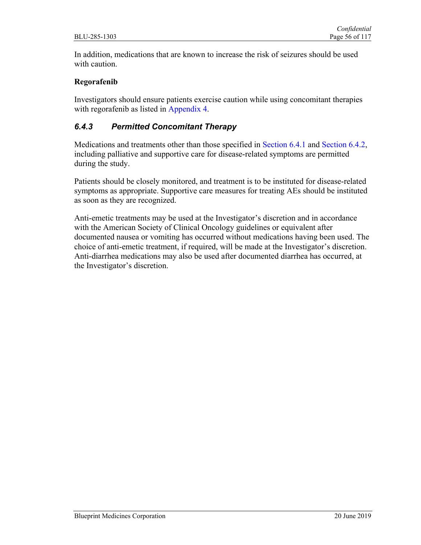In addition, medications that are known to increase the risk of seizures should be used with caution.

#### **Regorafenib**

Investigators should ensure patients exercise caution while using concomitant therapies with regorafenib as listed in [Appendix 4](#page-101-0).

## *6.4.3 Permitted Concomitant Therapy*

Medications and treatments other than those specified in [Section](#page-55-0) 6.4.1 and [Section](#page-55-1) 6.4.2, including palliative and supportive care for disease-related symptoms are permitted during the study.

Patients should be closely monitored, and treatment is to be instituted for disease-related symptoms as appropriate. Supportive care measures for treating AEs should be instituted as soon as they are recognized.

Anti-emetic treatments may be used at the Investigator's discretion and in accordance with the American Society of Clinical Oncology guidelines or equivalent after documented nausea or vomiting has occurred without medications having been used. The choice of anti-emetic treatment, if required, will be made at the Investigator's discretion. Anti-diarrhea medications may also be used after documented diarrhea has occurred, at the Investigator's discretion.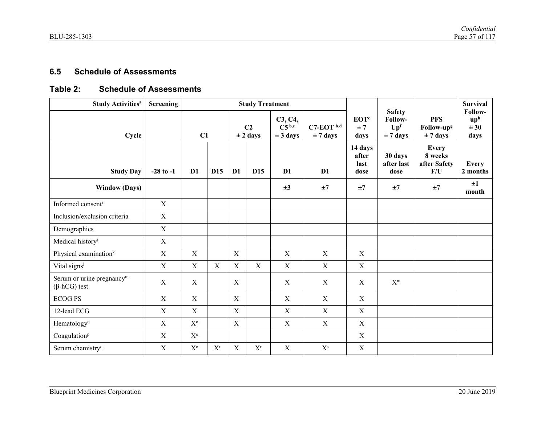# **6.5 Schedule of Assessments**

# **Table 2: Schedule of Assessments**

<span id="page-57-0"></span>

| <b>Study Activities<sup>a</sup></b>                         | Screening     | <b>Study Treatment</b> |                       |                                |                       |                                       |                                          |                                        |                                                             |                                                      | Survival                                       |
|-------------------------------------------------------------|---------------|------------------------|-----------------------|--------------------------------|-----------------------|---------------------------------------|------------------------------------------|----------------------------------------|-------------------------------------------------------------|------------------------------------------------------|------------------------------------------------|
| Cycle                                                       |               | C1                     |                       | C <sub>2</sub><br>$\pm 2$ days |                       | C3, C4,<br>$C5^{b,c}$<br>$\pm$ 3 days | $C7$ -EOT <sup>b,d</sup><br>$\pm$ 7 days | <b>EOT</b> <sup>e</sup><br>± 7<br>days | <b>Safety</b><br>Follow-<br>Up <sup>f</sup><br>$\pm$ 7 days | <b>PFS</b><br>Follow-up <sup>g</sup><br>$\pm$ 7 days | Follow-<br>up <sup>h</sup><br>$\pm 30$<br>days |
| <b>Study Day</b>                                            | $-28$ to $-1$ | D <sub>1</sub>         | <b>D15</b>            | D <sub>1</sub>                 | D <sub>15</sub>       | D <sub>1</sub>                        | D <sub>1</sub>                           | 14 days<br>after<br>last<br>dose       | 30 days<br>after last<br>dose                               | <b>Every</b><br>8 weeks<br>after Safety<br>F/U       | <b>Every</b><br>2 months                       |
| <b>Window (Days)</b>                                        |               |                        |                       |                                |                       | $\pm 3$                               | $\pm 7$                                  | ±7                                     | ±7                                                          | $\pm 7$                                              | $\pm 1$<br>month                               |
| Informed consent <sup>i</sup>                               | $\mathbf X$   |                        |                       |                                |                       |                                       |                                          |                                        |                                                             |                                                      |                                                |
| Inclusion/exclusion criteria                                | $\mathbf X$   |                        |                       |                                |                       |                                       |                                          |                                        |                                                             |                                                      |                                                |
| Demographics                                                | $\mathbf X$   |                        |                       |                                |                       |                                       |                                          |                                        |                                                             |                                                      |                                                |
| Medical history <sup>j</sup>                                | $\mathbf X$   |                        |                       |                                |                       |                                       |                                          |                                        |                                                             |                                                      |                                                |
| Physical examination <sup>k</sup>                           | X             | X                      |                       | X                              |                       | X                                     | $\mathbf X$                              | $\mathbf X$                            |                                                             |                                                      |                                                |
| Vital signs <sup>1</sup>                                    | $\mathbf X$   | $\mathbf X$            | $\mathbf X$           | X                              | $\mathbf X$           | X                                     | $\mathbf X$                              | $\mathbf X$                            |                                                             |                                                      |                                                |
| Serum or urine pregnancy <sup>m</sup><br>$(\beta-hCG)$ test | X             | $\mathbf X$            |                       | X                              |                       | X                                     | X                                        | X                                      | $X^m$                                                       |                                                      |                                                |
| <b>ECOG PS</b>                                              | $\mathbf X$   | $\mathbf X$            |                       | X                              |                       | $\mathbf X$                           | $\mathbf X$                              | $\mathbf X$                            |                                                             |                                                      |                                                |
| 12-lead ECG                                                 | X             | X                      |                       | X                              |                       | X                                     | X                                        | X                                      |                                                             |                                                      |                                                |
| Hematology <sup>n</sup>                                     | $\mathbf X$   | $X^{\mathrm{o}}$       |                       | X                              |                       | $\mathbf X$                           | $\mathbf X$                              | $\mathbf X$                            |                                                             |                                                      |                                                |
| Coagulation <sup>p</sup>                                    | X             | $X^{\text{o}}$         |                       |                                |                       |                                       |                                          | X                                      |                                                             |                                                      |                                                |
| Serum chemistry <sup>q</sup>                                | X             | $X^{\mathrm{o}}$       | $\mathbf{X}^\text{r}$ | X                              | $\mathbf{X}^\text{r}$ | X                                     | $X^s$                                    | $\mathbf X$                            |                                                             |                                                      |                                                |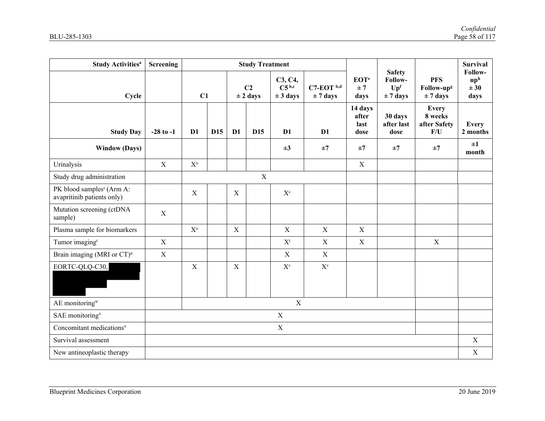| <b>Study Activities<sup>a</sup></b>                                 | <b>Screening</b> | <b>Study Treatment</b>  |     |                                |                 |                                       |                             |                                        |                                                             |                                                | Survival                                       |
|---------------------------------------------------------------------|------------------|-------------------------|-----|--------------------------------|-----------------|---------------------------------------|-----------------------------|----------------------------------------|-------------------------------------------------------------|------------------------------------------------|------------------------------------------------|
| Cycle                                                               |                  | C1                      |     | C <sub>2</sub><br>$\pm 2$ days |                 | C3, C4,<br>$C5^{b,c}$<br>$\pm 3$ days | $C7$ -EOT $b,d$<br>± 7 days | <b>EOT</b> <sup>e</sup><br>± 7<br>days | <b>Safety</b><br>Follow-<br>Up <sup>f</sup><br>$\pm$ 7 days | <b>PFS</b><br>Follow-upg<br>$\pm$ 7 days       | Follow-<br>up <sup>h</sup><br>$\pm 30$<br>days |
| <b>Study Day</b>                                                    | $-28$ to $-1$    | D1                      | D15 | D1                             | D <sub>15</sub> | D1                                    | D1                          | 14 days<br>after<br>last<br>dose       | 30 days<br>after last<br>dose                               | <b>Every</b><br>8 weeks<br>after Safety<br>F/U | <b>Every</b><br>2 months                       |
| <b>Window (Days)</b>                                                |                  |                         |     |                                |                 | $\pm 3$                               | ±7                          | $\pm 7$                                | ±7                                                          | ±7                                             | $\pm 1$<br>month                               |
| Urinalysis                                                          | $\mathbf X$      | $\mathbf{X}^{\text{o}}$ |     |                                |                 |                                       |                             | $\mathbf X$                            |                                                             |                                                |                                                |
| Study drug administration                                           |                  |                         |     |                                | $\mathbf X$     |                                       |                             |                                        |                                                             |                                                |                                                |
| PK blood samples <sup>c</sup> (Arm A:<br>avapritinib patients only) |                  | $\mathbf X$             |     | $\mathbf X$                    |                 | $\mathbf{X}^{\mathrm{c}}$             |                             |                                        |                                                             |                                                |                                                |
| Mutation screening (ctDNA<br>sample)                                | $\mathbf X$      |                         |     |                                |                 |                                       |                             |                                        |                                                             |                                                |                                                |
| Plasma sample for biomarkers                                        |                  | $\mathbf{X}^{\text{o}}$ |     | $\mathbf X$                    |                 | $\mathbf X$                           | $\mathbf X$                 | $\mathbf X$                            |                                                             |                                                |                                                |
| Tumor imaging <sup>t</sup>                                          | $\mathbf X$      |                         |     |                                |                 | $\mathbf{X}^\text{t}$                 | $\mathbf X$                 | $\mathbf X$                            |                                                             | X                                              |                                                |
| Brain imaging (MRI or CT) <sup>u</sup>                              | $\mathbf X$      |                         |     |                                |                 | $\mathbf X$                           | X                           |                                        |                                                             |                                                |                                                |
| EORTC-QLQ-C30,                                                      |                  | $\mathbf X$             |     | $\mathbf X$                    |                 | $\mathbf{X}^{\text{v}}$               | $\mathbf{X}^{\text{v}}$     |                                        |                                                             |                                                |                                                |
| AE monitoring <sup>w</sup>                                          |                  |                         |     |                                |                 | $\mathbf{X}$                          |                             |                                        |                                                             |                                                |                                                |
| SAE monitoring $x$                                                  |                  | $\mathbf X$             |     |                                |                 |                                       |                             |                                        |                                                             |                                                |                                                |
| Concomitant medications <sup>x</sup>                                |                  | $\mathbf X$             |     |                                |                 |                                       |                             |                                        |                                                             |                                                |                                                |
| Survival assessment                                                 |                  |                         |     |                                |                 |                                       |                             |                                        |                                                             |                                                | $\mathbf X$                                    |
| New antineoplastic therapy                                          |                  |                         |     |                                |                 |                                       |                             |                                        |                                                             |                                                | $\mathbf X$                                    |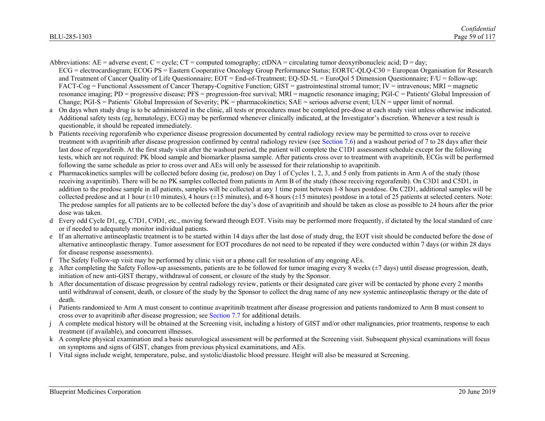Abbreviations:  $AE =$  adverse event;  $C =$  cycle;  $CT =$  computed tomography; ctDNA = circulating tumor deoxyribonucleic acid;  $D =$  day;

- ECG = electrocardiogram; ECOG PS = Eastern Cooperative Oncology Group Performance Status; EORTC-QLQ-C30 = European Organisation for Research and Treatment of Cancer Quality of Life Questionnaire; EOT = End-of-Treatment; EQ-5D-5L = EuroQol 5 Dimension Questionnaire; F/U = follow-up; FACT-Cog = Functional Assessment of Cancer Therapy-Cognitive Function; GIST = gastrointestinal stromal tumor; IV = intravenous; MRI = magnetic resonance imaging; PD = progressive disease; PFS = progression-free survival; MRI = magnetic resonance imaging; PGI-C = Patients' Global Impression of Change; PGI-S = Patients' Global Impression of Severity; PK = pharmacokinetics; SAE = serious adverse event; ULN = upper limit of normal.
- a On days when study drug is to be administered in the clinic, all tests or procedures must be completed pre-dose at each study visit unless otherwise indicated. Additional safety tests (eg, hematology, ECG) may be performed whenever clinically indicated, at the Investigator's discretion. Whenever a test result is questionable, it should be repeated immediately.
- b Patients receiving regorafenib who experience disease progression documented by central radiology review may be permitted to cross over to receive treatment with avapritinib after disease progression confirmed by central radiology review (see [Section](#page-67-2) 7.6) and a washout period of 7 to 28 days after their last dose of regorafenib. At the first study visit after the washout period, the patient will complete the C1D1 assessment schedule except for the following tests, which are not required: PK blood sample and biomarker plasma sample. After patients cross over to treatment with avapritinib, ECGs will be performed following the same schedule as prior to cross over and AEs will only be assessed for their relationship to avapritinib.
- c Pharmacokinetics samples will be collected before dosing (ie, predose) on Day 1 of Cycles 1, 2, 3, and 5 only from patients in Arm A of the study (those receiving avapritinib). There will be no PK samples collected from patients in Arm B of the study (those receiving regorafenib). On C3D1 and C5D1, in addition to the predose sample in all patients, samples will be collected at any 1 time point between 1-8 hours postdose. On C2D1, additional samples will be collected predose and at 1 hour  $(\pm 10 \text{ minutes})$ , 4 hours  $(\pm 15 \text{ minutes})$ , and 6-8 hours  $(\pm 15 \text{ minutes})$  postdose in a total of 25 patients at selected centers. Note: The predose samples for all patients are to be collected before the day's dose of avapritinib and should be taken as close as possible to 24 hours after the prior dose was taken.
- d Every odd Cycle D1, eg, C7D1, C9D1, etc., moving forward through EOT. Visits may be performed more frequently, if dictated by the local standard of care or if needed to adequately monitor individual patients.
- e If an alternative antineoplastic treatment is to be started within 14 days after the last dose of study drug, the EOT visit should be conducted before the dose of alternative antineoplastic therapy. Tumor assessment for EOT procedures do not need to be repeated if they were conducted within 7 days (or within 28 days for disease response assessments).
- f The Safety Follow-up visit may be performed by clinic visit or a phone call for resolution of any ongoing AEs.
- g After completing the Safety Follow-up assessments, patients are to be followed for tumor imaging every 8 weeks  $(\pm 7 \text{ days})$  until disease progression, death, initiation of new anti-GIST therapy, withdrawal of consent, or closure of the study by the Sponsor.
- h After documentation of disease progression by central radiology review, patients or their designated care giver will be contacted by phone every 2 months until withdrawal of consent, death, or closure of the study by the Sponsor to collect the drug name of any new systemic antineoplastic therapy or the date of death.
- i Patients randomized to Arm A must consent to continue avapritinib treatment after disease progression and patients randomized to Arm B must consent to cross over to avapritinib after disease progression; see [Section](#page-67-3) 7.7 for additional details.
- j A complete medical history will be obtained at the Screening visit, including a history of GIST and/or other malignancies, prior treatments, response to each treatment (if available), and concurrent illnesses.
- k A complete physical examination and a basic neurological assessment will be performed at the Screening visit. Subsequent physical examinations will focus on symptoms and signs of GIST, changes from previous physical examinations, and AEs.
- l Vital signs include weight, temperature, pulse, and systolic/diastolic blood pressure. Height will also be measured at Screening.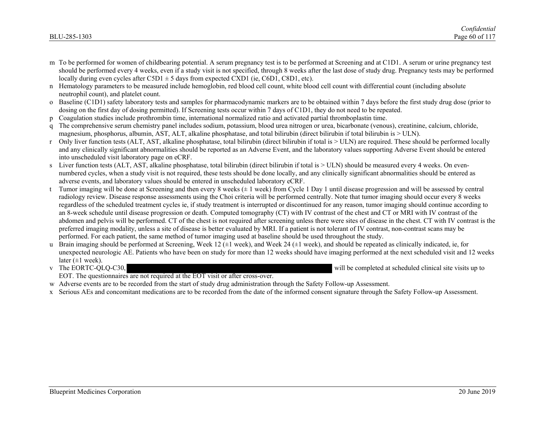- m To be performed for women of childbearing potential. A serum pregnancy test is to be performed at Screening and at C1D1. A serum or urine pregnancy test should be performed every 4 weeks, even if a study visit is not specified, through 8 weeks after the last dose of study drug. Pregnancy tests may be performed locally during even cycles after  $C5D1 \pm 5$  days from expected CXD1 (ie, C6D1, C8D1, etc).
- n Hematology parameters to be measured include hemoglobin, red blood cell count, white blood cell count with differential count (including absolute neutrophil count), and platelet count.
- o Baseline (C1D1) safety laboratory tests and samples for pharmacodynamic markers are to be obtained within 7 days before the first study drug dose (prior to dosing on the first day of dosing permitted). If Screening tests occur within 7 days of C1D1, they do not need to be repeated.
- p Coagulation studies include prothrombin time, international normalized ratio and activated partial thromboplastin time.
- The comprehensive serum chemistry panel includes sodium, potassium, blood urea nitrogen or urea, bicarbonate (venous), creatinine, calcium, chloride, magnesium, phosphorus, albumin, AST, ALT, alkaline phosphatase, and total bilirubin (direct bilirubin if total bilirubin is > ULN).
- r Only liver function tests (ALT, AST, alkaline phosphatase, total bilirubin (direct bilirubin if total is > ULN) are required. These should be performed locally and any clinically significant abnormalities should be reported as an Adverse Event, and the laboratory values supporting Adverse Event should be entered into unscheduled visit laboratory page on eCRF.
- s Liver function tests (ALT, AST, alkaline phosphatase, total bilirubin (direct bilirubin if total is > ULN) should be measured every 4 weeks. On evennumbered cycles, when a study visit is not required, these tests should be done locally, and any clinically significant abnormalities should be entered as adverse events, and laboratory values should be entered in unscheduled laboratory eCRF.
- t Tumor imaging will be done at Screening and then every 8 weeks  $(± 1$  week) from Cycle 1 Day 1 until disease progression and will be assessed by central radiology review. Disease response assessments using the Choi criteria will be performed centrally. Note that tumor imaging should occur every 8 weeks regardless of the scheduled treatment cycles ie, if study treatment is interrupted or discontinued for any reason, tumor imaging should continue according to an 8-week schedule until disease progression or death. Computed tomography (CT) with IV contrast of the chest and CT or MRI with IV contrast of the abdomen and pelvis will be performed. CT of the chest is not required after screening unless there were sites of disease in the chest. CT with IV contrast is the preferred imaging modality, unless a site of disease is better evaluated by MRI. If a patient is not tolerant of IV contrast, non-contrast scans may be performed. For each patient, the same method of tumor imaging used at baseline should be used throughout the study.
- u Brain imaging should be performed at Screening, Week 12 ( $\pm 1$  week), and Week 24 ( $\pm 1$  week), and should be repeated as clinically indicated, ie, for unexpected neurologic AE. Patients who have been on study for more than 12 weeks should have imaging performed at the next scheduled visit and 12 weeks later  $(\pm 1$  week).
- 

v The EORTC-OLO-C30,

- EOT. The questionnaires are not required at the EOT visit or after cross-over.
- w Adverse events are to be recorded from the start of study drug administration through the Safety Follow-up Assessment.
- x Serious AEs and concomitant medications are to be recorded from the date of the informed consent signature through the Safety Follow-up Assessment.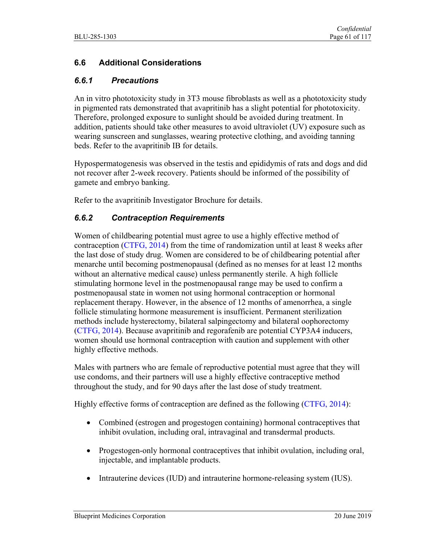# **6.6 Additional Considerations**

## *6.6.1 Precautions*

An in vitro phototoxicity study in 3T3 mouse fibroblasts as well as a phototoxicity study in pigmented rats demonstrated that avapritinib has a slight potential for phototoxicity. Therefore, prolonged exposure to sunlight should be avoided during treatment. In addition, patients should take other measures to avoid ultraviolet (UV) exposure such as wearing sunscreen and sunglasses, wearing protective clothing, and avoiding tanning beds. Refer to the avapritinib IB for details.

Hypospermatogenesis was observed in the testis and epididymis of rats and dogs and did not recover after 2-week recovery. Patients should be informed of the possibility of gamete and embryo banking.

Refer to the avapritinib Investigator Brochure for details.

## <span id="page-61-0"></span>*6.6.2 Contraception Requirements*

Women of childbearing potential must agree to use a highly effective method of contraception [\(CTFG, 2014\)](#page-91-0) from the time of randomization until at least 8 weeks after the last dose of study drug. Women are considered to be of childbearing potential after menarche until becoming postmenopausal (defined as no menses for at least 12 months without an alternative medical cause) unless permanently sterile. A high follicle stimulating hormone level in the postmenopausal range may be used to confirm a postmenopausal state in women not using hormonal contraception or hormonal replacement therapy. However, in the absence of 12 months of amenorrhea, a single follicle stimulating hormone measurement is insufficient. Permanent sterilization methods include hysterectomy, bilateral salpingectomy and bilateral oophorectomy ([CTFG, 2014](#page-91-0)). Because avapritinib and regorafenib are potential CYP3A4 inducers, women should use hormonal contraception with caution and supplement with other highly effective methods.

Males with partners who are female of reproductive potential must agree that they will use condoms, and their partners will use a highly effective contraceptive method throughout the study, and for 90 days after the last dose of study treatment.

Highly effective forms of contraception are defined as the following [\(CTFG, 2014](#page-91-0)):

- Combined (estrogen and progestogen containing) hormonal contraceptives that inhibit ovulation, including oral, intravaginal and transdermal products.
- Progestogen-only hormonal contraceptives that inhibit ovulation, including oral, injectable, and implantable products.
- Intrauterine devices (IUD) and intrauterine hormone-releasing system (IUS).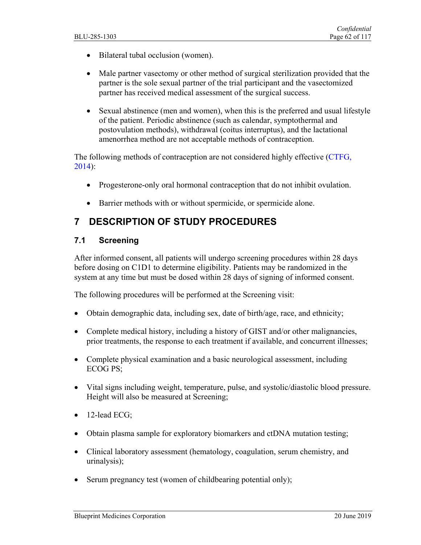- Bilateral tubal occlusion (women).
- Male partner vasectomy or other method of surgical sterilization provided that the partner is the sole sexual partner of the trial participant and the vasectomized partner has received medical assessment of the surgical success.
- Sexual abstinence (men and women), when this is the preferred and usual lifestyle of the patient. Periodic abstinence (such as calendar, symptothermal and postovulation methods), withdrawal (coitus interruptus), and the lactational amenorrhea method are not acceptable methods of contraception.

The following methods of contraception are not considered highly effective [\(CTFG,](#page-91-0) [2014\)](#page-91-0):

- Progesterone-only oral hormonal contraception that do not inhibit ovulation.
- Barrier methods with or without spermicide, or spermicide alone.

# <span id="page-62-0"></span>**7 DESCRIPTION OF STUDY PROCEDURES**

#### **7.1 Screening**

After informed consent, all patients will undergo screening procedures within 28 days before dosing on C1D1 to determine eligibility. Patients may be randomized in the system at any time but must be dosed within 28 days of signing of informed consent.

The following procedures will be performed at the Screening visit:

- Obtain demographic data, including sex, date of birth/age, race, and ethnicity;
- Complete medical history, including a history of GIST and/or other malignancies, prior treatments, the response to each treatment if available, and concurrent illnesses;
- Complete physical examination and a basic neurological assessment, including ECOG PS;
- Vital signs including weight, temperature, pulse, and systolic/diastolic blood pressure. Height will also be measured at Screening;
- 12-lead ECG;
- Obtain plasma sample for exploratory biomarkers and ctDNA mutation testing;
- Clinical laboratory assessment (hematology, coagulation, serum chemistry, and urinalysis);
- Serum pregnancy test (women of childbearing potential only);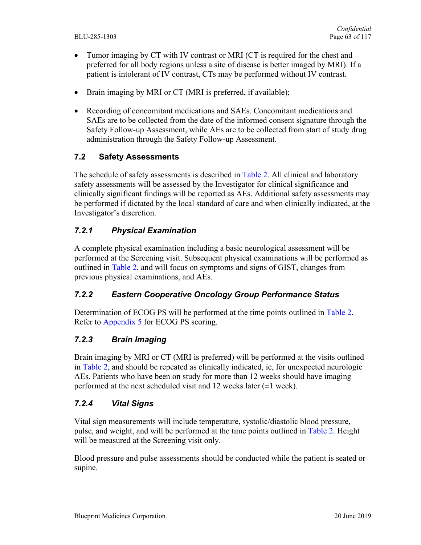- Tumor imaging by CT with IV contrast or MRI (CT is required for the chest and preferred for all body regions unless a site of disease is better imaged by MRI). If a patient is intolerant of IV contrast, CTs may be performed without IV contrast.
- Brain imaging by MRI or CT (MRI is preferred, if available);
- Recording of concomitant medications and SAEs. Concomitant medications and SAEs are to be collected from the date of the informed consent signature through the Safety Follow-up Assessment, while AEs are to be collected from start of study drug administration through the Safety Follow-up Assessment.

## **7.2 Safety Assessments**

The schedule of safety assessments is described in [Table 2.](#page-57-0) All clinical and laboratory safety assessments will be assessed by the Investigator for clinical significance and clinically significant findings will be reported as AEs. Additional safety assessments may be performed if dictated by the local standard of care and when clinically indicated, at the Investigator's discretion.

# *7.2.1 Physical Examination*

A complete physical examination including a basic neurological assessment will be performed at the Screening visit. Subsequent physical examinations will be performed as outlined in [Table 2](#page-57-0), and will focus on symptoms and signs of GIST, changes from previous physical examinations, and AEs.

# *7.2.2 Eastern Cooperative Oncology Group Performance Status*

Determination of ECOG PS will be performed at the time points outlined in [Table 2](#page-57-0). Refer to [Appendix 5](#page-103-0) for ECOG PS scoring.

### *7.2.3 Brain Imaging*

Brain imaging by MRI or CT (MRI is preferred) will be performed at the visits outlined in [Table 2,](#page-57-0) and should be repeated as clinically indicated, ie, for unexpected neurologic AEs. Patients who have been on study for more than 12 weeks should have imaging performed at the next scheduled visit and 12 weeks later  $(\pm 1$  week).

# *7.2.4 Vital Signs*

Vital sign measurements will include temperature, systolic/diastolic blood pressure, pulse, and weight, and will be performed at the time points outlined in [Table 2.](#page-57-0) Height will be measured at the Screening visit only.

Blood pressure and pulse assessments should be conducted while the patient is seated or supine.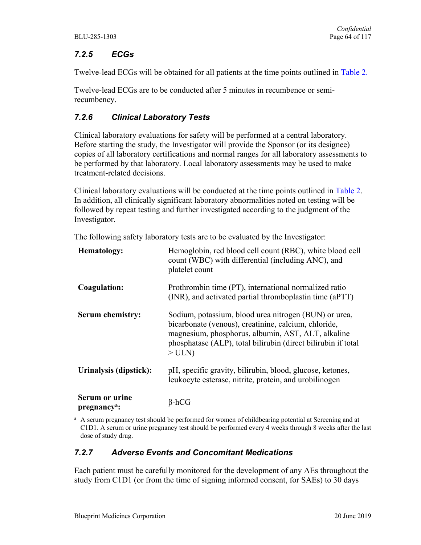# *7.2.5 ECGs*

Twelve-lead ECGs will be obtained for all patients at the time points outlined in [Table 2.](#page-57-0)

Twelve-lead ECGs are to be conducted after 5 minutes in recumbence or semirecumbency.

# *7.2.6 Clinical Laboratory Tests*

Clinical laboratory evaluations for safety will be performed at a central laboratory. Before starting the study, the Investigator will provide the Sponsor (or its designee) copies of all laboratory certifications and normal ranges for all laboratory assessments to be performed by that laboratory. Local laboratory assessments may be used to make treatment-related decisions.

Clinical laboratory evaluations will be conducted at the time points outlined in [Table 2](#page-57-0). In addition, all clinically significant laboratory abnormalities noted on testing will be followed by repeat testing and further investigated according to the judgment of the Investigator.

The following safety laboratory tests are to be evaluated by the Investigator:

| <b>Hematology:</b>                      | Hemoglobin, red blood cell count (RBC), white blood cell<br>count (WBC) with differential (including ANC), and<br>platelet count                                                                                                                 |
|-----------------------------------------|--------------------------------------------------------------------------------------------------------------------------------------------------------------------------------------------------------------------------------------------------|
| Coagulation:                            | Prothrombin time (PT), international normalized ratio<br>(INR), and activated partial thromboplastin time (aPTT)                                                                                                                                 |
| <b>Serum chemistry:</b>                 | Sodium, potassium, blood urea nitrogen (BUN) or urea,<br>bicarbonate (venous), creatinine, calcium, chloride,<br>magnesium, phosphorus, albumin, AST, ALT, alkaline<br>phosphatase (ALP), total bilirubin (direct bilirubin if total<br>$>$ ULN) |
| Urinalysis (dipstick):                  | pH, specific gravity, bilirubin, blood, glucose, ketones,<br>leukocyte esterase, nitrite, protein, and urobilinogen                                                                                                                              |
| <b>Serum or urine</b><br>$pregnancya$ : | β-hCG                                                                                                                                                                                                                                            |

a A serum pregnancy test should be performed for women of childbearing potential at Screening and at C1D1. A serum or urine pregnancy test should be performed every 4 weeks through 8 weeks after the last dose of study drug.

### *7.2.7 Adverse Events and Concomitant Medications*

Each patient must be carefully monitored for the development of any AEs throughout the study from C1D1 (or from the time of signing informed consent, for SAEs) to 30 days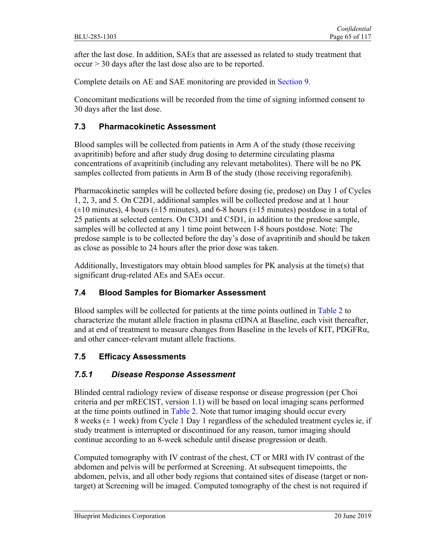after the last dose. In addition, SAEs that are assessed as related to study treatment that occur > 30 days after the last dose also are to be reported.

Complete details on AE and SAE monitoring are provided in [Section](#page-70-0) 9.

Concomitant medications will be recorded from the time of signing informed consent to 30 days after the last dose.

### **7.3 Pharmacokinetic Assessment**

Blood samples will be collected from patients in Arm A of the study (those receiving avapritinib) before and after study drug dosing to determine circulating plasma concentrations of avapritinib (including any relevant metabolites). There will be no PK samples collected from patients in Arm B of the study (those receiving regorafenib).

Pharmacokinetic samples will be collected before dosing (ie, predose) on Day 1 of Cycles 1, 2, 3, and 5. On C2D1, additional samples will be collected predose and at 1 hour  $(\pm 10 \text{ minutes})$ , 4 hours ( $\pm 15 \text{ minutes}$ ), and 6-8 hours ( $\pm 15 \text{ minutes}$ ) postdose in a total of 25 patients at selected centers. On C3D1 and C5D1, in addition to the predose sample, samples will be collected at any 1 time point between 1-8 hours postdose. Note: The predose sample is to be collected before the day's dose of avapritinib and should be taken as close as possible to 24 hours after the prior dose was taken.

Additionally, Investigators may obtain blood samples for PK analysis at the time(s) that significant drug-related AEs and SAEs occur.

### **7.4 Blood Samples for Biomarker Assessment**

Blood samples will be collected for patients at the time points outlined in [Table 2](#page-57-0) to characterize the mutant allele fraction in plasma ctDNA at Baseline, each visit thereafter, and at end of treatment to measure changes from Baseline in the levels of KIT, PDGFRα, and other cancer-relevant mutant allele fractions.

# **7.5 Efficacy Assessments**

# *7.5.1 Disease Response Assessment*

Blinded central radiology review of disease response or disease progression (per Choi criteria and per mRECIST, version 1.1) will be based on local imaging scans performed at the time points outlined in [Table 2](#page-57-0). Note that tumor imaging should occur every 8 weeks  $(\pm 1$  week) from Cycle 1 Day 1 regardless of the scheduled treatment cycles ie, if study treatment is interrupted or discontinued for any reason, tumor imaging should continue according to an 8-week schedule until disease progression or death.

Computed tomography with IV contrast of the chest, CT or MRI with IV contrast of the abdomen and pelvis will be performed at Screening. At subsequent timepoints, the abdomen, pelvis, and all other body regions that contained sites of disease (target or nontarget) at Screening will be imaged. Computed tomography of the chest is not required if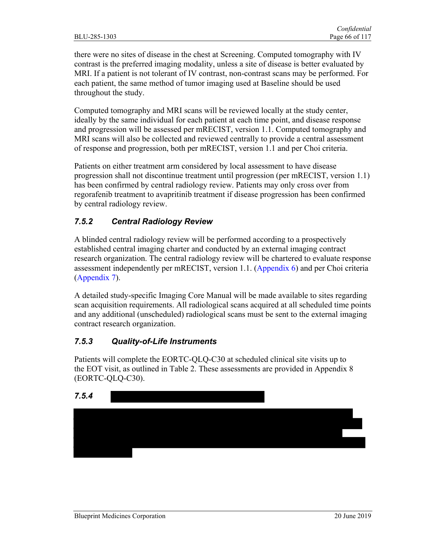there were no sites of disease in the chest at Screening. Computed tomography with IV contrast is the preferred imaging modality, unless a site of disease is better evaluated by MRI. If a patient is not tolerant of IV contrast, non-contrast scans may be performed. For each patient, the same method of tumor imaging used at Baseline should be used throughout the study.

Computed tomography and MRI scans will be reviewed locally at the study center, ideally by the same individual for each patient at each time point, and disease response and progression will be assessed per mRECIST, version 1.1. Computed tomography and MRI scans will also be collected and reviewed centrally to provide a central assessment of response and progression, both per mRECIST, version 1.1 and per Choi criteria.

Patients on either treatment arm considered by local assessment to have disease progression shall not discontinue treatment until progression (per mRECIST, version 1.1) has been confirmed by central radiology review. Patients may only cross over from regorafenib treatment to avapritinib treatment if disease progression has been confirmed by central radiology review.

# *7.5.2 Central Radiology Review*

A blinded central radiology review will be performed according to a prospectively established central imaging charter and conducted by an external imaging contract research organization. The central radiology review will be chartered to evaluate response assessment independently per mRECIST, version 1.1. ([Appendix 6\)](#page-104-0) and per Choi criteria ([Appendix 7](#page-105-0)).

A detailed study-specific Imaging Core Manual will be made available to sites regarding scan acquisition requirements. All radiological scans acquired at all scheduled time points and any additional (unscheduled) radiological scans must be sent to the external imaging contract research organization.

# *7.5.3 Quality-of-Life Instruments*

Patients will complete the EORTC-QLQ-C30 at scheduled clinical site visits up to the EOT visit, as outlined in [Table 2.](#page-57-0) These assessments are provide[d in Appendi](#page-106-0)x 8 (EORTC-QLQ-C30).

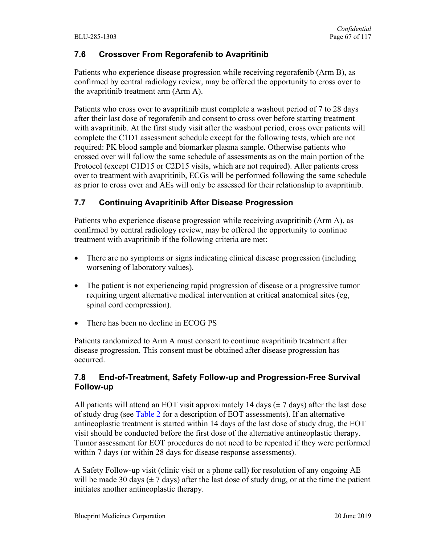## <span id="page-67-2"></span><span id="page-67-0"></span>**7.6 Crossover From Regorafenib to Avapritinib**

<span id="page-67-3"></span>Patients who experience disease progression while receiving regorafenib (Arm B), as confirmed by central radiology review, may be offered the opportunity to cross over to the avapritinib treatment arm (Arm A).

Patients who cross over to avapritinib must complete a washout period of 7 to 28 days after their last dose of regorafenib and consent to cross over before starting treatment with avapritinib. At the first study visit after the washout period, cross over patients will complete the C1D1 assessment schedule except for the following tests, which are not required: PK blood sample and biomarker plasma sample. Otherwise patients who crossed over will follow the same schedule of assessments as on the main portion of the Protocol (except C1D15 or C2D15 visits, which are not required). After patients cross over to treatment with avapritinib, ECGs will be performed following the same schedule as prior to cross over and AEs will only be assessed for their relationship to avapritinib.

## <span id="page-67-1"></span>**7.7 Continuing Avapritinib After Disease Progression**

Patients who experience disease progression while receiving avapritinib (Arm A), as confirmed by central radiology review, may be offered the opportunity to continue treatment with avapritinib if the following criteria are met:

- There are no symptoms or signs indicating clinical disease progression (including worsening of laboratory values).
- The patient is not experiencing rapid progression of disease or a progressive tumor requiring urgent alternative medical intervention at critical anatomical sites (eg, spinal cord compression).
- There has been no decline in ECOG PS

Patients randomized to Arm A must consent to continue avapritinib treatment after disease progression. This consent must be obtained after disease progression has occurred.

### **7.8 End-of-Treatment, Safety Follow-up and Progression-Free Survival Follow-up**

All patients will attend an EOT visit approximately 14 days  $(\pm 7 \text{ days})$  after the last dose of study drug (see [Table 2](#page-57-0) for a description of EOT assessments). If an alternative antineoplastic treatment is started within 14 days of the last dose of study drug, the EOT visit should be conducted before the first dose of the alternative antineoplastic therapy. Tumor assessment for EOT procedures do not need to be repeated if they were performed within 7 days (or within 28 days for disease response assessments).

A Safety Follow-up visit (clinic visit or a phone call) for resolution of any ongoing AE will be made 30 days ( $\pm$  7 days) after the last dose of study drug, or at the time the patient initiates another antineoplastic therapy.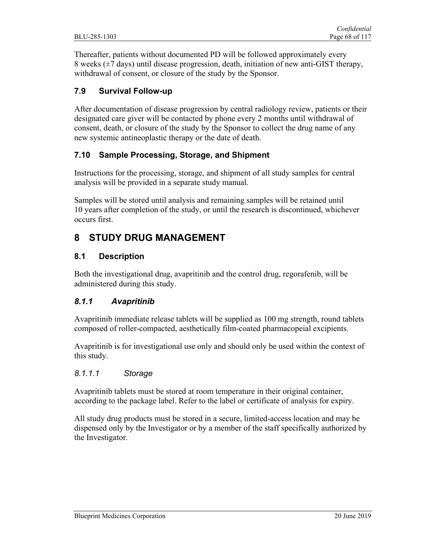Thereafter, patients without documented PD will be followed approximately every 8 weeks  $(\pm 7 \text{ days})$  until disease progression, death, initiation of new anti-GIST therapy, withdrawal of consent, or closure of the study by the Sponsor.

# **7.9 Survival Follow-up**

After documentation of disease progression by central radiology review, patients or their designated care giver will be contacted by phone every 2 months until withdrawal of consent, death, or closure of the study by the Sponsor to collect the drug name of any new systemic antineoplastic therapy or the date of death.

# **7.10 Sample Processing, Storage, and Shipment**

Instructions for the processing, storage, and shipment of all study samples for central analysis will be provided in a separate study manual.

Samples will be stored until analysis and remaining samples will be retained until 10 years after completion of the study, or until the research is discontinued, whichever occurs first.

# **8 STUDY DRUG MANAGEMENT**

## **8.1 Description**

Both the investigational drug, avapritinib and the control drug, regorafenib, will be administered during this study.

# *8.1.1 Avapritinib*

Avapritinib immediate release tablets will be supplied as 100 mg strength, round tablets composed of roller-compacted, aesthetically film-coated pharmacopeial excipients.

Avapritinib is for investigational use only and should only be used within the context of this study.

### *8.1.1.1 Storage*

Avapritinib tablets must be stored at room temperature in their original container, according to the package label. Refer to the label or certificate of analysis for expiry.

All study drug products must be stored in a secure, limited-access location and may be dispensed only by the Investigator or by a member of the staff specifically authorized by the Investigator.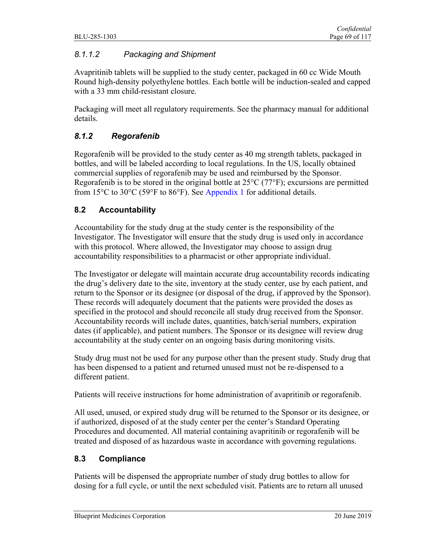## *8.1.1.2 Packaging and Shipment*

Avapritinib tablets will be supplied to the study center, packaged in 60 cc Wide Mouth Round high-density polyethylene bottles. Each bottle will be induction-sealed and capped with a 33 mm child-resistant closure.

Packaging will meet all regulatory requirements. See the pharmacy manual for additional details.

# *8.1.2 Regorafenib*

Regorafenib will be provided to the study center as 40 mg strength tablets, packaged in bottles, and will be labeled according to local regulations. In the US, locally obtained commercial supplies of regorafenib may be used and reimbursed by the Sponsor. Regorafenib is to be stored in the original bottle at  $25^{\circ}$ C (77 $^{\circ}$ F); excursions are permitted from 15°C to 30°C (59°F to 86°F). See [Appendix 1](#page-93-0) for additional details.

## **8.2 Accountability**

Accountability for the study drug at the study center is the responsibility of the Investigator. The Investigator will ensure that the study drug is used only in accordance with this protocol. Where allowed, the Investigator may choose to assign drug accountability responsibilities to a pharmacist or other appropriate individual.

The Investigator or delegate will maintain accurate drug accountability records indicating the drug's delivery date to the site, inventory at the study center, use by each patient, and return to the Sponsor or its designee (or disposal of the drug, if approved by the Sponsor). These records will adequately document that the patients were provided the doses as specified in the protocol and should reconcile all study drug received from the Sponsor. Accountability records will include dates, quantities, batch/serial numbers, expiration dates (if applicable), and patient numbers. The Sponsor or its designee will review drug accountability at the study center on an ongoing basis during monitoring visits.

Study drug must not be used for any purpose other than the present study. Study drug that has been dispensed to a patient and returned unused must not be re-dispensed to a different patient.

Patients will receive instructions for home administration of avapritinib or regorafenib.

All used, unused, or expired study drug will be returned to the Sponsor or its designee, or if authorized, disposed of at the study center per the center's Standard Operating Procedures and documented. All material containing avapritinib or regorafenib will be treated and disposed of as hazardous waste in accordance with governing regulations.

### **8.3 Compliance**

Patients will be dispensed the appropriate number of study drug bottles to allow for dosing for a full cycle, or until the next scheduled visit. Patients are to return all unused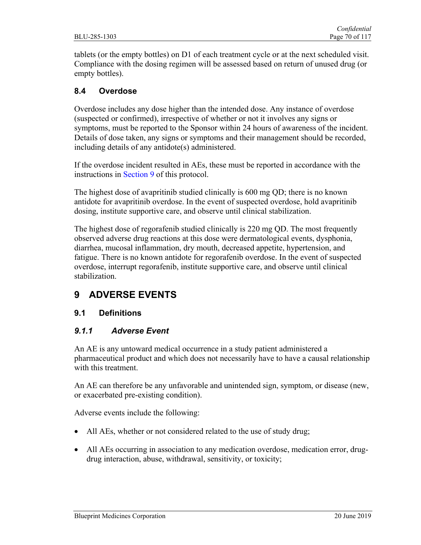tablets (or the empty bottles) on D1 of each treatment cycle or at the next scheduled visit. Compliance with the dosing regimen will be assessed based on return of unused drug (or empty bottles).

### **8.4 Overdose**

Overdose includes any dose higher than the intended dose. Any instance of overdose (suspected or confirmed), irrespective of whether or not it involves any signs or symptoms, must be reported to the Sponsor within 24 hours of awareness of the incident. Details of dose taken, any signs or symptoms and their management should be recorded, including details of any antidote(s) administered.

If the overdose incident resulted in AEs, these must be reported in accordance with the instructions in [Section](#page-70-0) 9 of this protocol.

The highest dose of avapritinib studied clinically is 600 mg QD; there is no known antidote for avapritinib overdose. In the event of suspected overdose, hold avapritinib dosing, institute supportive care, and observe until clinical stabilization.

The highest dose of regorafenib studied clinically is 220 mg QD. The most frequently observed adverse drug reactions at this dose were dermatological events, dysphonia, diarrhea, mucosal inflammation, dry mouth, decreased appetite, hypertension, and fatigue. There is no known antidote for regorafenib overdose. In the event of suspected overdose, interrupt regorafenib, institute supportive care, and observe until clinical stabilization.

# <span id="page-70-0"></span>**9 ADVERSE EVENTS**

### **9.1 Definitions**

### *9.1.1 Adverse Event*

An AE is any untoward medical occurrence in a study patient administered a pharmaceutical product and which does not necessarily have to have a causal relationship with this treatment.

An AE can therefore be any unfavorable and unintended sign, symptom, or disease (new, or exacerbated pre-existing condition).

Adverse events include the following:

- All AEs, whether or not considered related to the use of study drug;
- All AEs occurring in association to any medication overdose, medication error, drugdrug interaction, abuse, withdrawal, sensitivity, or toxicity;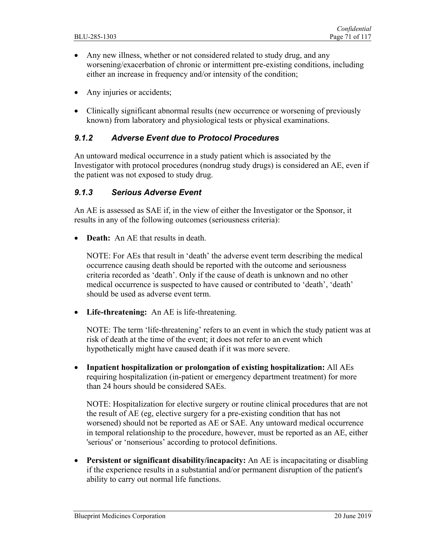- Any new illness, whether or not considered related to study drug, and any worsening/exacerbation of chronic or intermittent pre-existing conditions, including either an increase in frequency and/or intensity of the condition;
- Any injuries or accidents;
- Clinically significant abnormal results (new occurrence or worsening of previously known) from laboratory and physiological tests or physical examinations.

### *9.1.2 Adverse Event due to Protocol Procedures*

An untoward medical occurrence in a study patient which is associated by the Investigator with protocol procedures (nondrug study drugs) is considered an AE, even if the patient was not exposed to study drug.

#### *9.1.3 Serious Adverse Event*

An AE is assessed as SAE if, in the view of either the Investigator or the Sponsor, it results in any of the following outcomes (seriousness criteria):

• **Death:** An AE that results in death.

NOTE: For AEs that result in 'death' the adverse event term describing the medical occurrence causing death should be reported with the outcome and seriousness criteria recorded as 'death'. Only if the cause of death is unknown and no other medical occurrence is suspected to have caused or contributed to 'death', 'death' should be used as adverse event term.

• **Life-threatening:** An AE is life-threatening.

NOTE: The term 'life-threatening' refers to an event in which the study patient was at risk of death at the time of the event; it does not refer to an event which hypothetically might have caused death if it was more severe.

• **Inpatient hospitalization or prolongation of existing hospitalization:** All AEs requiring hospitalization (in-patient or emergency department treatment) for more than 24 hours should be considered SAEs.

NOTE: Hospitalization for elective surgery or routine clinical procedures that are not the result of AE (eg, elective surgery for a pre-existing condition that has not worsened) should not be reported as AE or SAE. Any untoward medical occurrence in temporal relationship to the procedure, however, must be reported as an AE, either 'serious' or 'nonserious' according to protocol definitions.

• **Persistent or significant disability/incapacity:** An AE is incapacitating or disabling if the experience results in a substantial and/or permanent disruption of the patient's ability to carry out normal life functions.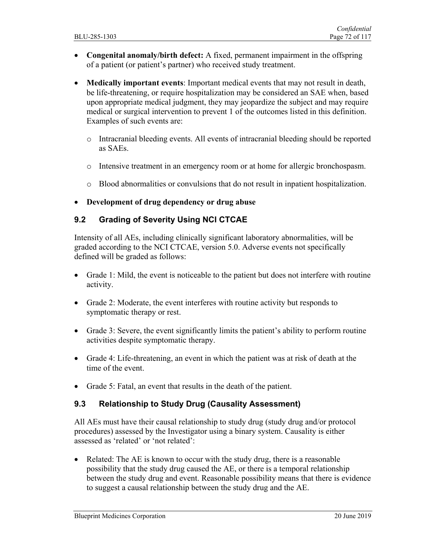- **Congenital anomaly/birth defect:** A fixed, permanent impairment in the offspring of a patient (or patient's partner) who received study treatment.
- **Medically important events**: Important medical events that may not result in death, be life-threatening, or require hospitalization may be considered an SAE when, based upon appropriate medical judgment, they may jeopardize the subject and may require medical or surgical intervention to prevent 1 of the outcomes listed in this definition. Examples of such events are:
	- o Intracranial bleeding events. All events of intracranial bleeding should be reported as SAEs.
	- o Intensive treatment in an emergency room or at home for allergic bronchospasm.
	- o Blood abnormalities or convulsions that do not result in inpatient hospitalization.
- <span id="page-72-1"></span>• **Development of drug dependency or drug abuse**

### **9.2 Grading of Severity Using NCI CTCAE**

Intensity of all AEs, including clinically significant laboratory abnormalities, will be graded according to the NCI CTCAE, version 5.0. Adverse events not specifically defined will be graded as follows:

- Grade 1: Mild, the event is noticeable to the patient but does not interfere with routine activity.
- Grade 2: Moderate, the event interferes with routine activity but responds to symptomatic therapy or rest.
- Grade 3: Severe, the event significantly limits the patient's ability to perform routine activities despite symptomatic therapy.
- Grade 4: Life-threatening, an event in which the patient was at risk of death at the time of the event.
- <span id="page-72-0"></span>• Grade 5: Fatal, an event that results in the death of the patient.

### **9.3 Relationship to Study Drug (Causality Assessment)**

All AEs must have their causal relationship to study drug (study drug and/or protocol procedures) assessed by the Investigator using a binary system. Causality is either assessed as 'related' or 'not related':

• Related: The AE is known to occur with the study drug, there is a reasonable possibility that the study drug caused the AE, or there is a temporal relationship between the study drug and event. Reasonable possibility means that there is evidence to suggest a causal relationship between the study drug and the AE.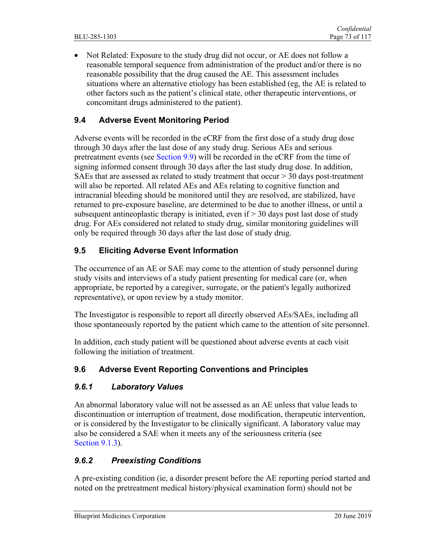• Not Related: Exposure to the study drug did not occur, or AE does not follow a reasonable temporal sequence from administration of the product and/or there is no reasonable possibility that the drug caused the AE. This assessment includes situations where an alternative etiology has been established (eg, the AE is related to other factors such as the patient's clinical state, other therapeutic interventions, or concomitant drugs administered to the patient).

## <span id="page-73-0"></span>**9.4 Adverse Event Monitoring Period**

Adverse events will be recorded in the eCRF from the first dose of a study drug dose through 30 days after the last dose of any study drug. Serious AEs and serious pretreatment events (see [Section 9.9](#page-77-0)) will be recorded in the eCRF from the time of signing informed consent through 30 days after the last study drug dose. In addition, SAEs that are assessed as related to study treatment that occur > 30 days post-treatment will also be reported. All related AEs and AEs relating to cognitive function and intracranial bleeding should be monitored until they are resolved, are stabilized, have returned to pre-exposure baseline, are determined to be due to another illness, or until a subsequent antineoplastic therapy is initiated, even if  $> 30$  days post last dose of study drug. For AEs considered not related to study drug, similar monitoring guidelines will only be required through 30 days after the last dose of study drug.

## **9.5 Eliciting Adverse Event Information**

The occurrence of an AE or SAE may come to the attention of study personnel during study visits and interviews of a study patient presenting for medical care (or, when appropriate, be reported by a caregiver, surrogate, or the patient's legally authorized representative), or upon review by a study monitor.

The Investigator is responsible to report all directly observed AEs/SAEs, including all those spontaneously reported by the patient which came to the attention of site personnel.

In addition, each study patient will be questioned about adverse events at each visit following the initiation of treatment.

## **9.6 Adverse Event Reporting Conventions and Principles**

## *9.6.1 Laboratory Values*

An abnormal laboratory value will not be assessed as an AE unless that value leads to discontinuation or interruption of treatment, dose modification, therapeutic intervention, or is considered by the Investigator to be clinically significant. A laboratory value may also be considered a SAE when it meets any of the seriousness criteria (see [Section](#page-71-0) 9.1.3).

## *9.6.2 Preexisting Conditions*

A pre-existing condition (ie, a disorder present before the AE reporting period started and noted on the pretreatment medical history/physical examination form) should not be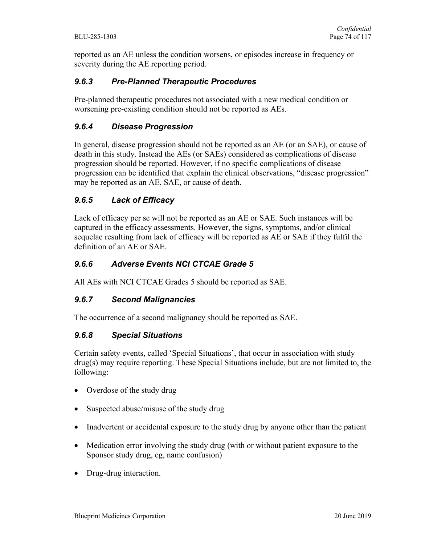reported as an AE unless the condition worsens, or episodes increase in frequency or severity during the AE reporting period.

### *9.6.3 Pre-Planned Therapeutic Procedures*

Pre-planned therapeutic procedures not associated with a new medical condition or worsening pre-existing condition should not be reported as AEs.

### *9.6.4 Disease Progression*

In general, disease progression should not be reported as an AE (or an SAE), or cause of death in this study. Instead the AEs (or SAEs) considered as complications of disease progression should be reported. However, if no specific complications of disease progression can be identified that explain the clinical observations, "disease progression" may be reported as an AE, SAE, or cause of death.

### *9.6.5 Lack of Efficacy*

Lack of efficacy per se will not be reported as an AE or SAE. Such instances will be captured in the efficacy assessments. However, the signs, symptoms, and/or clinical sequelae resulting from lack of efficacy will be reported as AE or SAE if they fulfil the definition of an AE or SAE.

### *9.6.6 Adverse Events NCI CTCAE Grade 5*

All AEs with NCI CTCAE Grades 5 should be reported as SAE.

#### *9.6.7 Second Malignancies*

The occurrence of a second malignancy should be reported as SAE.

#### *9.6.8 Special Situations*

Certain safety events, called 'Special Situations', that occur in association with study drug(s) may require reporting. These Special Situations include, but are not limited to, the following:

- Overdose of the study drug
- Suspected abuse/misuse of the study drug
- Inadvertent or accidental exposure to the study drug by anyone other than the patient
- Medication error involving the study drug (with or without patient exposure to the Sponsor study drug, eg, name confusion)
- Drug-drug interaction.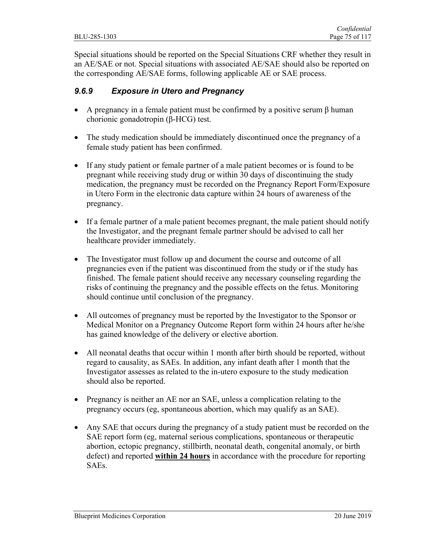Special situations should be reported on the Special Situations CRF whether they result in an AE/SAE or not. Special situations with associated AE/SAE should also be reported on the corresponding AE/SAE forms, following applicable AE or SAE process.

### *9.6.9 Exposure in Utero and Pregnancy*

- A pregnancy in a female patient must be confirmed by a positive serum  $\beta$  human chorionic gonadotropin (β-HCG) test.
- The study medication should be immediately discontinued once the pregnancy of a female study patient has been confirmed.
- If any study patient or female partner of a male patient becomes or is found to be pregnant while receiving study drug or within 30 days of discontinuing the study medication, the pregnancy must be recorded on the Pregnancy Report Form/Exposure in Utero Form in the electronic data capture within 24 hours of awareness of the pregnancy.
- If a female partner of a male patient becomes pregnant, the male patient should notify the Investigator, and the pregnant female partner should be advised to call her healthcare provider immediately.
- The Investigator must follow up and document the course and outcome of all pregnancies even if the patient was discontinued from the study or if the study has finished. The female patient should receive any necessary counseling regarding the risks of continuing the pregnancy and the possible effects on the fetus. Monitoring should continue until conclusion of the pregnancy.
- All outcomes of pregnancy must be reported by the Investigator to the Sponsor or Medical Monitor on a Pregnancy Outcome Report form within 24 hours after he/she has gained knowledge of the delivery or elective abortion.
- All neonatal deaths that occur within 1 month after birth should be reported, without regard to causality, as SAEs. In addition, any infant death after 1 month that the Investigator assesses as related to the in-utero exposure to the study medication should also be reported.
- Pregnancy is neither an AE nor an SAE, unless a complication relating to the pregnancy occurs (eg, spontaneous abortion, which may qualify as an SAE).
- Any SAE that occurs during the pregnancy of a study patient must be recorded on the SAE report form (eg, maternal serious complications, spontaneous or therapeutic abortion, ectopic pregnancy, stillbirth, neonatal death, congenital anomaly, or birth defect) and reported **within 24 hours** in accordance with the procedure for reporting SAEs.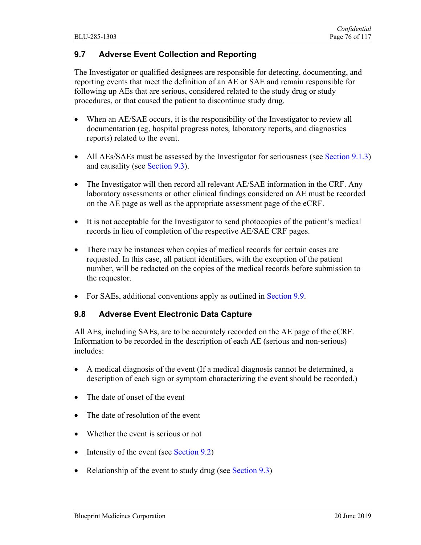### **9.7 Adverse Event Collection and Reporting**

The Investigator or qualified designees are responsible for detecting, documenting, and reporting events that meet the definition of an AE or SAE and remain responsible for following up AEs that are serious, considered related to the study drug or study procedures, or that caused the patient to discontinue study drug.

- When an AE/SAE occurs, it is the responsibility of the Investigator to review all documentation (eg, hospital progress notes, laboratory reports, and diagnostics reports) related to the event.
- All AEs/SAEs must be assessed by the Investigator for seriousness (see [Section](#page-71-0) 9.1.3) and causality (see [Section](#page-72-0) 9.3).
- The Investigator will then record all relevant AE/SAE information in the CRF. Any laboratory assessments or other clinical findings considered an AE must be recorded on the AE page as well as the appropriate assessment page of the eCRF.
- It is not acceptable for the Investigator to send photocopies of the patient's medical records in lieu of completion of the respective AE/SAE CRF pages.
- There may be instances when copies of medical records for certain cases are requested. In this case, all patient identifiers, with the exception of the patient number, will be redacted on the copies of the medical records before submission to the requestor.
- For SAEs, additional conventions apply as outlined in [Section 9.9](#page-77-0).

### **9.8 Adverse Event Electronic Data Capture**

All AEs, including SAEs, are to be accurately recorded on the AE page of the eCRF. Information to be recorded in the description of each AE (serious and non-serious) includes:

- A medical diagnosis of the event (If a medical diagnosis cannot be determined, a description of each sign or symptom characterizing the event should be recorded.)
- The date of onset of the event
- The date of resolution of the event
- Whether the event is serious or not
- Intensity of the event (see [Section](#page-72-1) 9.2)
- Relationship of the event to study drug (see [Section](#page-72-0) 9.3)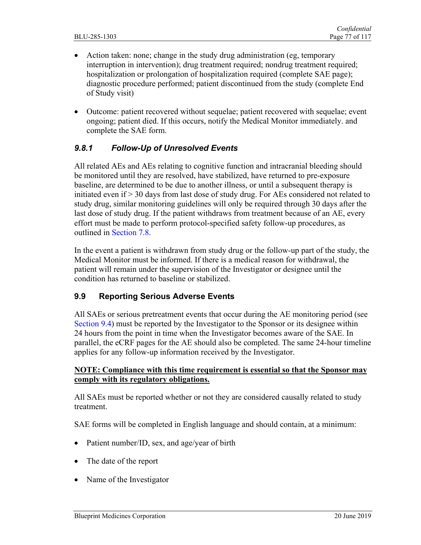- Action taken: none; change in the study drug administration (eg, temporary interruption in intervention); drug treatment required; nondrug treatment required; hospitalization or prolongation of hospitalization required (complete SAE page); diagnostic procedure performed; patient discontinued from the study (complete End of Study visit)
- Outcome: patient recovered without sequelae; patient recovered with sequelae; event ongoing; patient died. If this occurs, notify the Medical Monitor immediately. and complete the SAE form.

### *9.8.1 Follow-Up of Unresolved Events*

All related AEs and AEs relating to cognitive function and intracranial bleeding should be monitored until they are resolved, have stabilized, have returned to pre-exposure baseline, are determined to be due to another illness, or until a subsequent therapy is initiated even if > 30 days from last dose of study drug. For AEs considered not related to study drug, similar monitoring guidelines will only be required through 30 days after the last dose of study drug. If the patient withdraws from treatment because of an AE, every effort must be made to perform protocol-specified safety follow-up procedures, as outlined in [Section](#page-67-0) 7.8.

In the event a patient is withdrawn from study drug or the follow-up part of the study, the Medical Monitor must be informed. If there is a medical reason for withdrawal, the patient will remain under the supervision of the Investigator or designee until the condition has returned to baseline or stabilized.

## <span id="page-77-0"></span>**9.9 Reporting Serious Adverse Events**

All SAEs or serious pretreatment events that occur during the AE monitoring period (see [Section](#page-73-0) 9.4) must be reported by the Investigator to the Sponsor or its designee within 24 hours from the point in time when the Investigator becomes aware of the SAE. In parallel, the eCRF pages for the AE should also be completed. The same 24-hour timeline applies for any follow-up information received by the Investigator.

### **NOTE: Compliance with this time requirement is essential so that the Sponsor may comply with its regulatory obligations.**

All SAEs must be reported whether or not they are considered causally related to study treatment.

SAE forms will be completed in English language and should contain, at a minimum:

- Patient number/ID, sex, and age/year of birth
- The date of the report
- Name of the Investigator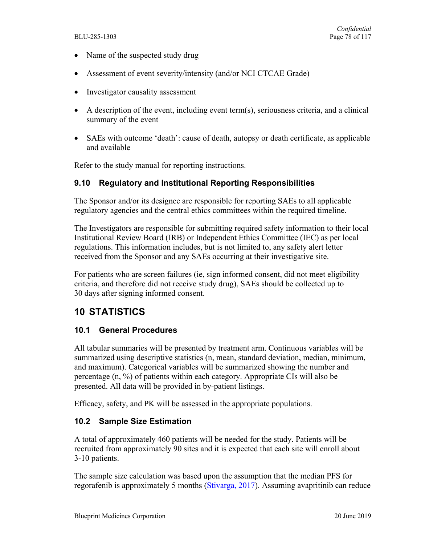- Name of the suspected study drug
- Assessment of event severity/intensity (and/or NCI CTCAE Grade)
- Investigator causality assessment
- A description of the event, including event term(s), seriousness criteria, and a clinical summary of the event
- SAEs with outcome 'death': cause of death, autopsy or death certificate, as applicable and available

Refer to the study manual for reporting instructions.

#### **9.10 Regulatory and Institutional Reporting Responsibilities**

The Sponsor and/or its designee are responsible for reporting SAEs to all applicable regulatory agencies and the central ethics committees within the required timeline.

The Investigators are responsible for submitting required safety information to their local Institutional Review Board (IRB) or Independent Ethics Committee (IEC) as per local regulations. This information includes, but is not limited to, any safety alert letter received from the Sponsor and any SAEs occurring at their investigative site.

For patients who are screen failures (ie, sign informed consent, did not meet eligibility criteria, and therefore did not receive study drug), SAEs should be collected up to 30 days after signing informed consent.

# **10 STATISTICS**

#### **10.1 General Procedures**

All tabular summaries will be presented by treatment arm. Continuous variables will be summarized using descriptive statistics (n, mean, standard deviation, median, minimum, and maximum). Categorical variables will be summarized showing the number and percentage (n, %) of patients within each category. Appropriate CIs will also be presented. All data will be provided in by-patient listings.

Efficacy, safety, and PK will be assessed in the appropriate populations.

#### **10.2 Sample Size Estimation**

A total of approximately 460 patients will be needed for the study. Patients will be recruited from approximately 90 sites and it is expected that each site will enroll about 3-10 patients.

The sample size calculation was based upon the assumption that the median PFS for regorafenib is approximately 5 months ([Stivarga, 2017\)](#page-92-0). Assuming avapritinib can reduce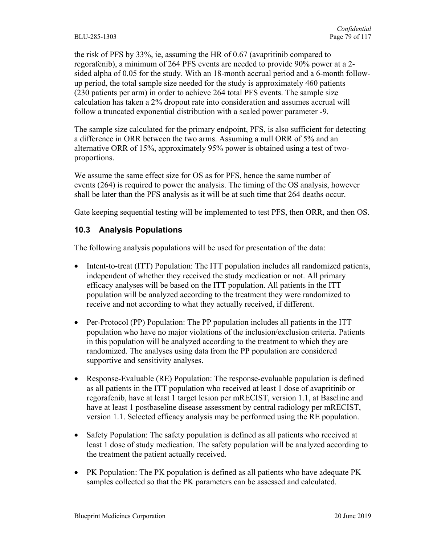the risk of PFS by 33%, ie, assuming the HR of 0.67 (avapritinib compared to regorafenib), a minimum of 264 PFS events are needed to provide 90% power at a 2 sided alpha of 0.05 for the study. With an 18-month accrual period and a 6-month followup period, the total sample size needed for the study is approximately 460 patients (230 patients per arm) in order to achieve 264 total PFS events. The sample size calculation has taken a 2% dropout rate into consideration and assumes accrual will follow a truncated exponential distribution with a scaled power parameter -9.

The sample size calculated for the primary endpoint, PFS, is also sufficient for detecting a difference in ORR between the two arms. Assuming a null ORR of 5% and an alternative ORR of 15%, approximately 95% power is obtained using a test of twoproportions.

We assume the same effect size for OS as for PFS, hence the same number of events (264) is required to power the analysis. The timing of the OS analysis, however shall be later than the PFS analysis as it will be at such time that 264 deaths occur.

Gate keeping sequential testing will be implemented to test PFS, then ORR, and then OS.

### **10.3 Analysis Populations**

The following analysis populations will be used for presentation of the data:

- Intent-to-treat (ITT) Population: The ITT population includes all randomized patients, independent of whether they received the study medication or not. All primary efficacy analyses will be based on the ITT population. All patients in the ITT population will be analyzed according to the treatment they were randomized to receive and not according to what they actually received, if different.
- Per-Protocol (PP) Population: The PP population includes all patients in the ITT population who have no major violations of the inclusion/exclusion criteria. Patients in this population will be analyzed according to the treatment to which they are randomized. The analyses using data from the PP population are considered supportive and sensitivity analyses.
- Response-Evaluable (RE) Population: The response-evaluable population is defined as all patients in the ITT population who received at least 1 dose of avapritinib or regorafenib, have at least 1 target lesion per mRECIST, version 1.1, at Baseline and have at least 1 postbaseline disease assessment by central radiology per mRECIST, version 1.1. Selected efficacy analysis may be performed using the RE population.
- Safety Population: The safety population is defined as all patients who received at least 1 dose of study medication. The safety population will be analyzed according to the treatment the patient actually received.
- PK Population: The PK population is defined as all patients who have adequate PK samples collected so that the PK parameters can be assessed and calculated.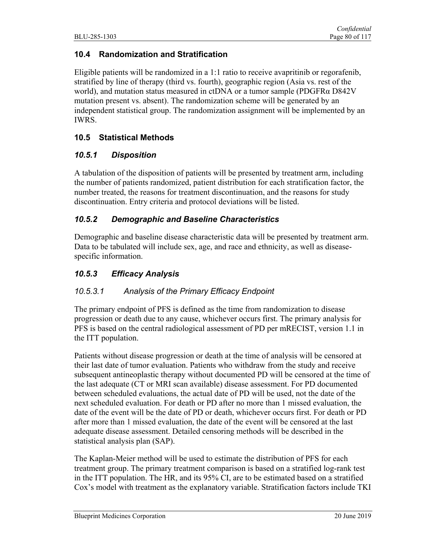### **10.4 Randomization and Stratification**

Eligible patients will be randomized in a 1:1 ratio to receive avapritinib or regorafenib, stratified by line of therapy (third vs. fourth), geographic region (Asia vs. rest of the world), and mutation status measured in ctDNA or a tumor sample (PDGFRα D842V mutation present vs. absent). The randomization scheme will be generated by an independent statistical group. The randomization assignment will be implemented by an IWRS.

### **10.5 Statistical Methods**

### *10.5.1 Disposition*

A tabulation of the disposition of patients will be presented by treatment arm, including the number of patients randomized, patient distribution for each stratification factor, the number treated, the reasons for treatment discontinuation, and the reasons for study discontinuation. Entry criteria and protocol deviations will be listed.

### *10.5.2 Demographic and Baseline Characteristics*

Demographic and baseline disease characteristic data will be presented by treatment arm. Data to be tabulated will include sex, age, and race and ethnicity, as well as diseasespecific information.

### *10.5.3 Efficacy Analysis*

## *10.5.3.1 Analysis of the Primary Efficacy Endpoint*

The primary endpoint of PFS is defined as the time from randomization to disease progression or death due to any cause, whichever occurs first. The primary analysis for PFS is based on the central radiological assessment of PD per mRECIST, version 1.1 in the ITT population.

Patients without disease progression or death at the time of analysis will be censored at their last date of tumor evaluation. Patients who withdraw from the study and receive subsequent antineoplastic therapy without documented PD will be censored at the time of the last adequate (CT or MRI scan available) disease assessment. For PD documented between scheduled evaluations, the actual date of PD will be used, not the date of the next scheduled evaluation. For death or PD after no more than 1 missed evaluation, the date of the event will be the date of PD or death, whichever occurs first. For death or PD after more than 1 missed evaluation, the date of the event will be censored at the last adequate disease assessment. Detailed censoring methods will be described in the statistical analysis plan (SAP).

The Kaplan-Meier method will be used to estimate the distribution of PFS for each treatment group. The primary treatment comparison is based on a stratified log-rank test in the ITT population. The HR, and its 95% CI, are to be estimated based on a stratified Cox's model with treatment as the explanatory variable. Stratification factors include TKI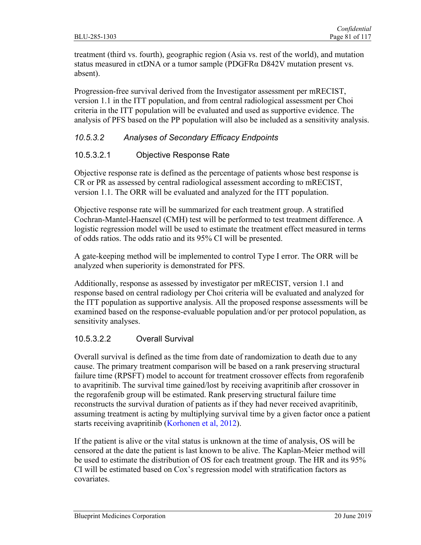treatment (third vs. fourth), geographic region (Asia vs. rest of the world), and mutation status measured in ctDNA or a tumor sample (PDGFRα D842V mutation present vs. absent).

Progression-free survival derived from the Investigator assessment per mRECIST, version 1.1 in the ITT population, and from central radiological assessment per Choi criteria in the ITT population will be evaluated and used as supportive evidence. The analysis of PFS based on the PP population will also be included as a sensitivity analysis.

### *10.5.3.2 Analyses of Secondary Efficacy Endpoints*

### 10.5.3.2.1 Objective Response Rate

Objective response rate is defined as the percentage of patients whose best response is CR or PR as assessed by central radiological assessment according to mRECIST, version 1.1. The ORR will be evaluated and analyzed for the ITT population.

Objective response rate will be summarized for each treatment group. A stratified Cochran-Mantel-Haenszel (CMH) test will be performed to test treatment difference. A logistic regression model will be used to estimate the treatment effect measured in terms of odds ratios. The odds ratio and its 95% CI will be presented.

A gate-keeping method will be implemented to control Type I error. The ORR will be analyzed when superiority is demonstrated for PFS.

Additionally, response as assessed by investigator per mRECIST, version 1.1 and response based on central radiology per Choi criteria will be evaluated and analyzed for the ITT population as supportive analysis. All the proposed response assessments will be examined based on the response-evaluable population and/or per protocol population, as sensitivity analyses.

#### 10.5.3.2.2 Overall Survival

Overall survival is defined as the time from date of randomization to death due to any cause. The primary treatment comparison will be based on a rank preserving structural failure time (RPSFT) model to account for treatment crossover effects from regorafenib to avapritinib. The survival time gained/lost by receiving avapritinib after crossover in the regorafenib group will be estimated. Rank preserving structural failure time reconstructs the survival duration of patients as if they had never received avapritinib, assuming treatment is acting by multiplying survival time by a given factor once a patient starts receiving avapritinib ([Korhonen et al, 2012](#page-92-1)).

If the patient is alive or the vital status is unknown at the time of analysis, OS will be censored at the date the patient is last known to be alive. The Kaplan-Meier method will be used to estimate the distribution of OS for each treatment group. The HR and its 95% CI will be estimated based on Cox's regression model with stratification factors as covariates.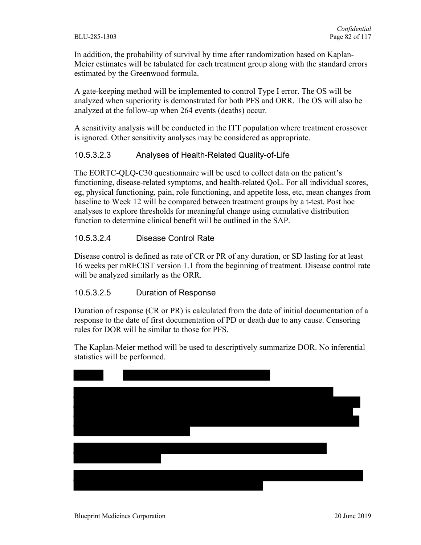In addition, the probability of survival by time after randomization based on Kaplan-Meier estimates will be tabulated for each treatment group along with the standard errors estimated by the Greenwood formula.

A gate-keeping method will be implemented to control Type I error. The OS will be analyzed when superiority is demonstrated for both PFS and ORR. The OS will also be analyzed at the follow-up when 264 events (deaths) occur.

A sensitivity analysis will be conducted in the ITT population where treatment crossover is ignored. Other sensitivity analyses may be considered as appropriate.

### 10.5.3.2.3 Analyses of Health-Related Quality-of-Life

The EORTC-QLQ-C30 questionnaire will be used to collect data on the patient's functioning, disease-related symptoms, and health-related QoL. For all individual scores, eg, physical functioning, pain, role functioning, and appetite loss, etc, mean changes from baseline to Week 12 will be compared between treatment groups by a t-test. Post hoc analyses to explore thresholds for meaningful change using cumulative distribution function to determine clinical benefit will be outlined in the SAP.

### 10.5.3.2.4 Disease Control Rate

Disease control is defined as rate of CR or PR of any duration, or SD lasting for at least 16 weeks per mRECIST version 1.1 from the beginning of treatment. Disease control rate will be analyzed similarly as the ORR.

### 10.5.3.2.5 Duration of Response

Duration of response (CR or PR) is calculated from the date of initial documentation of a response to the date of first documentation of PD or death due to any cause. Censoring rules for DOR will be similar to those for PFS.

The Kaplan-Meier method will be used to descriptively summarize DOR. No inferential statistics will be performed.

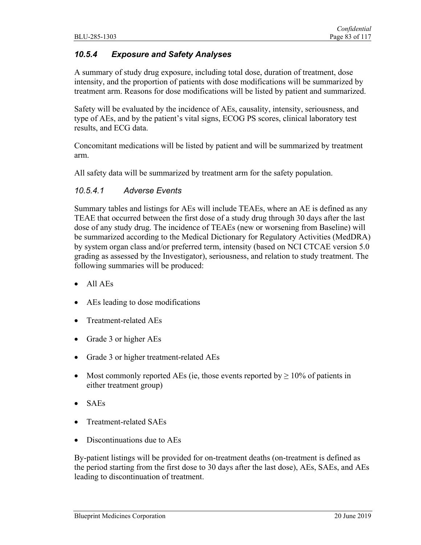## *10.5.4 Exposure and Safety Analyses*

A summary of study drug exposure, including total dose, duration of treatment, dose intensity, and the proportion of patients with dose modifications will be summarized by treatment arm. Reasons for dose modifications will be listed by patient and summarized.

Safety will be evaluated by the incidence of AEs, causality, intensity, seriousness, and type of AEs, and by the patient's vital signs, ECOG PS scores, clinical laboratory test results, and ECG data.

Concomitant medications will be listed by patient and will be summarized by treatment arm.

All safety data will be summarized by treatment arm for the safety population.

### *10.5.4.1 Adverse Events*

Summary tables and listings for AEs will include TEAEs, where an AE is defined as any TEAE that occurred between the first dose of a study drug through 30 days after the last dose of any study drug. The incidence of TEAEs (new or worsening from Baseline) will be summarized according to the Medical Dictionary for Regulatory Activities (MedDRA) by system organ class and/or preferred term, intensity (based on NCI CTCAE version 5.0 grading as assessed by the Investigator), seriousness, and relation to study treatment. The following summaries will be produced:

- All AEs
- AEs leading to dose modifications
- Treatment-related AEs
- Grade 3 or higher AEs
- Grade 3 or higher treatment-related AEs
- Most commonly reported AEs (ie, those events reported by  $\geq 10\%$  of patients in either treatment group)
- SAEs
- Treatment-related SAEs
- Discontinuations due to AEs

By-patient listings will be provided for on-treatment deaths (on-treatment is defined as the period starting from the first dose to 30 days after the last dose), AEs, SAEs, and AEs leading to discontinuation of treatment.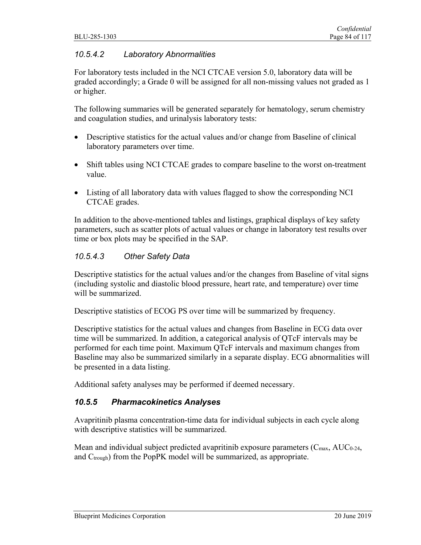### *10.5.4.2 Laboratory Abnormalities*

For laboratory tests included in the NCI CTCAE version 5.0, laboratory data will be graded accordingly; a Grade 0 will be assigned for all non-missing values not graded as 1 or higher.

The following summaries will be generated separately for hematology, serum chemistry and coagulation studies, and urinalysis laboratory tests:

- Descriptive statistics for the actual values and/or change from Baseline of clinical laboratory parameters over time.
- Shift tables using NCI CTCAE grades to compare baseline to the worst on-treatment value.
- Listing of all laboratory data with values flagged to show the corresponding NCI CTCAE grades.

In addition to the above-mentioned tables and listings, graphical displays of key safety parameters, such as scatter plots of actual values or change in laboratory test results over time or box plots may be specified in the SAP.

### *10.5.4.3 Other Safety Data*

Descriptive statistics for the actual values and/or the changes from Baseline of vital signs (including systolic and diastolic blood pressure, heart rate, and temperature) over time will be summarized.

Descriptive statistics of ECOG PS over time will be summarized by frequency.

Descriptive statistics for the actual values and changes from Baseline in ECG data over time will be summarized. In addition, a categorical analysis of QTcF intervals may be performed for each time point. Maximum QTcF intervals and maximum changes from Baseline may also be summarized similarly in a separate display. ECG abnormalities will be presented in a data listing.

Additional safety analyses may be performed if deemed necessary.

### *10.5.5 Pharmacokinetics Analyses*

Avapritinib plasma concentration-time data for individual subjects in each cycle along with descriptive statistics will be summarized.

Mean and individual subject predicted avapritinib exposure parameters  $(C_{\text{max}}, AUC_{0.24},$ and C<sub>trough</sub>) from the PopPK model will be summarized, as appropriate.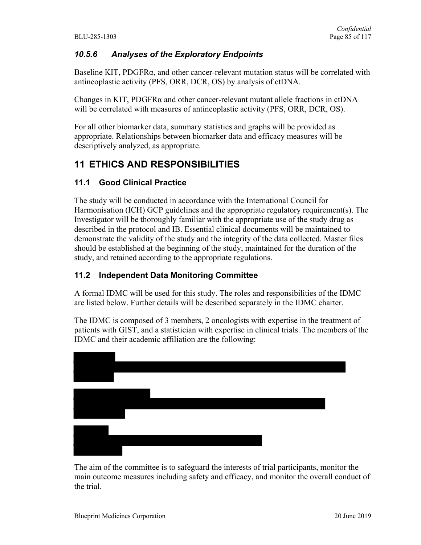## *10.5.6 Analyses of the Exploratory Endpoints*

Baseline KIT, PDGFRα, and other cancer-relevant mutation status will be correlated with antineoplastic activity (PFS, ORR, DCR, OS) by analysis of ctDNA.

Changes in KIT, PDGFRα and other cancer-relevant mutant allele fractions in ctDNA will be correlated with measures of antineoplastic activity (PFS, ORR, DCR, OS).

For all other biomarker data, summary statistics and graphs will be provided as appropriate. Relationships between biomarker data and efficacy measures will be descriptively analyzed, as appropriate.

# **11 ETHICS AND RESPONSIBILITIES**

## **11.1 Good Clinical Practice**

The study will be conducted in accordance with the International Council for Harmonisation (ICH) GCP guidelines and the appropriate regulatory requirement(s). The Investigator will be thoroughly familiar with the appropriate use of the study drug as described in the protocol and IB. Essential clinical documents will be maintained to demonstrate the validity of the study and the integrity of the data collected. Master files should be established at the beginning of the study, maintained for the duration of the study, and retained according to the appropriate regulations.

## **11.2 Independent Data Monitoring Committee**

A formal IDMC will be used for this study. The roles and responsibilities of the IDMC are listed below. Further details will be described separately in the IDMC charter.

The IDMC is composed of 3 members, 2 oncologists with expertise in the treatment of patients with GIST, and a statistician with expertise in clinical trials. The members of the IDMC and their academic affiliation are the following:



The aim of the committee is to safeguard the interests of trial participants, monitor the main outcome measures including safety and efficacy, and monitor the overall conduct of the trial.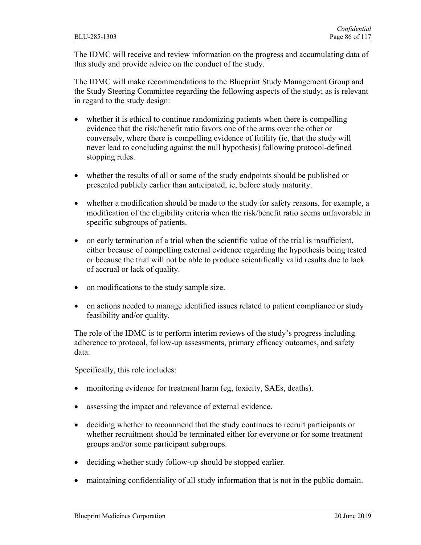The IDMC will receive and review information on the progress and accumulating data of this study and provide advice on the conduct of the study.

The IDMC will make recommendations to the Blueprint Study Management Group and the Study Steering Committee regarding the following aspects of the study; as is relevant in regard to the study design:

- whether it is ethical to continue randomizing patients when there is compelling evidence that the risk/benefit ratio favors one of the arms over the other or conversely, where there is compelling evidence of futility (ie, that the study will never lead to concluding against the null hypothesis) following protocol-defined stopping rules.
- whether the results of all or some of the study endpoints should be published or presented publicly earlier than anticipated, ie, before study maturity.
- whether a modification should be made to the study for safety reasons, for example, a modification of the eligibility criteria when the risk/benefit ratio seems unfavorable in specific subgroups of patients.
- on early termination of a trial when the scientific value of the trial is insufficient, either because of compelling external evidence regarding the hypothesis being tested or because the trial will not be able to produce scientifically valid results due to lack of accrual or lack of quality.
- on modifications to the study sample size.
- on actions needed to manage identified issues related to patient compliance or study feasibility and/or quality.

The role of the IDMC is to perform interim reviews of the study's progress including adherence to protocol, follow-up assessments, primary efficacy outcomes, and safety data.

Specifically, this role includes:

- monitoring evidence for treatment harm (eg, toxicity, SAEs, deaths).
- assessing the impact and relevance of external evidence.
- deciding whether to recommend that the study continues to recruit participants or whether recruitment should be terminated either for everyone or for some treatment groups and/or some participant subgroups.
- deciding whether study follow-up should be stopped earlier.
- maintaining confidentiality of all study information that is not in the public domain.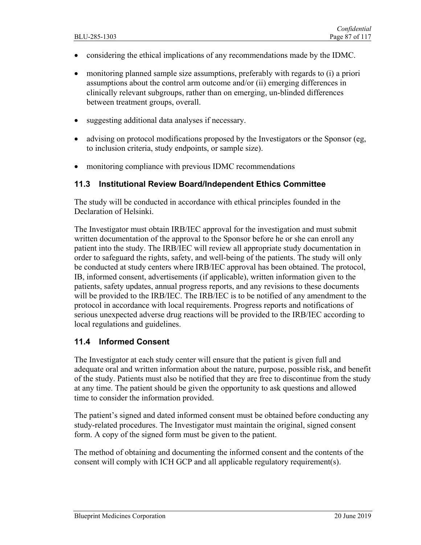- considering the ethical implications of any recommendations made by the IDMC.
- monitoring planned sample size assumptions, preferably with regards to (i) a priori assumptions about the control arm outcome and/or (ii) emerging differences in clinically relevant subgroups, rather than on emerging, un-blinded differences between treatment groups, overall.
- suggesting additional data analyses if necessary.
- advising on protocol modifications proposed by the Investigators or the Sponsor (eg, to inclusion criteria, study endpoints, or sample size).
- monitoring compliance with previous IDMC recommendations

#### **11.3 Institutional Review Board/Independent Ethics Committee**

The study will be conducted in accordance with ethical principles founded in the Declaration of Helsinki.

The Investigator must obtain IRB/IEC approval for the investigation and must submit written documentation of the approval to the Sponsor before he or she can enroll any patient into the study. The IRB/IEC will review all appropriate study documentation in order to safeguard the rights, safety, and well-being of the patients. The study will only be conducted at study centers where IRB/IEC approval has been obtained. The protocol, IB, informed consent, advertisements (if applicable), written information given to the patients, safety updates, annual progress reports, and any revisions to these documents will be provided to the IRB/IEC. The IRB/IEC is to be notified of any amendment to the protocol in accordance with local requirements. Progress reports and notifications of serious unexpected adverse drug reactions will be provided to the IRB/IEC according to local regulations and guidelines.

#### **11.4 Informed Consent**

The Investigator at each study center will ensure that the patient is given full and adequate oral and written information about the nature, purpose, possible risk, and benefit of the study. Patients must also be notified that they are free to discontinue from the study at any time. The patient should be given the opportunity to ask questions and allowed time to consider the information provided.

The patient's signed and dated informed consent must be obtained before conducting any study-related procedures. The Investigator must maintain the original, signed consent form. A copy of the signed form must be given to the patient.

The method of obtaining and documenting the informed consent and the contents of the consent will comply with ICH GCP and all applicable regulatory requirement(s).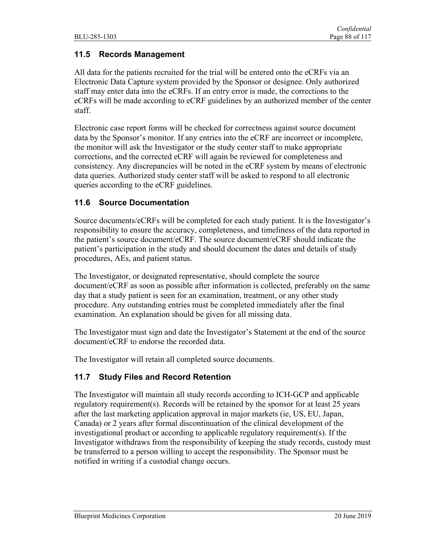### **11.5 Records Management**

All data for the patients recruited for the trial will be entered onto the eCRFs via an Electronic Data Capture system provided by the Sponsor or designee. Only authorized staff may enter data into the eCRFs. If an entry error is made, the corrections to the eCRFs will be made according to eCRF guidelines by an authorized member of the center staff.

Electronic case report forms will be checked for correctness against source document data by the Sponsor's monitor. If any entries into the eCRF are incorrect or incomplete, the monitor will ask the Investigator or the study center staff to make appropriate corrections, and the corrected eCRF will again be reviewed for completeness and consistency. Any discrepancies will be noted in the eCRF system by means of electronic data queries. Authorized study center staff will be asked to respond to all electronic queries according to the eCRF guidelines.

### **11.6 Source Documentation**

Source documents/eCRFs will be completed for each study patient. It is the Investigator's responsibility to ensure the accuracy, completeness, and timeliness of the data reported in the patient's source document/eCRF. The source document/eCRF should indicate the patient's participation in the study and should document the dates and details of study procedures, AEs, and patient status.

The Investigator, or designated representative, should complete the source document/eCRF as soon as possible after information is collected, preferably on the same day that a study patient is seen for an examination, treatment, or any other study procedure. Any outstanding entries must be completed immediately after the final examination. An explanation should be given for all missing data.

The Investigator must sign and date the Investigator's Statement at the end of the source document/eCRF to endorse the recorded data.

The Investigator will retain all completed source documents.

### **11.7 Study Files and Record Retention**

The Investigator will maintain all study records according to ICH-GCP and applicable regulatory requirement(s). Records will be retained by the sponsor for at least 25 years after the last marketing application approval in major markets (ie, US, EU, Japan, Canada) or 2 years after formal discontinuation of the clinical development of the investigational product or according to applicable regulatory requirement(s). If the Investigator withdraws from the responsibility of keeping the study records, custody must be transferred to a person willing to accept the responsibility. The Sponsor must be notified in writing if a custodial change occurs.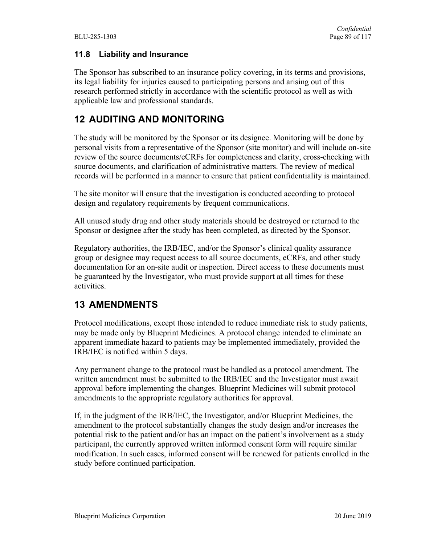### **11.8 Liability and Insurance**

The Sponsor has subscribed to an insurance policy covering, in its terms and provisions, its legal liability for injuries caused to participating persons and arising out of this research performed strictly in accordance with the scientific protocol as well as with applicable law and professional standards.

# **12 AUDITING AND MONITORING**

The study will be monitored by the Sponsor or its designee. Monitoring will be done by personal visits from a representative of the Sponsor (site monitor) and will include on-site review of the source documents/eCRFs for completeness and clarity, cross-checking with source documents, and clarification of administrative matters. The review of medical records will be performed in a manner to ensure that patient confidentiality is maintained.

The site monitor will ensure that the investigation is conducted according to protocol design and regulatory requirements by frequent communications.

All unused study drug and other study materials should be destroyed or returned to the Sponsor or designee after the study has been completed, as directed by the Sponsor.

Regulatory authorities, the IRB/IEC, and/or the Sponsor's clinical quality assurance group or designee may request access to all source documents, eCRFs, and other study documentation for an on-site audit or inspection. Direct access to these documents must be guaranteed by the Investigator, who must provide support at all times for these activities.

## **13 AMENDMENTS**

Protocol modifications, except those intended to reduce immediate risk to study patients, may be made only by Blueprint Medicines. A protocol change intended to eliminate an apparent immediate hazard to patients may be implemented immediately, provided the IRB/IEC is notified within 5 days.

Any permanent change to the protocol must be handled as a protocol amendment. The written amendment must be submitted to the IRB/IEC and the Investigator must await approval before implementing the changes. Blueprint Medicines will submit protocol amendments to the appropriate regulatory authorities for approval.

If, in the judgment of the IRB/IEC, the Investigator, and/or Blueprint Medicines, the amendment to the protocol substantially changes the study design and/or increases the potential risk to the patient and/or has an impact on the patient's involvement as a study participant, the currently approved written informed consent form will require similar modification. In such cases, informed consent will be renewed for patients enrolled in the study before continued participation.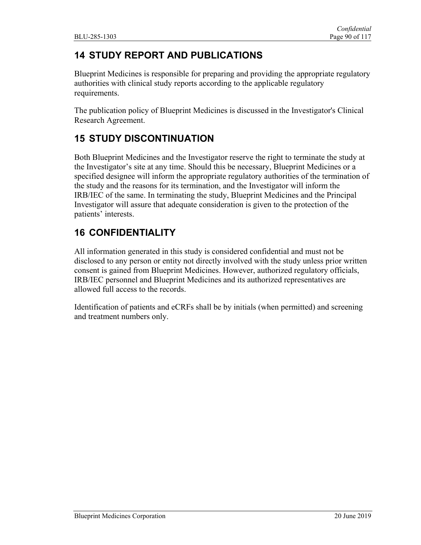# **14 STUDY REPORT AND PUBLICATIONS**

Blueprint Medicines is responsible for preparing and providing the appropriate regulatory authorities with clinical study reports according to the applicable regulatory requirements.

The publication policy of Blueprint Medicines is discussed in the Investigator's Clinical Research Agreement.

# **15 STUDY DISCONTINUATION**

Both Blueprint Medicines and the Investigator reserve the right to terminate the study at the Investigator's site at any time. Should this be necessary, Blueprint Medicines or a specified designee will inform the appropriate regulatory authorities of the termination of the study and the reasons for its termination, and the Investigator will inform the IRB/IEC of the same. In terminating the study, Blueprint Medicines and the Principal Investigator will assure that adequate consideration is given to the protection of the patients' interests.

# **16 CONFIDENTIALITY**

All information generated in this study is considered confidential and must not be disclosed to any person or entity not directly involved with the study unless prior written consent is gained from Blueprint Medicines. However, authorized regulatory officials, IRB/IEC personnel and Blueprint Medicines and its authorized representatives are allowed full access to the records.

Identification of patients and eCRFs shall be by initials (when permitted) and screening and treatment numbers only.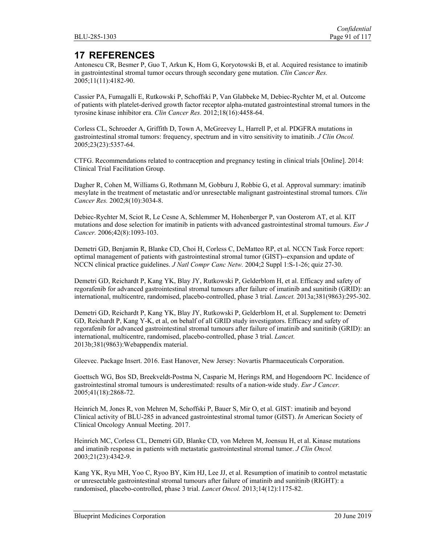# **17 REFERENCES**

Antonescu CR, Besmer P, Guo T, Arkun K, Hom G, Koryotowski B, et al. Acquired resistance to imatinib in gastrointestinal stromal tumor occurs through secondary gene mutation. *Clin Cancer Res.* 2005;11(11):4182-90.

Cassier PA, Fumagalli E, Rutkowski P, Schoffski P, Van Glabbeke M, Debiec-Rychter M, et al. Outcome of patients with platelet-derived growth factor receptor alpha-mutated gastrointestinal stromal tumors in the tyrosine kinase inhibitor era. *Clin Cancer Res.* 2012;18(16):4458-64.

Corless CL, Schroeder A, Griffith D, Town A, McGreevey L, Harrell P, et al. PDGFRA mutations in gastrointestinal stromal tumors: frequency, spectrum and in vitro sensitivity to imatinib. *J Clin Oncol.* 2005;23(23):5357-64.

CTFG. Recommendations related to contraception and pregnancy testing in clinical trials [Online]. 2014: Clinical Trial Facilitation Group.

<span id="page-91-0"></span>Dagher R, Cohen M, Williams G, Rothmann M, Gobburu J, Robbie G, et al. Approval summary: imatinib mesylate in the treatment of metastatic and/or unresectable malignant gastrointestinal stromal tumors. *Clin Cancer Res.* 2002;8(10):3034-8.

Debiec-Rychter M, Sciot R, Le Cesne A, Schlemmer M, Hohenberger P, van Oosterom AT, et al. KIT mutations and dose selection for imatinib in patients with advanced gastrointestinal stromal tumours. *Eur J Cancer.* 2006;42(8):1093-103.

Demetri GD, Benjamin R, Blanke CD, Choi H, Corless C, DeMatteo RP, et al. NCCN Task Force report: optimal management of patients with gastrointestinal stromal tumor (GIST)--expansion and update of NCCN clinical practice guidelines. *J Natl Compr Canc Netw.* 2004;2 Suppl 1:S-1-26; quiz 27-30.

<span id="page-91-1"></span>Demetri GD, Reichardt P, Kang YK, Blay JY, Rutkowski P, Gelderblom H, et al. Efficacy and safety of regorafenib for advanced gastrointestinal stromal tumours after failure of imatinib and sunitinib (GRID): an international, multicentre, randomised, placebo-controlled, phase 3 trial. *Lancet.* 2013a;381(9863):295-302.

Demetri GD, Reichardt P, Kang YK, Blay JY, Rutkowski P, Gelderblom H, et al. Supplement to: Demetri GD, Reichardt P, Kang Y-K, et al, on behalf of all GRID study investigators. Efficacy and safety of regorafenib for advanced gastrointestinal stromal tumours after failure of imatinib and sunitinib (GRID): an international, multicentre, randomised, placebo-controlled, phase 3 trial. *Lancet.* 2013b;381(9863):Webappendix material.

Gleevec. Package Insert. 2016. East Hanover, New Jersey: Novartis Pharmaceuticals Corporation.

Goettsch WG, Bos SD, Breekveldt-Postma N, Casparie M, Herings RM, and Hogendoorn PC. Incidence of gastrointestinal stromal tumours is underestimated: results of a nation-wide study. *Eur J Cancer.* 2005;41(18):2868-72.

Heinrich M, Jones R, von Mehren M, Schoffski P, Bauer S, Mir O, et al. GIST: imatinib and beyond Clinical activity of BLU-285 in advanced gastrointestinal stromal tumor (GIST). *In* American Society of Clinical Oncology Annual Meeting. 2017.

Heinrich MC, Corless CL, Demetri GD, Blanke CD, von Mehren M, Joensuu H, et al. Kinase mutations and imatinib response in patients with metastatic gastrointestinal stromal tumor. *J Clin Oncol.* 2003;21(23):4342-9.

Kang YK, Ryu MH, Yoo C, Ryoo BY, Kim HJ, Lee JJ, et al. Resumption of imatinib to control metastatic or unresectable gastrointestinal stromal tumours after failure of imatinib and sunitinib (RIGHT): a randomised, placebo-controlled, phase 3 trial. *Lancet Oncol.* 2013;14(12):1175-82.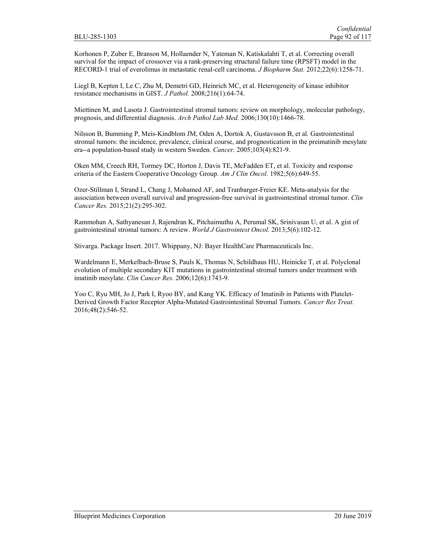<span id="page-92-1"></span>Korhonen P, Zuber E, Branson M, Hollaender N, Yateman N, Katiskalahti T, et al. Correcting overall survival for the impact of crossover via a rank-preserving structural failure time (RPSFT) model in the RECORD-1 trial of everolimus in metastatic renal-cell carcinoma. *J Biopharm Stat.* 2012;22(6):1258-71.

Liegl B, Kepten I, Le C, Zhu M, Demetri GD, Heinrich MC, et al. Heterogeneity of kinase inhibitor resistance mechanisms in GIST. *J Pathol.* 2008;216(1):64-74.

Miettinen M, and Lasota J. Gastrointestinal stromal tumors: review on morphology, molecular pathology, prognosis, and differential diagnosis. *Arch Pathol Lab Med.* 2006;130(10):1466-78.

Nilsson B, Bumming P, Meis-Kindblom JM, Oden A, Dortok A, Gustavsson B, et al. Gastrointestinal stromal tumors: the incidence, prevalence, clinical course, and prognostication in the preimatinib mesylate era--a population-based study in western Sweden. *Cancer.* 2005;103(4):821-9.

<span id="page-92-2"></span>Oken MM, Creech RH, Tormey DC, Horton J, Davis TE, McFadden ET, et al. Toxicity and response criteria of the Eastern Cooperative Oncology Group. *Am J Clin Oncol.* 1982;5(6):649-55.

Ozer-Stillman I, Strand L, Chang J, Mohamed AF, and Tranbarger-Freier KE. Meta-analysis for the association between overall survival and progression-free survival in gastrointestinal stromal tumor. *Clin Cancer Res.* 2015;21(2):295-302.

Rammohan A, Sathyanesan J, Rajendran K, Pitchaimuthu A, Perumal SK, Srinivasan U, et al. A gist of gastrointestinal stromal tumors: A review. *World J Gastrointest Oncol.* 2013;5(6):102-12.

<span id="page-92-0"></span>Stivarga. Package Insert. 2017. Whippany, NJ: Bayer HealthCare Pharmaceuticals Inc.

Wardelmann E, Merkelbach-Bruse S, Pauls K, Thomas N, Schildhaus HU, Heinicke T, et al. Polyclonal evolution of multiple secondary KIT mutations in gastrointestinal stromal tumors under treatment with imatinib mesylate. *Clin Cancer Res.* 2006;12(6):1743-9.

Yoo C, Ryu MH, Jo J, Park I, Ryoo BY, and Kang YK. Efficacy of Imatinib in Patients with Platelet-Derived Growth Factor Receptor Alpha-Mutated Gastrointestinal Stromal Tumors. *Cancer Res Treat.* 2016;48(2):546-52.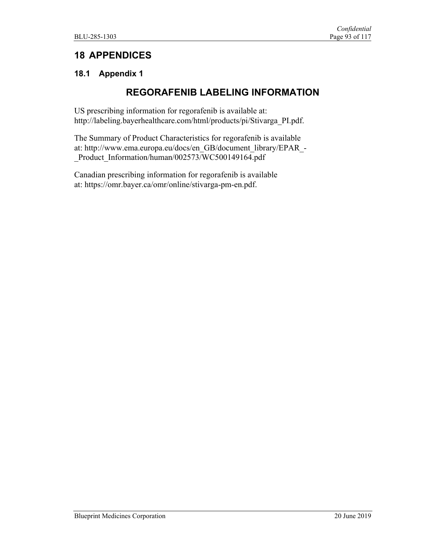# **18 APPENDICES**

## **18.1 Appendix 1**

# **REGORAFENIB LABELING INFORMATION**

US prescribing information for regorafenib is available at: http://labeling.bayerhealthcare.com/html/products/pi/Stivarga\_PI.pdf.

The Summary of Product Characteristics for regorafenib is available at: http://www.ema.europa.eu/docs/en\_GB/document\_library/EPAR\_- \_Product\_Information/human/002573/WC500149164.pdf

Canadian prescribing information for regorafenib is available at: https://omr.bayer.ca/omr/online/stivarga-pm-en.pdf.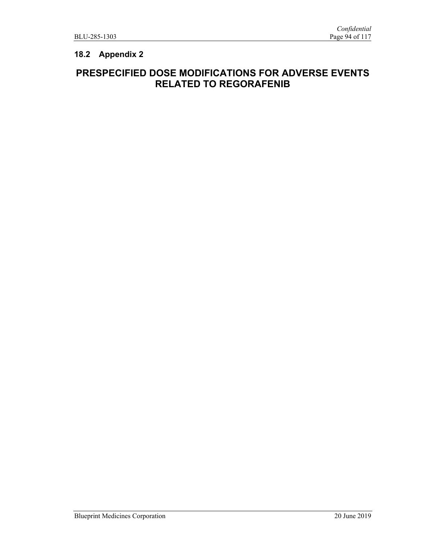# **18.2 Appendix 2**

# **PRESPECIFIED DOSE MODIFICATIONS FOR ADVERSE EVENTS RELATED TO REGORAFENIB**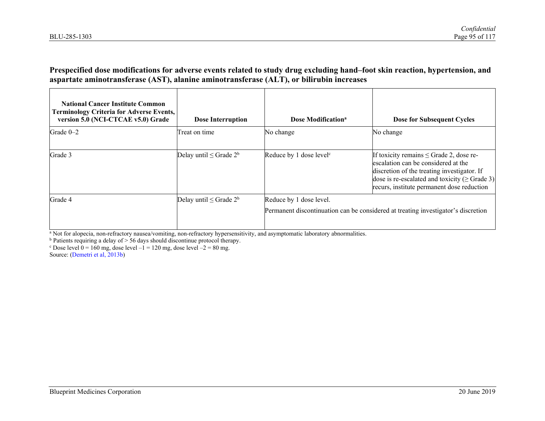### **Prespecified dose modifications for adverse events related to study drug excluding hand–foot skin reaction, hypertension, and aspartate aminotransferase (AST), alanine aminotransferase (ALT), or bilirubin increases**

| <b>National Cancer Institute Common</b><br><b>Terminology Criteria for Adverse Events,</b><br>version 5.0 (NCI-CTCAE v5.0) Grade | Dose Interruption              | Dose Modification <sup>a</sup>      | <b>Dose for Subsequent Cycles</b>                                                                                                                                                                                                       |
|----------------------------------------------------------------------------------------------------------------------------------|--------------------------------|-------------------------------------|-----------------------------------------------------------------------------------------------------------------------------------------------------------------------------------------------------------------------------------------|
| Grade $0-2$                                                                                                                      | Treat on time                  | No change                           | No change                                                                                                                                                                                                                               |
| Grade 3                                                                                                                          | Delay until $\leq$ Grade $2^b$ | Reduce by 1 dose level <sup>c</sup> | If toxicity remains $\leq$ Grade 2, dose re-<br>escalation can be considered at the<br>discretion of the treating investigator. If<br>dose is re-escalated and toxicity ( $\geq$ Grade 3)<br>recurs, institute permanent dose reduction |
| Grade 4                                                                                                                          | Delay until $\leq$ Grade $2^b$ | Reduce by 1 dose level.             | Permanent discontinuation can be considered at treating investigator's discretion                                                                                                                                                       |

<sup>a</sup> Not for alopecia, non-refractory nausea/vomiting, non-refractory hypersensitivity, and asymptomatic laboratory abnormalities.

<sup>b</sup> Patients requiring a delay of > 56 days should discontinue protocol therapy.

 $\degree$  Dose level  $\dot{0} = 160$  mg, dose level  $-\dot{1} = 120$  mg, dose level  $\dot{-2} = 80$  mg. Source: [\(Demetri et al, 2013b\)](#page-91-0)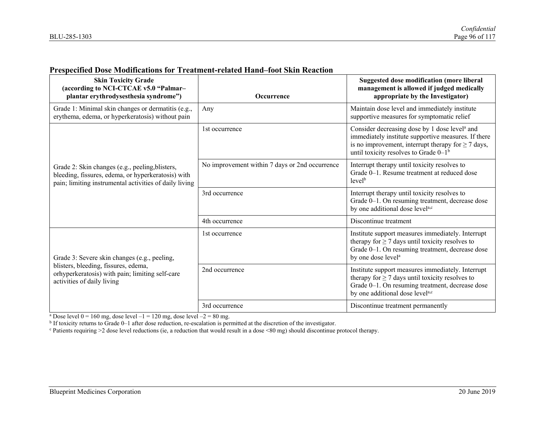| <b>Skin Toxicity Grade</b><br>(according to NCI-CTCAE v5.0 "Palmar-<br>plantar erythrodysesthesia syndrome")                                                          | Occurrence                                     | <b>Suggested dose modification (more liberal</b><br>management is allowed if judged medically<br>appropriate by the Investigator)                                                                                      |
|-----------------------------------------------------------------------------------------------------------------------------------------------------------------------|------------------------------------------------|------------------------------------------------------------------------------------------------------------------------------------------------------------------------------------------------------------------------|
| Grade 1: Minimal skin changes or dermatitis (e.g.,<br>erythema, edema, or hyperkeratosis) without pain                                                                | Any                                            | Maintain dose level and immediately institute<br>supportive measures for symptomatic relief                                                                                                                            |
| Grade 2: Skin changes (e.g., peeling, blisters,<br>bleeding, fissures, edema, or hyperkeratosis) with<br>pain; limiting instrumental activities of daily living       | 1st occurrence                                 | Consider decreasing dose by 1 dose level <sup>a</sup> and<br>immediately institute supportive measures. If there<br>is no improvement, interrupt therapy for $\geq$ 7 days,<br>until toxicity resolves to Grade $0-1b$ |
|                                                                                                                                                                       | No improvement within 7 days or 2nd occurrence | Interrupt therapy until toxicity resolves to<br>Grade 0-1. Resume treatment at reduced dose<br>level <sup>b</sup>                                                                                                      |
|                                                                                                                                                                       | 3rd occurrence                                 | Interrupt therapy until toxicity resolves to<br>Grade 0-1. On resuming treatment, decrease dose<br>by one additional dose levela,c                                                                                     |
|                                                                                                                                                                       | 4th occurrence                                 | Discontinue treatment                                                                                                                                                                                                  |
| Grade 3: Severe skin changes (e.g., peeling,<br>blisters, bleeding, fissures, edema,<br>orhyperkeratosis) with pain; limiting self-care<br>activities of daily living | 1st occurrence                                 | Institute support measures immediately. Interrupt<br>therapy for $\geq$ 7 days until toxicity resolves to<br>Grade 0-1. On resuming treatment, decrease dose<br>by one dose level <sup>a</sup>                         |
|                                                                                                                                                                       | 2nd occurrence                                 | Institute support measures immediately. Interrupt<br>therapy for $\geq 7$ days until toxicity resolves to<br>Grade 0-1. On resuming treatment, decrease dose<br>by one additional dose level <sup>a,c</sup>            |
|                                                                                                                                                                       | 3rd occurrence                                 | Discontinue treatment permanently                                                                                                                                                                                      |

### **Prespecified Dose Modifications for Treatment-related Hand–foot Skin Reaction**

<sup>a</sup> Dose level  $0 = 160$  mg, dose level  $-1 = 120$  mg, dose level  $-2 = 80$  mg.

<sup>b</sup> If toxicity returns to Grade 0–1 after dose reduction, re-escalation is permitted at the discretion of the investigator.

<sup>c</sup> Patients requiring >2 dose level reductions (ie, a reduction that would result in a dose <80 mg) should discontinue protocol therapy.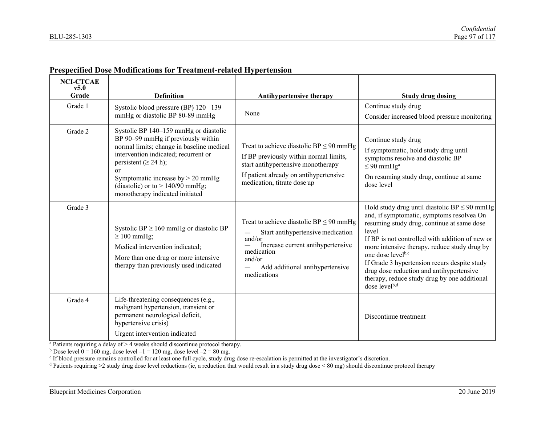| <b>NCI-CTCAE</b><br>v5.0 |                                                                                                                                                                                                                                                                                                                            |                                                                                                                                                                                                            |                                                                                                                                                                                                                                                                                                                                                                                                                                                                    |
|--------------------------|----------------------------------------------------------------------------------------------------------------------------------------------------------------------------------------------------------------------------------------------------------------------------------------------------------------------------|------------------------------------------------------------------------------------------------------------------------------------------------------------------------------------------------------------|--------------------------------------------------------------------------------------------------------------------------------------------------------------------------------------------------------------------------------------------------------------------------------------------------------------------------------------------------------------------------------------------------------------------------------------------------------------------|
| Grade                    | <b>Definition</b>                                                                                                                                                                                                                                                                                                          | <b>Antihypertensive therapy</b>                                                                                                                                                                            | <b>Study drug dosing</b>                                                                                                                                                                                                                                                                                                                                                                                                                                           |
| Grade 1                  | Systolic blood pressure (BP) 120-139<br>mmHg or diastolic BP 80-89 mmHg                                                                                                                                                                                                                                                    | None                                                                                                                                                                                                       | Continue study drug<br>Consider increased blood pressure monitoring                                                                                                                                                                                                                                                                                                                                                                                                |
| Grade 2                  | Systolic BP 140-159 mmHg or diastolic<br>BP 90-99 mmHg if previously within<br>normal limits; change in baseline medical<br>intervention indicated; recurrent or<br>persistent ( $\geq$ 24 h);<br>$\alpha$<br>Symptomatic increase by $> 20$ mmHg<br>(diastolic) or to $> 140/90$ mmHg;<br>monotherapy indicated initiated | Treat to achieve diastolic $BP \leq 90$ mmHg<br>If BP previously within normal limits,<br>start antihypertensive monotherapy<br>If patient already on antihypertensive<br>medication, titrate dose up      | Continue study drug<br>If symptomatic, hold study drug until<br>symptoms resolve and diastolic BP<br>$\leq 90$ mmHg <sup>a</sup><br>On resuming study drug, continue at same<br>dose level                                                                                                                                                                                                                                                                         |
| Grade 3                  | Systolic BP $\geq$ 160 mmHg or diastolic BP<br>$\geq 100$ mmHg;<br>Medical intervention indicated;<br>More than one drug or more intensive<br>therapy than previously used indicated                                                                                                                                       | Treat to achieve diastolic BP $\leq$ 90 mmHg<br>Start antihypertensive medication<br>and/or<br>Increase current antihypertensive<br>medication<br>and/or<br>Add additional antihypertensive<br>medications | Hold study drug until diastolic BP $\leq$ 90 mmHg<br>and, if symptomatic, symptoms resolvea On<br>resuming study drug, continue at same dose<br>level<br>If BP is not controlled with addition of new or<br>more intensive therapy, reduce study drug by<br>one dose level <sup>b,c</sup><br>If Grade 3 hypertension recurs despite study<br>drug dose reduction and antihypertensive<br>therapy, reduce study drug by one additional<br>dose level <sup>b,d</sup> |
| Grade 4                  | Life-threatening consequences (e.g.,<br>malignant hypertension, transient or<br>permanent neurological deficit,<br>hypertensive crisis)<br>Urgent intervention indicated                                                                                                                                                   |                                                                                                                                                                                                            | Discontinue treatment                                                                                                                                                                                                                                                                                                                                                                                                                                              |

### **Prespecified Dose Modifications for Treatment-related Hypertension**

<sup>a</sup> Patients requiring a delay of > 4 weeks should discontinue protocol therapy.

<sup>b</sup> Dose level  $0 = 160$  mg, dose level  $-1 = 120$  mg, dose level  $-2 = 80$  mg.

<sup>c</sup> If blood pressure remains controlled for at least one full cycle, study drug dose re-escalation is permitted at the investigator's discretion.

 $d$  Patients requiring >2 study drug dose level reductions (ie, a reduction that would result in a study drug dose < 80 mg) should discontinue protocol therapy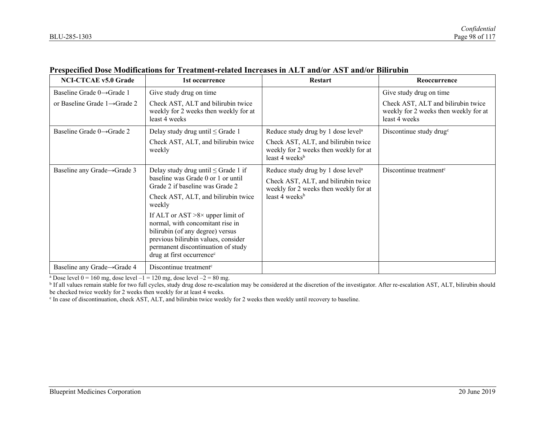| <b>NCI-CTCAE v5.0 Grade</b>                                      | 1st occurrence                                                                                                  | Restart                                                                                                    | Reoccurrence                                                                                 |
|------------------------------------------------------------------|-----------------------------------------------------------------------------------------------------------------|------------------------------------------------------------------------------------------------------------|----------------------------------------------------------------------------------------------|
| Baseline Grade $0 \rightarrow$ Grade 1                           | Give study drug on time                                                                                         |                                                                                                            | Give study drug on time                                                                      |
| or Baseline Grade $1 \rightarrow$ Grade 2                        | Check AST, ALT and bilirubin twice<br>weekly for 2 weeks then weekly for at<br>least 4 weeks                    |                                                                                                            | Check AST, ALT and bilirubin twice<br>weekly for 2 weeks then weekly for at<br>least 4 weeks |
| Baseline Grade $0 \rightarrow$ Grade 2                           | Delay study drug until $\leq$ Grade 1                                                                           | Reduce study drug by 1 dose level <sup>a</sup>                                                             | Discontinue study drug <sup>e</sup>                                                          |
|                                                                  | Check AST, ALT, and bilirubin twice<br>weekly                                                                   | Check AST, ALT, and bilirubin twice<br>weekly for 2 weeks then weekly for at<br>least 4 weeks <sup>b</sup> |                                                                                              |
| Baseline any Grade→Grade 3<br>baseline was Grade 0 or 1 or until | Delay study drug until $\leq$ Grade 1 if                                                                        | Reduce study drug by 1 dose level <sup>a</sup>                                                             | Discontinue treatment <sup>c</sup>                                                           |
|                                                                  | Grade 2 if baseline was Grade 2                                                                                 | Check AST, ALT, and bilirubin twice<br>weekly for 2 weeks then weekly for at                               |                                                                                              |
|                                                                  | Check AST, ALT, and bilirubin twice<br>weekly                                                                   | least 4 weeks <sup>b</sup>                                                                                 |                                                                                              |
|                                                                  | If ALT or AST $>8\times$ upper limit of<br>normal, with concomitant rise in<br>bilirubin (of any degree) versus |                                                                                                            |                                                                                              |
|                                                                  | previous bilirubin values, consider                                                                             |                                                                                                            |                                                                                              |
|                                                                  | permanent discontinuation of study<br>drug at first occurrence <sup>c</sup>                                     |                                                                                                            |                                                                                              |
| Baseline any Grade→Grade 4                                       | Discontinue treatment <sup>c</sup>                                                                              |                                                                                                            |                                                                                              |

### **Prespecified Dose Modifications for Treatment-related Increases in ALT and/or AST and/or Bilirubin**

<sup>a</sup> Dose level  $0 = 160$  mg, dose level  $-1 = 120$  mg, dose level  $-2 = 80$  mg.

<sup>b</sup> If all values remain stable for two full cycles, study drug dose re-escalation may be considered at the discretion of the investigator. After re-escalation AST, ALT, bilirubin should be checked twice weekly for 2 weeks then weekly for at least 4 weeks.

<sup>c</sup> In case of discontinuation, check AST, ALT, and bilirubin twice weekly for 2 weeks then weekly until recovery to baseline.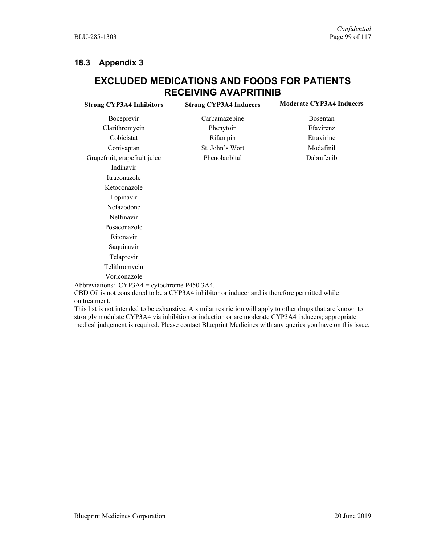## **18.3 Appendix 3**

# **EXCLUDED MEDICATIONS AND FOODS FOR PATIENTS RECEIVING AVAPRITINIB**

| <b>Strong CYP3A4 Inhibitors</b>                                                                | <b>Strong CYP3A4 Inducers</b> | <b>Moderate CYP3A4 Inducers</b> |
|------------------------------------------------------------------------------------------------|-------------------------------|---------------------------------|
| Boceprevir                                                                                     | Carbamazepine                 | <b>Bosentan</b>                 |
| Clarithromycin                                                                                 | Phenytoin                     | Efavirenz                       |
| Cobicistat                                                                                     | Rifampin                      | Etravirine                      |
| Conivaptan                                                                                     | St. John's Wort               | Modafinil                       |
| Grapefruit, grapefruit juice                                                                   | Phenobarbital                 | Dabrafenib                      |
| Indinavir                                                                                      |                               |                                 |
| Itraconazole                                                                                   |                               |                                 |
| Ketoconazole                                                                                   |                               |                                 |
| Lopinavir                                                                                      |                               |                                 |
| Nefazodone                                                                                     |                               |                                 |
| Nelfinavir                                                                                     |                               |                                 |
| Posaconazole                                                                                   |                               |                                 |
| Ritonavir                                                                                      |                               |                                 |
| Saquinavir                                                                                     |                               |                                 |
| Telaprevir                                                                                     |                               |                                 |
| Telithromycin                                                                                  |                               |                                 |
| Voriconazole                                                                                   |                               |                                 |
| Abbreviations: CYP3A4 = cytochrome P450 3A4.                                                   |                               |                                 |
| CBD Oil is not considered to be a CYP3A4 inhibitor or inducer and is therefore permitted while |                               |                                 |

on treatment.

This list is not intended to be exhaustive. A similar restriction will apply to other drugs that are known to strongly modulate CYP3A4 via inhibition or induction or are moderate CYP3A4 inducers; appropriate medical judgement is required. Please contact Blueprint Medicines with any queries you have on this issue.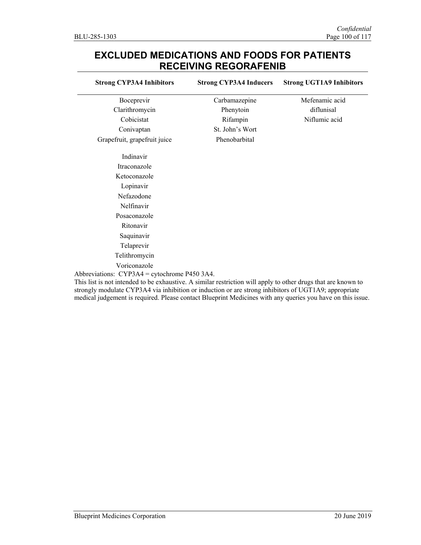## **EXCLUDED MEDICATIONS AND FOODS FOR PATIENTS RECEIVING REGORAFENIB**

| <b>Strong CYP3A4 Inhibitors</b>                                                                               | <b>Strong CYP3A4 Inducers</b> | <b>Strong UGT1A9 Inhibitors</b> |
|---------------------------------------------------------------------------------------------------------------|-------------------------------|---------------------------------|
| Boceprevir                                                                                                    | Carbamazepine                 | Mefenamic acid                  |
| Clarithromycin                                                                                                | Phenytoin                     | diflunisal                      |
| Cobicistat                                                                                                    | Rifampin                      | Niflumic acid                   |
| Conivaptan                                                                                                    | St. John's Wort               |                                 |
| Grapefruit, grapefruit juice                                                                                  | Phenobarbital                 |                                 |
| Indinavir                                                                                                     |                               |                                 |
| Itraconazole                                                                                                  |                               |                                 |
| Ketoconazole                                                                                                  |                               |                                 |
| Lopinavir                                                                                                     |                               |                                 |
| Nefazodone                                                                                                    |                               |                                 |
| Nelfinavir                                                                                                    |                               |                                 |
| Posaconazole                                                                                                  |                               |                                 |
| Ritonavir                                                                                                     |                               |                                 |
| Saquinavir                                                                                                    |                               |                                 |
| Telaprevir                                                                                                    |                               |                                 |
| Telithromycin                                                                                                 |                               |                                 |
| Voriconazole                                                                                                  |                               |                                 |
| Abbreviations: CYP3A4 = cytochrome P450 3A4.                                                                  |                               |                                 |
| This list is not intended to be exhaustive. A similar restriction will apply to other drugs that are known to |                               |                                 |

This list is not intended to be exhaustive. A similar restriction will apply to other drugs that are known to strongly modulate CYP3A4 via inhibition or induction or are strong inhibitors of UGT1A9; appropriate medical judgement is required. Please contact Blueprint Medicines with any queries you have on this issue.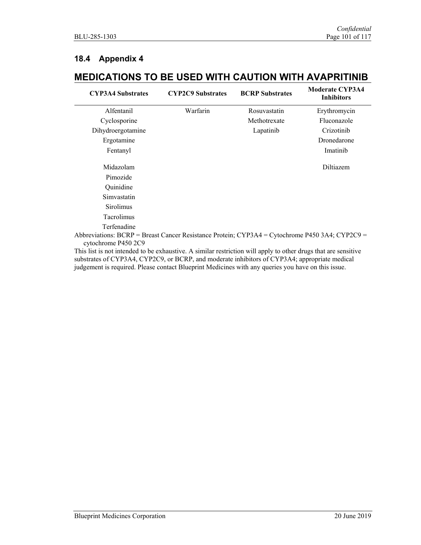## **18.4 Appendix 4**

# **MEDICATIONS TO BE USED WITH CAUTION WITH AVAPRITINIB**

| <b>CYP3A4 Substrates</b>                                                                                      | <b>CYP2C9 Substrates</b>                                                                                        | <b>BCRP</b> Substrates | <b>Moderate CYP3A4</b><br><b>Inhibitors</b> |
|---------------------------------------------------------------------------------------------------------------|-----------------------------------------------------------------------------------------------------------------|------------------------|---------------------------------------------|
| Alfentanil                                                                                                    | Warfarin                                                                                                        | Rosuvastatin           | Erythromycin                                |
| Cyclosporine                                                                                                  |                                                                                                                 | Methotrexate           | Fluconazole                                 |
| Dihydroergotamine                                                                                             |                                                                                                                 | Lapatinib              | Crizotinib                                  |
| Ergotamine                                                                                                    |                                                                                                                 |                        | Dronedarone                                 |
| Fentanyl                                                                                                      |                                                                                                                 |                        | Imatinib                                    |
| Midazolam                                                                                                     |                                                                                                                 |                        | Diltiazem                                   |
| Pimozide                                                                                                      |                                                                                                                 |                        |                                             |
| Quinidine                                                                                                     |                                                                                                                 |                        |                                             |
| Simvastatin                                                                                                   |                                                                                                                 |                        |                                             |
| <b>Sirolimus</b>                                                                                              |                                                                                                                 |                        |                                             |
| <b>Tacrolimus</b>                                                                                             |                                                                                                                 |                        |                                             |
| Terfenadine<br>Abbreviations: BCRP = Breast Cancer Resistance Protein; CYP3A4 = Cytochrome P450 3A4; CYP2C9 = |                                                                                                                 |                        |                                             |
| cytochrome P450 2C9                                                                                           | the contract of the contract of the contract of the contract of the contract of the contract of the contract of |                        |                                             |

This list is not intended to be exhaustive. A similar restriction will apply to other drugs that are sensitive substrates of CYP3A4, CYP2C9, or BCRP, and moderate inhibitors of CYP3A4; appropriate medical judgement is required. Please contact Blueprint Medicines with any queries you have on this issue.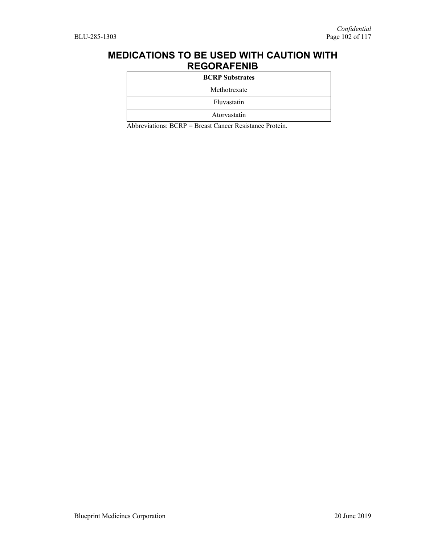# **MEDICATIONS TO BE USED WITH CAUTION WITH REGORAFENIB**

| <b>BCRP</b> Substrates |
|------------------------|
| Methotrexate           |
| Fluvastatin            |
| Atorvastatin           |

Abbreviations: BCRP = Breast Cancer Resistance Protein.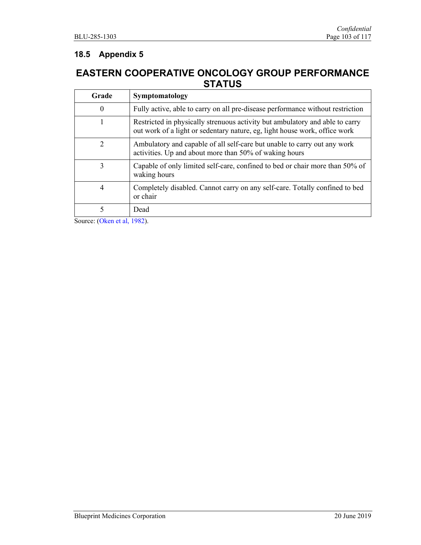# **18.5 Appendix 5**

# **EASTERN COOPERATIVE ONCOLOGY GROUP PERFORMANCE STATUS**

| Grade          | Symptomatology                                                                                                                                             |
|----------------|------------------------------------------------------------------------------------------------------------------------------------------------------------|
| $\theta$       | Fully active, able to carry on all pre-disease performance without restriction                                                                             |
|                | Restricted in physically strenuous activity but ambulatory and able to carry<br>out work of a light or sedentary nature, eg, light house work, office work |
| 2              | Ambulatory and capable of all self-care but unable to carry out any work<br>activities. Up and about more than 50% of waking hours                         |
| 3              | Capable of only limited self-care, confined to bed or chair more than 50% of<br>waking hours                                                               |
| $\overline{4}$ | Completely disabled. Cannot carry on any self-care. Totally confined to bed<br>or chair                                                                    |
|                | Dead                                                                                                                                                       |

Source: ([Oken et al, 1982](#page-92-2)).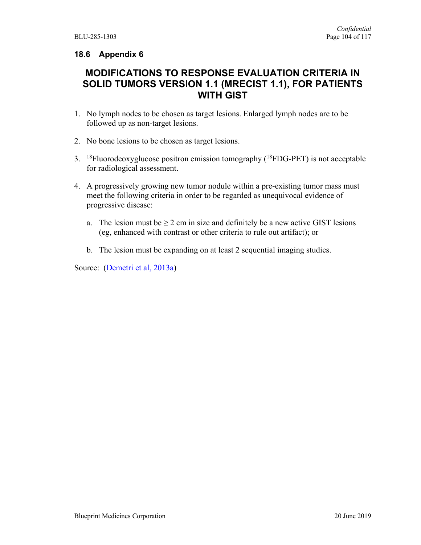### **18.6 Appendix 6**

# **MODIFICATIONS TO RESPONSE EVALUATION CRITERIA IN SOLID TUMORS VERSION 1.1 (MRECIST 1.1), FOR PATIENTS WITH GIST**

- 1. No lymph nodes to be chosen as target lesions. Enlarged lymph nodes are to be followed up as non-target lesions.
- 2. No bone lesions to be chosen as target lesions.
- 3. <sup>18</sup>Fluorodeoxyglucose positron emission tomography  $(^{18}$ FDG-PET) is not acceptable for radiological assessment.
- 4. A progressively growing new tumor nodule within a pre-existing tumor mass must meet the following criteria in order to be regarded as unequivocal evidence of progressive disease:
	- a. The lesion must be  $\geq 2$  cm in size and definitely be a new active GIST lesions (eg, enhanced with contrast or other criteria to rule out artifact); or
	- b. The lesion must be expanding on at least 2 sequential imaging studies.

Source: ([Demetri et al, 2013a\)](#page-91-1)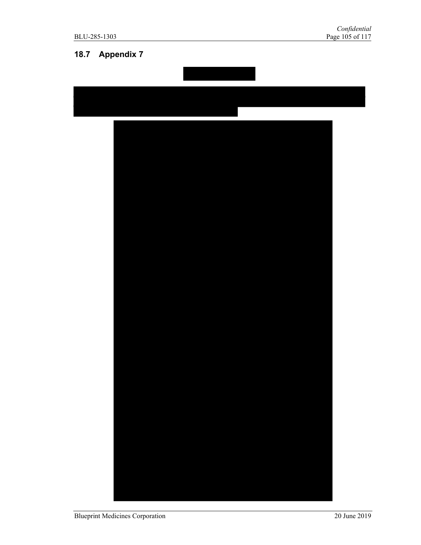# **18.7 Appendix 7**







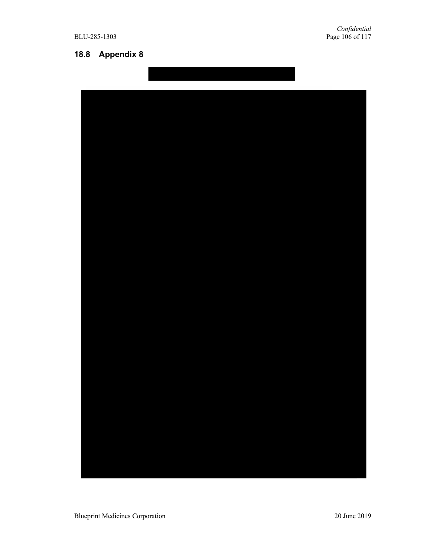# **18.8 Appendix 8**

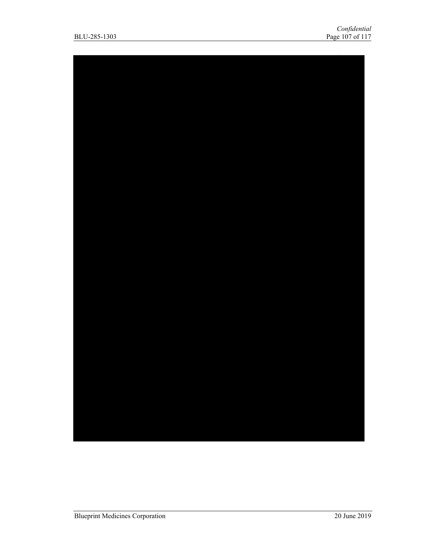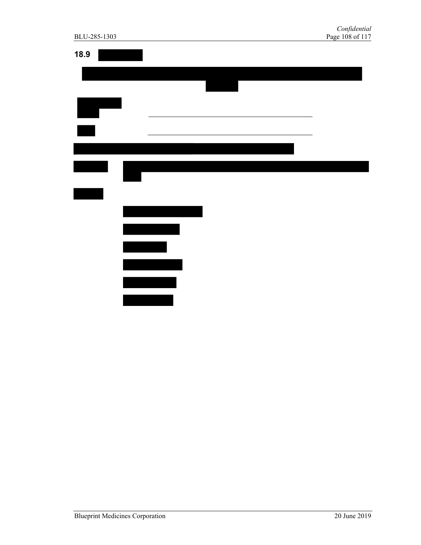| BLU-285-1303 | Confidential<br>Page 108 of 117 |
|--------------|---------------------------------|
| 18.9         |                                 |
|              |                                 |
|              |                                 |
|              |                                 |
|              |                                 |
|              |                                 |
|              |                                 |
|              |                                 |
|              |                                 |
|              |                                 |
|              |                                 |
|              |                                 |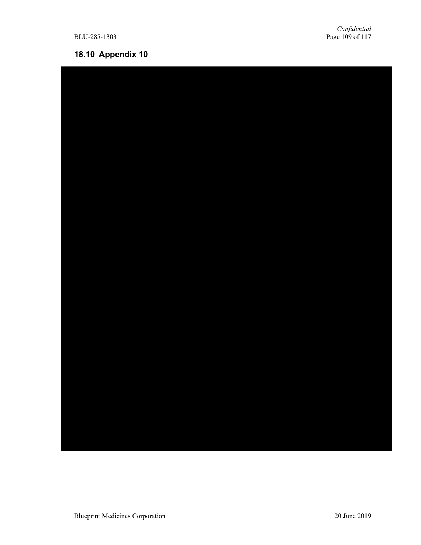# **18.10 Appendix 10**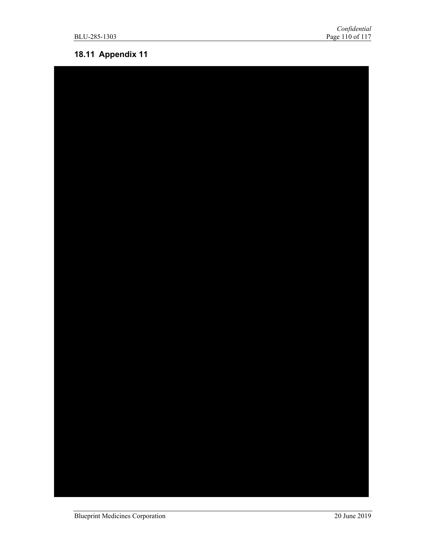# **18.11 Appendix 11**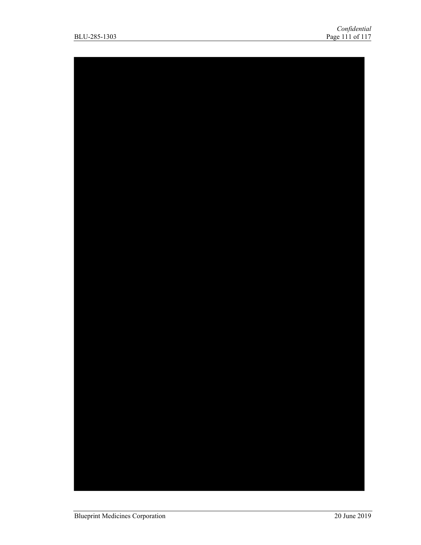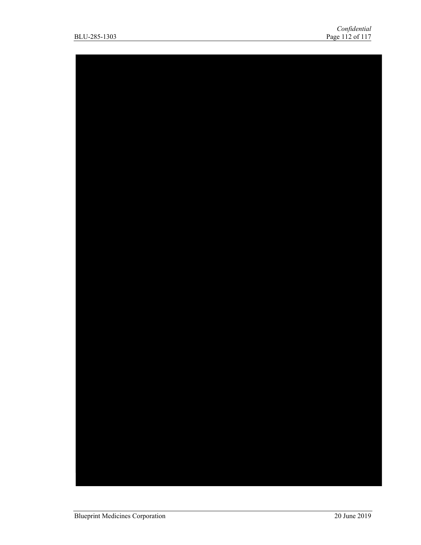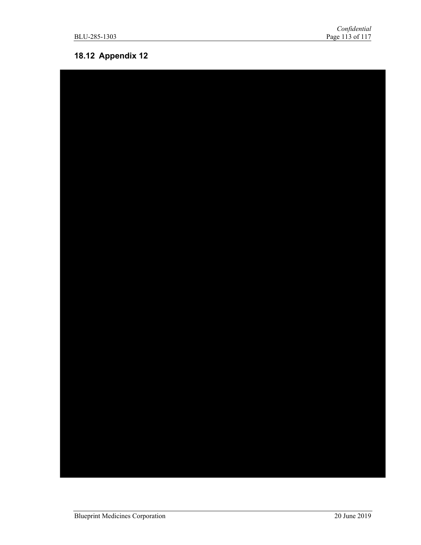### **18.12 Appendix 12**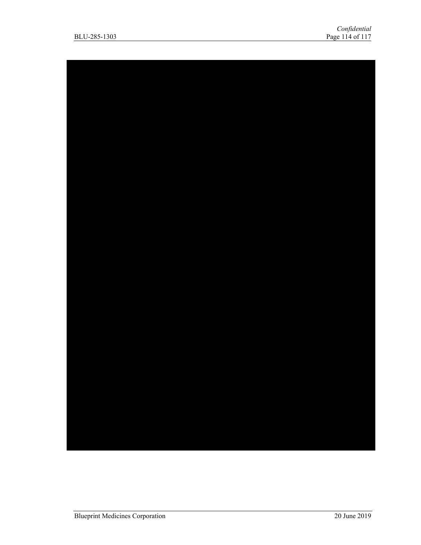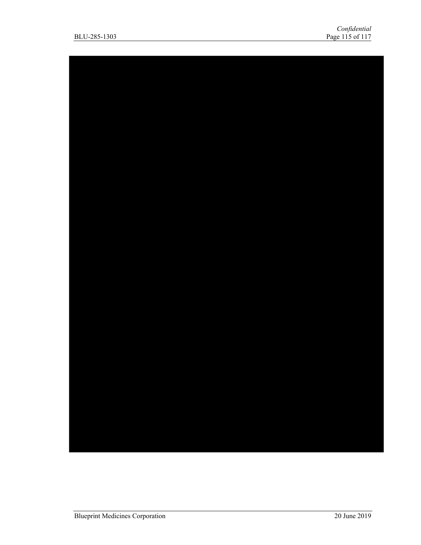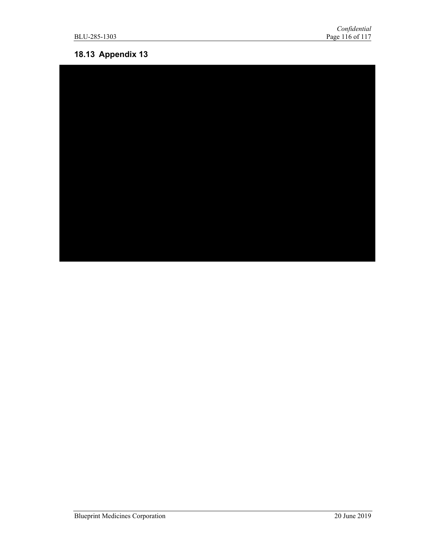## **18.13 Appendix 13**